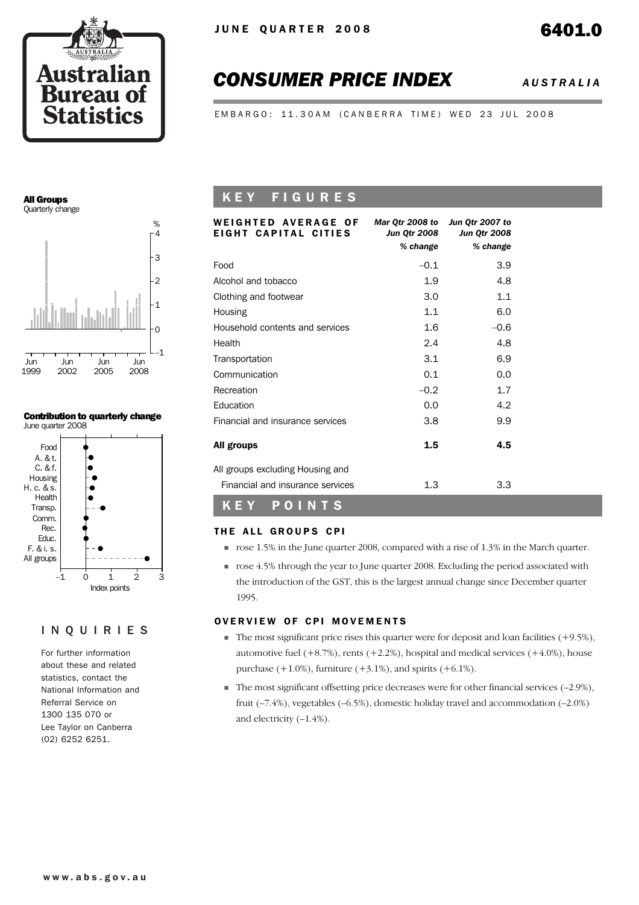

# *CONSUMER PRICE INDEX AUSTRALIA*

EMBARGO: 11.30AM (CANBERRA TIME) WED 23 JUL 2008

#### All Groups Quarterly change



#### Contribution to quarterly change June quarter 2008



#### INQUIRIES

For further information about these and related statistics, contact the National Information and Referral Service on 1300 135 070 or Lee Taylor on Canberra (02) 6252 6251.

## K E Y F I G U R E S

| WEIGHTED AVERAGE OF<br>EIGHT CAPITAL CITIES | Mar Qtr 2008 to<br>Jun Otr 2008 | Jun Qtr 2007 to<br><b>Jun Qtr 2008</b> |
|---------------------------------------------|---------------------------------|----------------------------------------|
|                                             | % change                        | % change                               |
| Food                                        | $-0.1$                          | 3.9                                    |
| Alcohol and tobacco                         | 1.9                             | 4.8                                    |
| Clothing and footwear                       | 3.0                             | 1.1                                    |
| Housing                                     | 1.1                             | 6.0                                    |
| Household contents and services             | 1.6                             | $-0.6$                                 |
| Health                                      | 2.4                             | 4.8                                    |
| Transportation                              | 3.1                             | 6.9                                    |
| Communication                               | 0.1                             | 0.0                                    |
| Recreation                                  | $-0.2$                          | 1.7                                    |
| Education                                   | 0.0                             | 4.2                                    |
| Financial and insurance services            | 3.8                             | 9.9                                    |
| All groups                                  | 1.5                             | 4.5                                    |
| All groups excluding Housing and            |                                 |                                        |
| Financial and insurance services            | 1.3                             | 3.3                                    |
| P.<br>KEY<br>OINTS                          |                                 |                                        |

#### THE ALL GROUPS CPI

- ! rose 1.5% in the June quarter 2008, compared with a rise of 1.3% in the March quarter.
- $\blacksquare$  rose 4.5% through the year to June quarter 2008. Excluding the period associated with the introduction of the GST, this is the largest annual change since December quarter 1995.

#### OVERVIEW OF CPI MOVEMENTS

- $\blacksquare$  The most significant price rises this quarter were for deposit and loan facilities (+9.5%), automotive fuel  $(+8.7%)$ , rents  $(+2.2%)$ , hospital and medical services  $(+4.0%)$ , house purchase  $(+1.0\%)$ , furniture  $(+3.1\%)$ , and spirits  $(+6.1\%)$ .
- ! The most significant offsetting price decreases were for other financial services (–2.9%), fruit (–7.4%), vegetables (–6.5%), domestic holiday travel and accommodation (–2.0%) and electricity (–1.4%).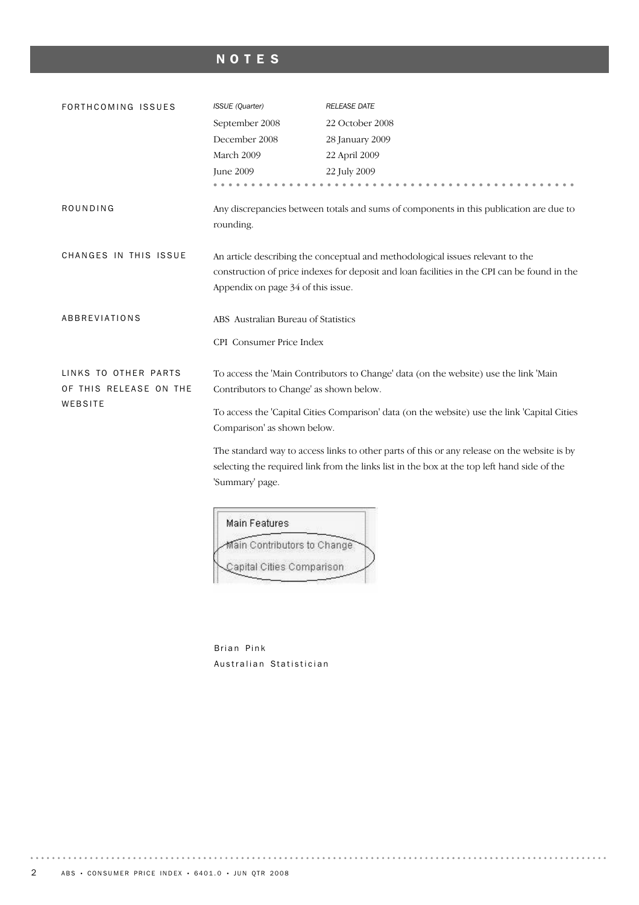# NOTES

| FORTHCOMING ISSUES     | ISSUE (Quarter)                                                                              | <b>RELEASE DATE</b>                                                                          |  |  |  |
|------------------------|----------------------------------------------------------------------------------------------|----------------------------------------------------------------------------------------------|--|--|--|
|                        | September 2008                                                                               | 22 October 2008                                                                              |  |  |  |
|                        | December 2008                                                                                | 28 January 2009                                                                              |  |  |  |
|                        | March 2009                                                                                   | 22 April 2009                                                                                |  |  |  |
|                        | June 2009                                                                                    | 22 July 2009                                                                                 |  |  |  |
|                        |                                                                                              |                                                                                              |  |  |  |
| ROUNDING               |                                                                                              | Any discrepancies between totals and sums of components in this publication are due to       |  |  |  |
|                        | rounding.                                                                                    |                                                                                              |  |  |  |
|                        |                                                                                              |                                                                                              |  |  |  |
| CHANGES IN THIS ISSUE  | An article describing the conceptual and methodological issues relevant to the               |                                                                                              |  |  |  |
|                        |                                                                                              | construction of price indexes for deposit and loan facilities in the CPI can be found in the |  |  |  |
|                        | Appendix on page 34 of this issue.                                                           |                                                                                              |  |  |  |
|                        |                                                                                              |                                                                                              |  |  |  |
| ABBREVIATIONS          | ABS Australian Bureau of Statistics                                                          |                                                                                              |  |  |  |
|                        | CPI Consumer Price Index                                                                     |                                                                                              |  |  |  |
|                        |                                                                                              |                                                                                              |  |  |  |
| LINKS TO OTHER PARTS   | To access the 'Main Contributors to Change' data (on the website) use the link 'Main         |                                                                                              |  |  |  |
| OF THIS RELEASE ON THE | Contributors to Change' as shown below.                                                      |                                                                                              |  |  |  |
| WEBSITE                | To access the 'Capital Cities Comparison' data (on the website) use the link 'Capital Cities |                                                                                              |  |  |  |
|                        | Comparison' as shown below.                                                                  |                                                                                              |  |  |  |
|                        | The standard way to access links to other parts of this or any release on the website is by  |                                                                                              |  |  |  |
|                        | selecting the required link from the links list in the box at the top left hand side of the  |                                                                                              |  |  |  |
|                        |                                                                                              |                                                                                              |  |  |  |
|                        | 'Summary' page.                                                                              |                                                                                              |  |  |  |

| Main Features |                             |  |
|---------------|-----------------------------|--|
|               | Main Contributors to Change |  |
|               | Capital Cities Comparison   |  |

Brian Pink Australian Statistician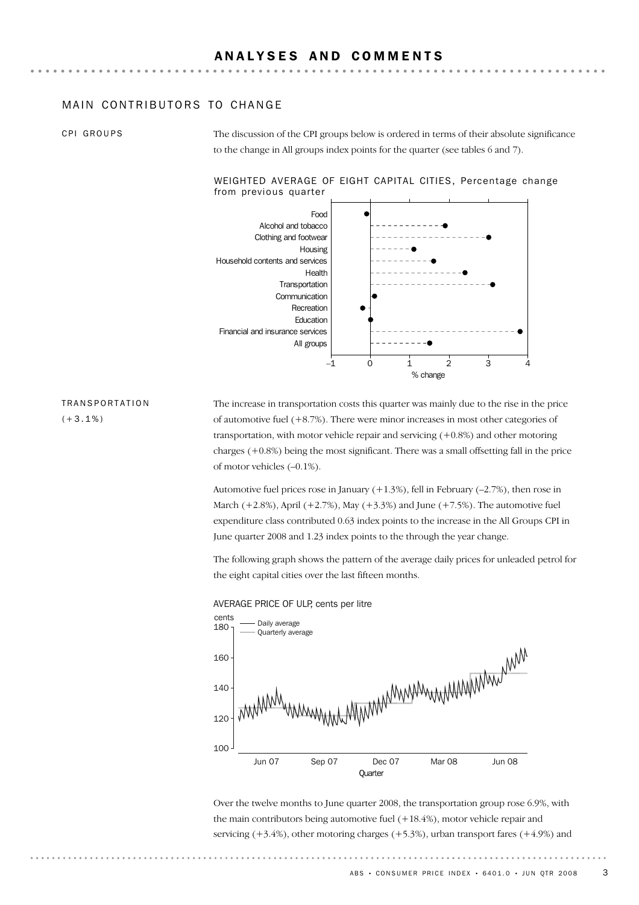#### MAIN CONTRIBUTORS TO CHANGE

CPI GROUPS

The discussion of the CPI groups below is ordered in terms of their absolute significance to the change in All groups index points for the quarter (see tables 6 and 7).

#### WEIGHTED AVERAGE OF EIGHT CAPITAL CITIES, Percentage change from previous quarter



## TRANSPORTATION

 $(+3.1\%)$ 

The increase in transportation costs this quarter was mainly due to the rise in the price of automotive fuel  $(+8.7%)$ . There were minor increases in most other categories of transportation, with motor vehicle repair and servicing (+0.8%) and other motoring charges (+0.8%) being the most significant. There was a small offsetting fall in the price of motor vehicles (–0.1%).

Automotive fuel prices rose in January  $(+1.3\%)$ , fell in February  $(-2.7\%)$ , then rose in March  $(+2.8\%)$ , April  $(+2.7\%)$ , May  $(+3.3\%)$  and June  $(+7.5\%)$ . The automotive fuel expenditure class contributed 0.63 index points to the increase in the All Groups CPI in June quarter 2008 and 1.23 index points to the through the year change.

The following graph shows the pattern of the average daily prices for unleaded petrol for the eight capital cities over the last fifteen months.



AVERAGE PRICE OF ULP, cents per litre

Over the twelve months to June quarter 2008, the transportation group rose 6.9%, with the main contributors being automotive fuel (+18.4%), motor vehicle repair and servicing  $(+3.4%)$ , other motoring charges  $(+5.3%)$ , urban transport fares  $(+4.9%)$  and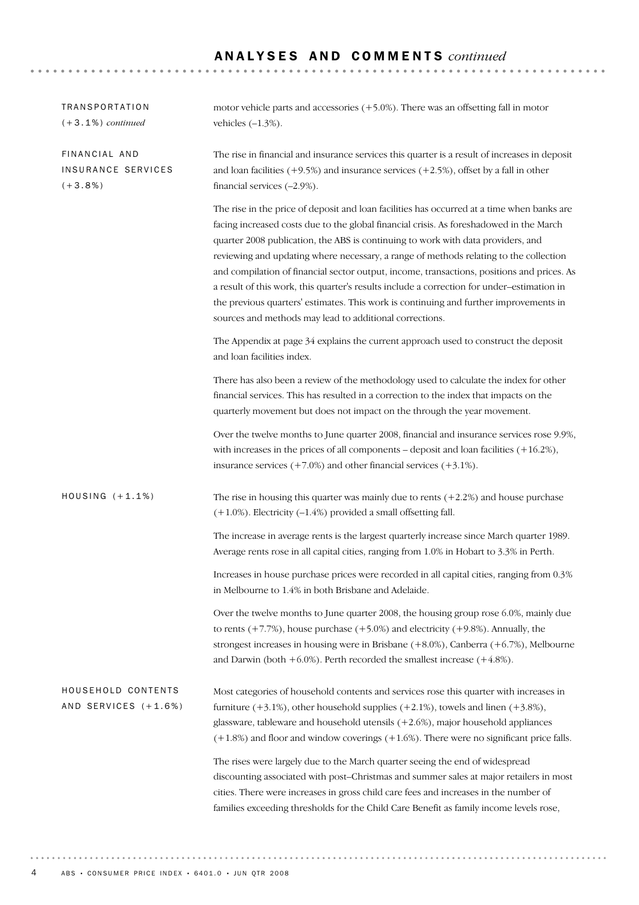| <b>TRANSPORTATION</b><br>$(+3.1\%)$ continued     | motor vehicle parts and accessories $(+5.0\%)$ . There was an offsetting fall in motor<br>vehicles $(-1.3\%)$ .                                                                                                                                                                                                                                                                                                                                                                                                                                                                                                                                                                                                    |
|---------------------------------------------------|--------------------------------------------------------------------------------------------------------------------------------------------------------------------------------------------------------------------------------------------------------------------------------------------------------------------------------------------------------------------------------------------------------------------------------------------------------------------------------------------------------------------------------------------------------------------------------------------------------------------------------------------------------------------------------------------------------------------|
| FINANCIAL AND<br>INSURANCE SERVICES<br>$(+3.8\%)$ | The rise in financial and insurance services this quarter is a result of increases in deposit<br>and loan facilities $(+9.5%)$ and insurance services $(+2.5%)$ , offset by a fall in other<br>financial services $(-2.9\%).$                                                                                                                                                                                                                                                                                                                                                                                                                                                                                      |
|                                                   | The rise in the price of deposit and loan facilities has occurred at a time when banks are<br>facing increased costs due to the global financial crisis. As foreshadowed in the March<br>quarter 2008 publication, the ABS is continuing to work with data providers, and<br>reviewing and updating where necessary, a range of methods relating to the collection<br>and compilation of financial sector output, income, transactions, positions and prices. As<br>a result of this work, this quarter's results include a correction for under-estimation in<br>the previous quarters' estimates. This work is continuing and further improvements in<br>sources and methods may lead to additional corrections. |
|                                                   | The Appendix at page 34 explains the current approach used to construct the deposit<br>and loan facilities index.                                                                                                                                                                                                                                                                                                                                                                                                                                                                                                                                                                                                  |
|                                                   | There has also been a review of the methodology used to calculate the index for other<br>financial services. This has resulted in a correction to the index that impacts on the<br>quarterly movement but does not impact on the through the year movement.                                                                                                                                                                                                                                                                                                                                                                                                                                                        |
|                                                   | Over the twelve months to June quarter 2008, financial and insurance services rose 9.9%,<br>with increases in the prices of all components – deposit and loan facilities $(+16.2\%)$ ,<br>insurance services $(+7.0\%)$ and other financial services $(+3.1\%)$ .                                                                                                                                                                                                                                                                                                                                                                                                                                                  |
| HOUSING $(+1.1%)$                                 | The rise in housing this quarter was mainly due to rents $(+2.2%)$ and house purchase<br>$(+1.0\%)$ . Electricity $(-1.4\%)$ provided a small offsetting fall.                                                                                                                                                                                                                                                                                                                                                                                                                                                                                                                                                     |
|                                                   | The increase in average rents is the largest quarterly increase since March quarter 1989.<br>Average rents rose in all capital cities, ranging from 1.0% in Hobart to 3.3% in Perth.                                                                                                                                                                                                                                                                                                                                                                                                                                                                                                                               |
|                                                   | Increases in house purchase prices were recorded in all capital cities, ranging from 0.3%<br>in Melbourne to 1.4% in both Brisbane and Adelaide.                                                                                                                                                                                                                                                                                                                                                                                                                                                                                                                                                                   |
|                                                   | Over the twelve months to June quarter 2008, the housing group rose 6.0%, mainly due<br>to rents $(+7.7%)$ , house purchase $(+5.0%)$ and electricity $(+9.8%)$ . Annually, the<br>strongest increases in housing were in Brisbane $(+8.0\%)$ , Canberra $(+6.7\%)$ , Melbourne<br>and Darwin (both $+6.0\%$ ). Perth recorded the smallest increase ( $+4.8\%$ ).                                                                                                                                                                                                                                                                                                                                                 |
| HOUSEHOLD CONTENTS<br>AND SERVICES (+1.6%)        | Most categories of household contents and services rose this quarter with increases in<br>furniture $(+3.1\%)$ , other household supplies $(+2.1\%)$ , towels and linen $(+3.8\%)$ ,<br>glassware, tableware and household utensils (+2.6%), major household appliances<br>$(+1.8%)$ and floor and window coverings $(+1.6%)$ . There were no significant price falls.                                                                                                                                                                                                                                                                                                                                             |
|                                                   | The rises were largely due to the March quarter seeing the end of widespread<br>discounting associated with post-Christmas and summer sales at major retailers in most<br>cities. There were increases in gross child care fees and increases in the number of<br>families exceeding thresholds for the Child Care Benefit as family income levels rose,                                                                                                                                                                                                                                                                                                                                                           |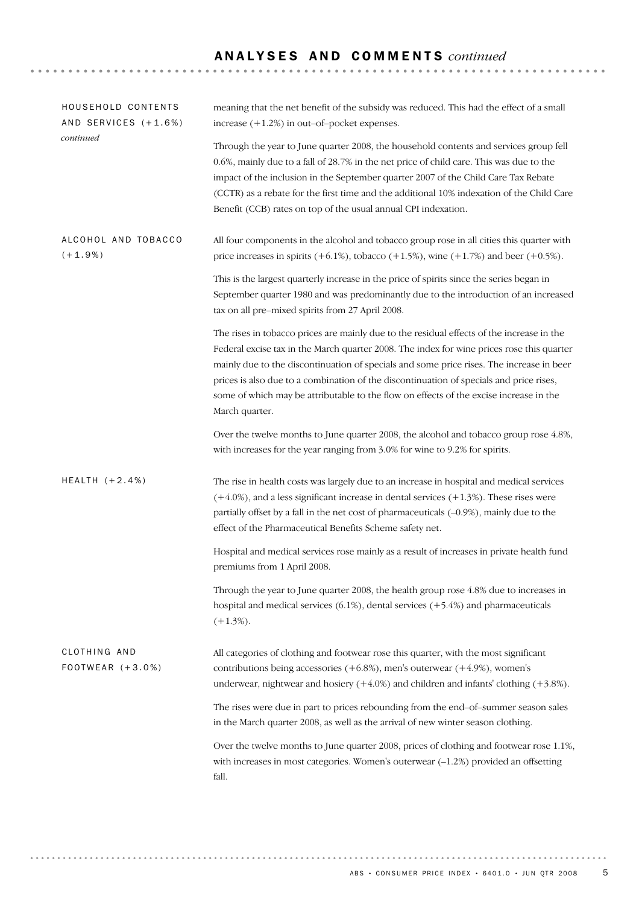| HOUSEHOLD CONTENTS<br>AND SERVICES (+1.6%) | meaning that the net benefit of the subsidy was reduced. This had the effect of a small<br>increase $(+1.2%)$ in out-of-pocket expenses.                                                                                                                                                                                                                                                                                                                                                  |  |  |  |  |
|--------------------------------------------|-------------------------------------------------------------------------------------------------------------------------------------------------------------------------------------------------------------------------------------------------------------------------------------------------------------------------------------------------------------------------------------------------------------------------------------------------------------------------------------------|--|--|--|--|
| continued                                  | Through the year to June quarter 2008, the household contents and services group fell<br>0.6%, mainly due to a fall of 28.7% in the net price of child care. This was due to the<br>impact of the inclusion in the September quarter 2007 of the Child Care Tax Rebate<br>(CCTR) as a rebate for the first time and the additional 10% indexation of the Child Care<br>Benefit (CCB) rates on top of the usual annual CPI indexation.                                                     |  |  |  |  |
| ALCOHOL AND TOBACCO<br>$(+1.9%)$           | All four components in the alcohol and tobacco group rose in all cities this quarter with<br>price increases in spirits $(+6.1\%)$ , tobacco $(+1.5\%)$ , wine $(+1.7\%)$ and beer $(+0.5\%)$ .                                                                                                                                                                                                                                                                                           |  |  |  |  |
|                                            | This is the largest quarterly increase in the price of spirits since the series began in<br>September quarter 1980 and was predominantly due to the introduction of an increased<br>tax on all pre-mixed spirits from 27 April 2008.                                                                                                                                                                                                                                                      |  |  |  |  |
|                                            | The rises in tobacco prices are mainly due to the residual effects of the increase in the<br>Federal excise tax in the March quarter 2008. The index for wine prices rose this quarter<br>mainly due to the discontinuation of specials and some price rises. The increase in beer<br>prices is also due to a combination of the discontinuation of specials and price rises,<br>some of which may be attributable to the flow on effects of the excise increase in the<br>March quarter. |  |  |  |  |
|                                            | Over the twelve months to June quarter 2008, the alcohol and tobacco group rose 4.8%,<br>with increases for the year ranging from 3.0% for wine to 9.2% for spirits.                                                                                                                                                                                                                                                                                                                      |  |  |  |  |
| HEALTH $(+2.4%)$                           | The rise in health costs was largely due to an increase in hospital and medical services<br>$(+4.0\%)$ , and a less significant increase in dental services $(+1.3\%)$ . These rises were<br>partially offset by a fall in the net cost of pharmaceuticals (-0.9%), mainly due to the<br>effect of the Pharmaceutical Benefits Scheme safety net.                                                                                                                                         |  |  |  |  |
|                                            | Hospital and medical services rose mainly as a result of increases in private health fund<br>premiums from 1 April 2008.                                                                                                                                                                                                                                                                                                                                                                  |  |  |  |  |
|                                            | Through the year to June quarter 2008, the health group rose 4.8% due to increases in<br>hospital and medical services $(6.1\%)$ , dental services $(+5.4\%)$ and pharmaceuticals<br>$(+1.3\%).$                                                                                                                                                                                                                                                                                          |  |  |  |  |
| CLOTHING AND<br>FOOTWEAR (+3.0%)           | All categories of clothing and footwear rose this quarter, with the most significant<br>contributions being accessories $(+6.8%)$ , men's outerwear $(+4.9%)$ , women's<br>underwear, nightwear and hosiery $(+4.0\%)$ and children and infants' clothing $(+3.8\%)$ .                                                                                                                                                                                                                    |  |  |  |  |
|                                            | The rises were due in part to prices rebounding from the end-of-summer season sales<br>in the March quarter 2008, as well as the arrival of new winter season clothing.                                                                                                                                                                                                                                                                                                                   |  |  |  |  |
|                                            | Over the twelve months to June quarter 2008, prices of clothing and footwear rose 1.1%,<br>with increases in most categories. Women's outerwear $(-1.2%)$ provided an offsetting<br>fall.                                                                                                                                                                                                                                                                                                 |  |  |  |  |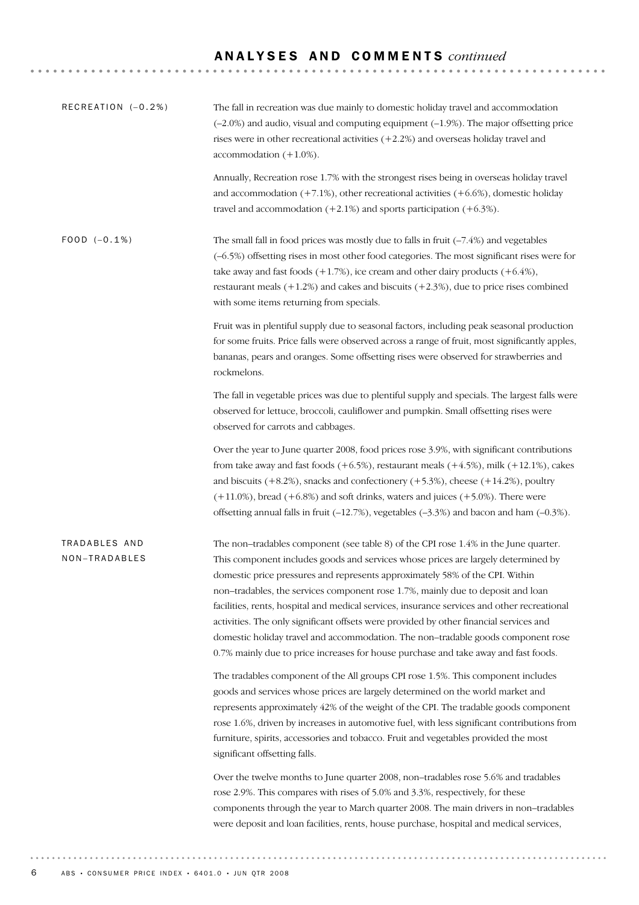| RECREATION (-0.2%)             | The fall in recreation was due mainly to domestic holiday travel and accommodation<br>$(-2.0\%)$ and audio, visual and computing equipment $(-1.9\%)$ . The major offsetting price<br>rises were in other recreational activities $(+2.2%)$ and overseas holiday travel and<br>accommodation $(+1.0\%)$ .                                                                                                                                                                                                                                                                                                                                                                                                       |
|--------------------------------|-----------------------------------------------------------------------------------------------------------------------------------------------------------------------------------------------------------------------------------------------------------------------------------------------------------------------------------------------------------------------------------------------------------------------------------------------------------------------------------------------------------------------------------------------------------------------------------------------------------------------------------------------------------------------------------------------------------------|
|                                | Annually, Recreation rose 1.7% with the strongest rises being in overseas holiday travel<br>and accommodation $(+7.1%)$ , other recreational activities $(+6.6%)$ , domestic holiday<br>travel and accommodation $(+2.1\%)$ and sports participation $(+6.3\%)$ .                                                                                                                                                                                                                                                                                                                                                                                                                                               |
| $FOOD (-0.1%)$                 | The small fall in food prices was mostly due to falls in fruit $(-7.4%)$ and vegetables<br>(-6.5%) offsetting rises in most other food categories. The most significant rises were for<br>take away and fast foods $(+1.7%)$ , ice cream and other dairy products $(+6.4%)$ ,<br>restaurant meals $(+1.2%)$ and cakes and biscuits $(+2.3%)$ , due to price rises combined<br>with some items returning from specials.                                                                                                                                                                                                                                                                                          |
|                                | Fruit was in plentiful supply due to seasonal factors, including peak seasonal production<br>for some fruits. Price falls were observed across a range of fruit, most significantly apples,<br>bananas, pears and oranges. Some offsetting rises were observed for strawberries and<br>rockmelons.                                                                                                                                                                                                                                                                                                                                                                                                              |
|                                | The fall in vegetable prices was due to plentiful supply and specials. The largest falls were<br>observed for lettuce, broccoli, cauliflower and pumpkin. Small offsetting rises were<br>observed for carrots and cabbages.                                                                                                                                                                                                                                                                                                                                                                                                                                                                                     |
|                                | Over the year to June quarter 2008, food prices rose 3.9%, with significant contributions<br>from take away and fast foods $(+6.5%)$ , restaurant meals $(+4.5%)$ , milk $(+12.1%)$ , cakes<br>and biscuits $(+8.2%)$ , snacks and confectionery $(+5.3%)$ , cheese $(+14.2%)$ , poultry<br>$(+11.0\%)$ , bread $(+6.8\%)$ and soft drinks, waters and juices $(+5.0\%)$ . There were<br>offsetting annual falls in fruit $(-12.7%)$ , vegetables $(-3.3%)$ and bacon and ham $(-0.3%)$ .                                                                                                                                                                                                                       |
| TRADABLES AND<br>NON-TRADABLES | The non-tradables component (see table 8) of the CPI rose 1.4% in the June quarter.<br>This component includes goods and services whose prices are largely determined by<br>domestic price pressures and represents approximately 58% of the CPI. Within<br>non-tradables, the services component rose 1.7%, mainly due to deposit and loan<br>facilities, rents, hospital and medical services, insurance services and other recreational<br>activities. The only significant offsets were provided by other financial services and<br>domestic holiday travel and accommodation. The non-tradable goods component rose<br>0.7% mainly due to price increases for house purchase and take away and fast foods. |
|                                | The tradables component of the All groups CPI rose 1.5%. This component includes<br>goods and services whose prices are largely determined on the world market and<br>represents approximately 42% of the weight of the CPI. The tradable goods component<br>rose 1.6%, driven by increases in automotive fuel, with less significant contributions from<br>furniture, spirits, accessories and tobacco. Fruit and vegetables provided the most<br>significant offsetting falls.                                                                                                                                                                                                                                |
|                                | Over the twelve months to June quarter 2008, non-tradables rose 5.6% and tradables<br>rose 2.9%. This compares with rises of 5.0% and 3.3%, respectively, for these<br>components through the year to March quarter 2008. The main drivers in non-tradables<br>were deposit and loan facilities, rents, house purchase, hospital and medical services,                                                                                                                                                                                                                                                                                                                                                          |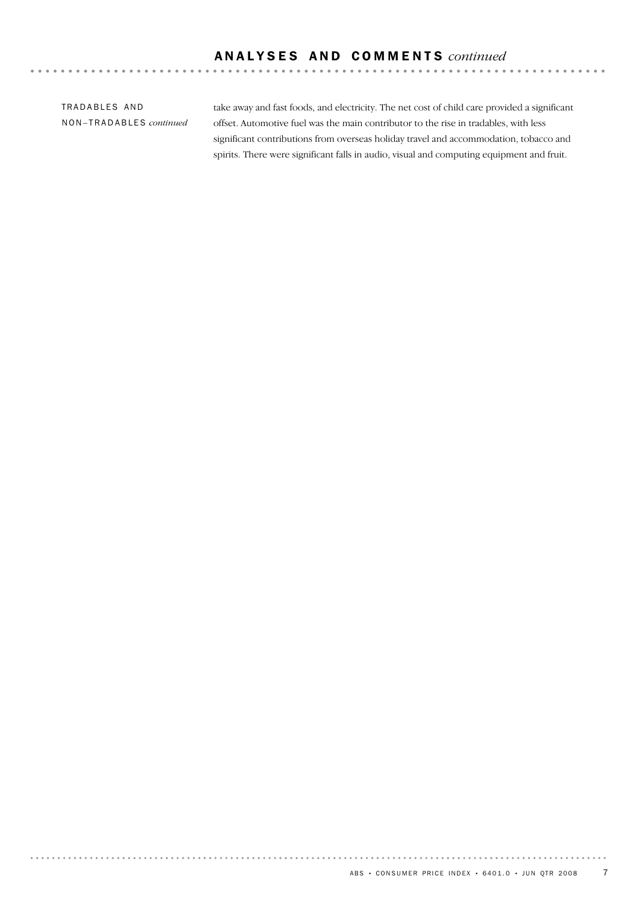TRADABLES AND NON–TRADABLES *continued*

. . . . . . . . .

 $\sim$   $\sim$ 

take away and fast foods, and electricity. The net cost of child care provided a significant offset. Automotive fuel was the main contributor to the rise in tradables, with less significant contributions from overseas holiday travel and accommodation, tobacco and spirits. There were significant falls in audio, visual and computing equipment and fruit.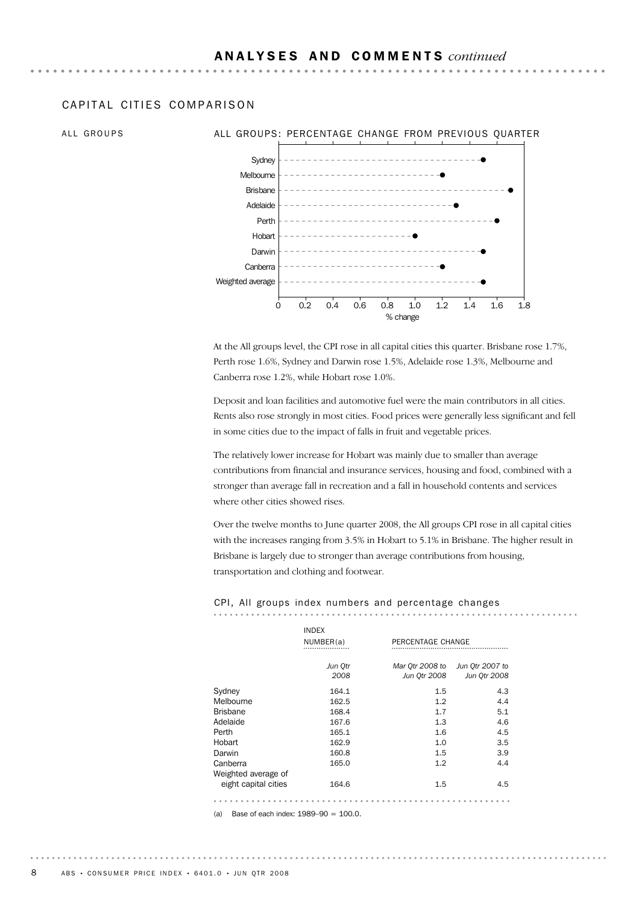#### CAPITAL CITIFS COMPARISON

### ALL GROUPS ALL GROUPS: PERCENTAGE CHANGE FROM PREVIOUS QUARTER



At the All groups level, the CPI rose in all capital cities this quarter. Brisbane rose 1.7%, Perth rose 1.6%, Sydney and Darwin rose 1.5%, Adelaide rose 1.3%, Melbourne and Canberra rose 1.2%, while Hobart rose 1.0%.

Deposit and loan facilities and automotive fuel were the main contributors in all cities. Rents also rose strongly in most cities. Food prices were generally less significant and fell in some cities due to the impact of falls in fruit and vegetable prices.

The relatively lower increase for Hobart was mainly due to smaller than average contributions from financial and insurance services, housing and food, combined with a stronger than average fall in recreation and a fall in household contents and services where other cities showed rises.

Over the twelve months to June quarter 2008, the All groups CPI rose in all capital cities with the increases ranging from 3.5% in Hobart to 5.1% in Brisbane. The higher result in Brisbane is largely due to stronger than average contributions from housing, transportation and clothing and footwear.

#### CPI, All groups index numbers and percentage changes

| PERCENTAGE CHANGE<br>Mar Otr 2008 to<br>Jun 0tr 2008<br>1.5<br>1.2<br>1.7 | Jun Qtr 2007 to<br>Jun 0tr 2008<br>4.3<br>4.4<br>5.1 |
|---------------------------------------------------------------------------|------------------------------------------------------|
|                                                                           |                                                      |
|                                                                           |                                                      |
|                                                                           |                                                      |
|                                                                           |                                                      |
|                                                                           |                                                      |
|                                                                           |                                                      |
| 1.3                                                                       | 4.6                                                  |
| 1.6                                                                       | 4.5                                                  |
| 1.0                                                                       | 3.5                                                  |
| 1.5                                                                       | 3.9                                                  |
| 1.2                                                                       | 4.4                                                  |
|                                                                           |                                                      |
| 1.5                                                                       | 4.5                                                  |
|                                                                           |                                                      |

(a) Base of each index: 1989–90 = 100.0.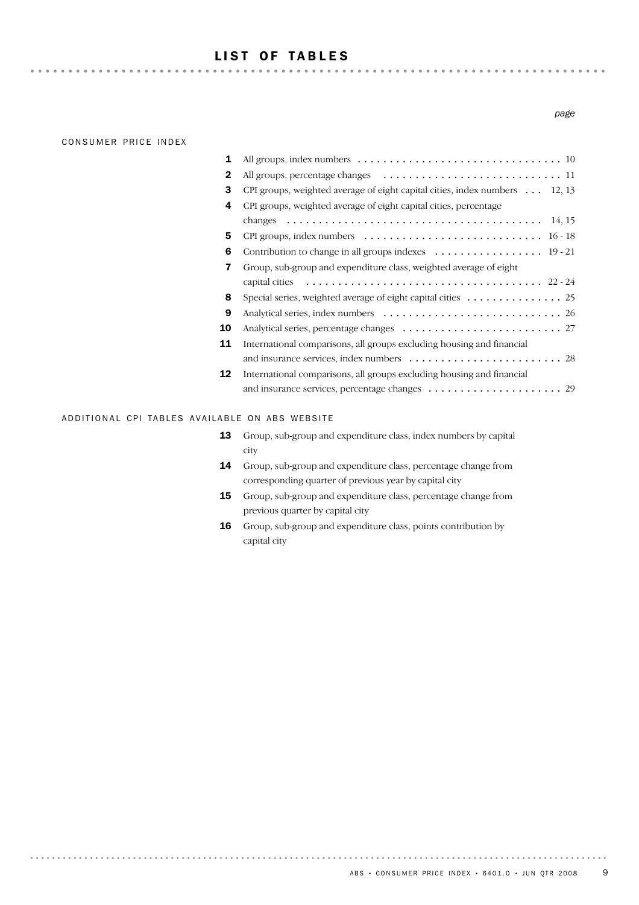### LIST OF TABLES

#### CONSUMER PRICE INDEX

. . . . . . . .

| 1  |                                                                                                         |
|----|---------------------------------------------------------------------------------------------------------|
| 2  |                                                                                                         |
| 3  | CPI groups, weighted average of eight capital cities, index numbers $\dots$ 12, 13                      |
| 4  | CPI groups, weighted average of eight capital cities, percentage                                        |
|    | 14, 15<br>changes $\ldots \ldots \ldots \ldots \ldots \ldots \ldots \ldots \ldots \ldots \ldots \ldots$ |
| 5  |                                                                                                         |
| 6  | Contribution to change in all groups indexes  19 - 21                                                   |
| 7  | Group, sub-group and expenditure class, weighted average of eight                                       |
|    |                                                                                                         |
| 8  | Special series, weighted average of eight capital cities 25                                             |
| 9  |                                                                                                         |
| 10 |                                                                                                         |
| 11 | International comparisons, all groups excluding housing and financial                                   |
|    |                                                                                                         |
| 12 | International comparisons, all groups excluding housing and financial                                   |
|    |                                                                                                         |

#### ADDITIONAL CPI TABLES AVAILABLE ON ABS WEBSITE

| 13 | Group, sub-group and expenditure class, index numbers by capital |
|----|------------------------------------------------------------------|
|    | city                                                             |

- 14 Group, sub-group and expenditure class, percentage change from corresponding quarter of previous year by capital city
- **15** Group, sub-group and expenditure class, percentage change from previous quarter by capital city
- 16 Group, sub-group and expenditure class, points contribution by capital city

*page*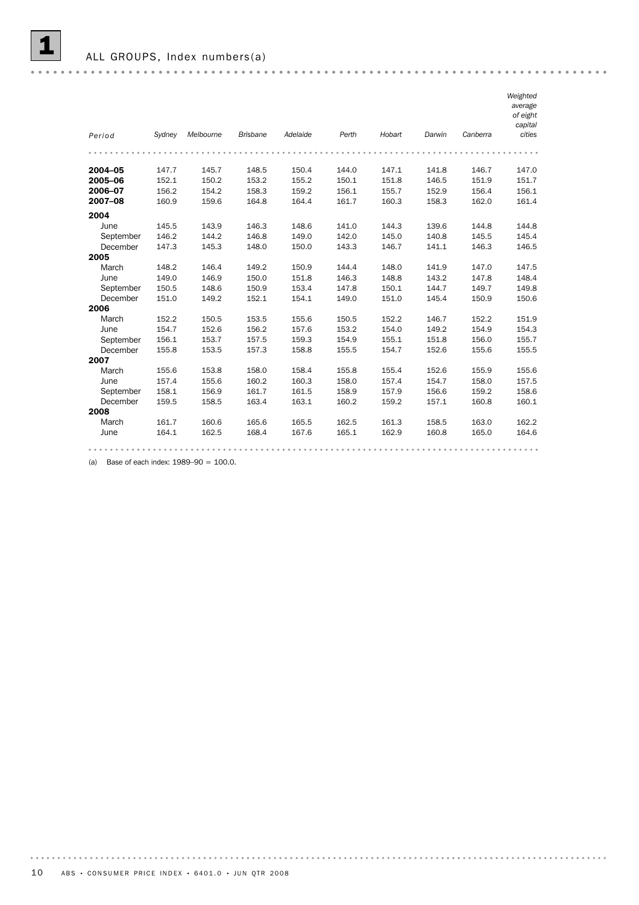

ALL GROUPS, Index numbers(a)

|           |        |           |                 |          |       |        |        |          | Weighted<br>average<br>of eight |
|-----------|--------|-----------|-----------------|----------|-------|--------|--------|----------|---------------------------------|
|           |        |           |                 |          |       |        |        |          | capital                         |
| Period    | Sydney | Melbourne | <b>Brisbane</b> | Adelaide | Perth | Hobart | Darwin | Canberra | cities                          |
|           |        |           |                 |          |       |        |        |          |                                 |
| 2004-05   | 147.7  | 145.7     | 148.5           | 150.4    | 144.0 | 147.1  | 141.8  | 146.7    | 147.0                           |
| 2005-06   | 152.1  | 150.2     | 153.2           | 155.2    | 150.1 | 151.8  | 146.5  | 151.9    | 151.7                           |
| 2006-07   | 156.2  | 154.2     | 158.3           | 159.2    | 156.1 | 155.7  | 152.9  | 156.4    | 156.1                           |
| 2007-08   | 160.9  | 159.6     | 164.8           | 164.4    | 161.7 | 160.3  | 158.3  | 162.0    | 161.4                           |
| 2004      |        |           |                 |          |       |        |        |          |                                 |
| June      | 145.5  | 143.9     | 146.3           | 148.6    | 141.0 | 144.3  | 139.6  | 144.8    | 144.8                           |
| September | 146.2  | 144.2     | 146.8           | 149.0    | 142.0 | 145.0  | 140.8  | 145.5    | 145.4                           |
| December  | 147.3  | 145.3     | 148.0           | 150.0    | 143.3 | 146.7  | 141.1  | 146.3    | 146.5                           |
| 2005      |        |           |                 |          |       |        |        |          |                                 |
| March     | 148.2  | 146.4     | 149.2           | 150.9    | 144.4 | 148.0  | 141.9  | 147.0    | 147.5                           |
| June      | 149.0  | 146.9     | 150.0           | 151.8    | 146.3 | 148.8  | 143.2  | 147.8    | 148.4                           |
| September | 150.5  | 148.6     | 150.9           | 153.4    | 147.8 | 150.1  | 144.7  | 149.7    | 149.8                           |
| December  | 151.0  | 149.2     | 152.1           | 154.1    | 149.0 | 151.0  | 145.4  | 150.9    | 150.6                           |
| 2006      |        |           |                 |          |       |        |        |          |                                 |
| March     | 152.2  | 150.5     | 153.5           | 155.6    | 150.5 | 152.2  | 146.7  | 152.2    | 151.9                           |
| June      | 154.7  | 152.6     | 156.2           | 157.6    | 153.2 | 154.0  | 149.2  | 154.9    | 154.3                           |
| September | 156.1  | 153.7     | 157.5           | 159.3    | 154.9 | 155.1  | 151.8  | 156.0    | 155.7                           |
| December  | 155.8  | 153.5     | 157.3           | 158.8    | 155.5 | 154.7  | 152.6  | 155.6    | 155.5                           |
| 2007      |        |           |                 |          |       |        |        |          |                                 |
| March     | 155.6  | 153.8     | 158.0           | 158.4    | 155.8 | 155.4  | 152.6  | 155.9    | 155.6                           |
| June      | 157.4  | 155.6     | 160.2           | 160.3    | 158.0 | 157.4  | 154.7  | 158.0    | 157.5                           |
| September | 158.1  | 156.9     | 161.7           | 161.5    | 158.9 | 157.9  | 156.6  | 159.2    | 158.6                           |
| December  | 159.5  | 158.5     | 163.4           | 163.1    | 160.2 | 159.2  | 157.1  | 160.8    | 160.1                           |
| 2008      |        |           |                 |          |       |        |        |          |                                 |
| March     | 161.7  | 160.6     | 165.6           | 165.5    | 162.5 | 161.3  | 158.5  | 163.0    | 162.2                           |
| June      | 164.1  | 162.5     | 168.4           | 167.6    | 165.1 | 162.9  | 160.8  | 165.0    | 164.6                           |
|           |        |           |                 |          |       |        |        |          |                                 |

(a) Base of each index:  $1989-90 = 100.0$ .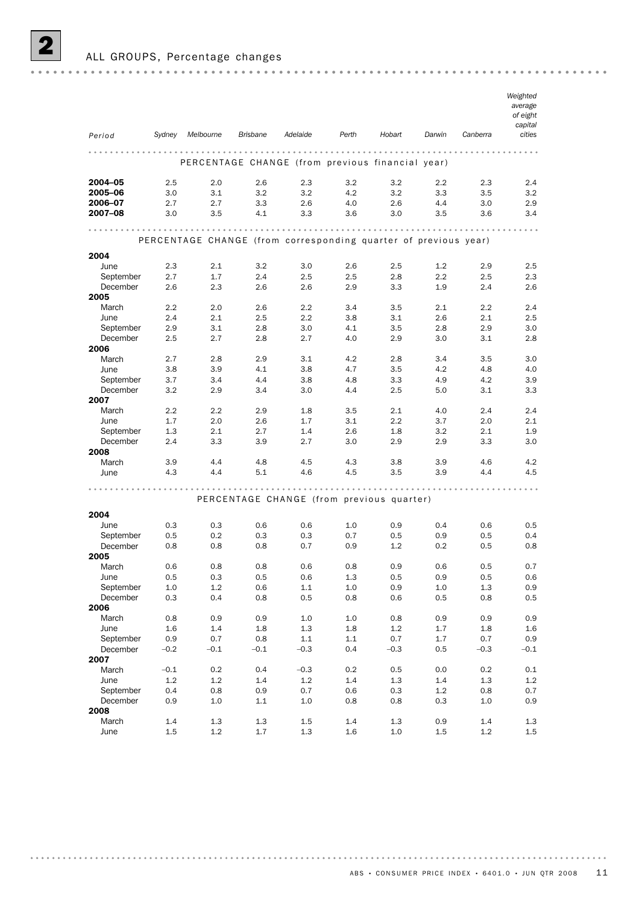

#### ALL GROUPS, Percentage changes

|                       |            |                                                                 |                 |                  |            |                                           |            |            | Weighted<br>average<br>of eight<br>capital |
|-----------------------|------------|-----------------------------------------------------------------|-----------------|------------------|------------|-------------------------------------------|------------|------------|--------------------------------------------|
| Period                | Sydney     | Melbourne                                                       | <b>Brisbane</b> | Adelaide         | Perth      | Hobart                                    | Darwin     | Canberra   | cities                                     |
|                       |            | PERCENTAGE CHANGE (from previous financial year)                |                 |                  | .          | .                                         |            |            |                                            |
| 2004-05               | 2.5        | 2.0                                                             | 2.6             | 2.3              | 3.2        | 3.2                                       | 2.2        | 2.3        | 2.4                                        |
| 2005-06               | 3.0        | 3.1                                                             | 3.2             | 3.2              | 4.2        | 3.2                                       | 3.3        | 3.5        | 3.2                                        |
| 2006-07               | 2.7        | 2.7                                                             | 3.3             | 2.6              | 4.0        | 2.6                                       | 4.4        | 3.0        | 2.9                                        |
| 2007-08               | 3.0        | 3.5                                                             | 4.1             | 3.3              | 3.6        | 3.0                                       | 3.5        | 3.6        | 3.4                                        |
|                       |            |                                                                 |                 | .                |            |                                           |            |            | $\cdots$                                   |
|                       |            | PERCENTAGE CHANGE (from corresponding quarter of previous year) |                 |                  |            |                                           |            |            |                                            |
| 2004                  |            |                                                                 |                 |                  |            |                                           |            |            |                                            |
| June                  | 2.3        | 2.1                                                             | 3.2             | 3.0              | 2.6        | 2.5                                       | 1.2        | 2.9        | 2.5                                        |
| September<br>December | 2.7<br>2.6 | 1.7<br>2.3                                                      | 2.4<br>2.6      | 2.5<br>2.6       | 2.5<br>2.9 | 2.8<br>3.3                                | 2.2<br>1.9 | 2.5<br>2.4 | 2.3<br>$2.6\,$                             |
| 2005                  |            |                                                                 |                 |                  |            |                                           |            |            |                                            |
| March                 | 2.2        | 2.0                                                             | 2.6             | 2.2              | 3.4        | 3.5                                       | 2.1        | $2.2\,$    | 2.4                                        |
| June                  | 2.4        | 2.1                                                             | 2.5             | $2.2\phantom{0}$ | 3.8        | 3.1                                       | 2.6        | 2.1        | 2.5                                        |
| September             | 2.9        | 3.1                                                             | 2.8             | 3.0              | 4.1        | 3.5                                       | 2.8        | 2.9        | 3.0                                        |
| December              | 2.5        | 2.7                                                             | 2.8             | 2.7              | 4.0        | 2.9                                       | 3.0        | 3.1        | 2.8                                        |
| 2006<br>March         | 2.7        | 2.8                                                             | 2.9             | 3.1              | 4.2        | 2.8                                       | 3.4        | 3.5        | 3.0                                        |
| June                  | 3.8        | 3.9                                                             | 4.1             | 3.8              | 4.7        | 3.5                                       | 4.2        | 4.8        | 4.0                                        |
| September             | 3.7        | 3.4                                                             | 4.4             | 3.8              | 4.8        | 3.3                                       | 4.9        | 4.2        | 3.9                                        |
| December              | 3.2        | 2.9                                                             | 3.4             | 3.0              | 4.4        | 2.5                                       | 5.0        | 3.1        | 3.3                                        |
| 2007                  |            |                                                                 |                 |                  |            |                                           |            |            |                                            |
| March                 | 2.2        | 2.2                                                             | 2.9             | 1.8              | 3.5        | 2.1                                       | 4.0        | 2.4        | 2.4                                        |
| June                  | 1.7<br>1.3 | 2.0<br>2.1                                                      | 2.6<br>2.7      | 1.7<br>1.4       | 3.1<br>2.6 | 2.2<br>1.8                                | 3.7<br>3.2 | 2.0<br>2.1 | 2.1<br>1.9                                 |
| September<br>December | 2.4        | 3.3                                                             | 3.9             | 2.7              | 3.0        | 2.9                                       | 2.9        | 3.3        | 3.0                                        |
| 2008                  |            |                                                                 |                 |                  |            |                                           |            |            |                                            |
| March                 | 3.9        | 4.4                                                             | 4.8             | 4.5              | 4.3        | 3.8                                       | 3.9        | 4.6        | 4.2                                        |
| June                  | 4.3        | 4.4                                                             | 5.1             | 4.6              | 4.5        | 3.5                                       | 3.9        | 4.4        | 4.5                                        |
| 2004                  |            |                                                                 |                 |                  |            | PERCENTAGE CHANGE (from previous quarter) |            |            |                                            |
| June                  | 0.3        | 0.3                                                             | 0.6             | 0.6              | 1.0        | 0.9                                       | 0.4        | 0.6        | 0.5                                        |
| September             | 0.5        | 0.2                                                             | 0.3             | 0.3              | 0.7        | 0.5                                       | 0.9        | 0.5        | 0.4                                        |
| December              | 0.8        | 0.8                                                             | 0.8             | 0.7              | 0.9        | 1.2                                       | 0.2        | 0.5        | 0.8                                        |
| 2005                  |            |                                                                 |                 |                  |            |                                           |            |            |                                            |
| March                 | 0.6        | 0.8                                                             | 0.8             | 0.6              | 0.8<br>1.3 | 0.9<br>0.5                                | 0.6        | 0.5<br>0.5 | 0.7<br>0.6                                 |
| June<br>September     | 0.5<br>1.0 | 0.3<br>1.2                                                      | 0.5<br>0.6      | 0.6<br>1.1       | $1.0\,$    | $0.9\,$                                   | 0.9<br>1.0 | $1.3\,$    | 0.9                                        |
| December              | 0.3        | 0.4                                                             | 0.8             | $0.5\,$          | 0.8        | 0.6                                       | $0.5\,$    | $0.8\,$    | $0.5\,$                                    |
| 2006                  |            |                                                                 |                 |                  |            |                                           |            |            |                                            |
| March                 | 0.8        | 0.9                                                             | 0.9             | 1.0              | 1.0        | 0.8                                       | 0.9        | 0.9        | 0.9                                        |
| June                  | 1.6        | 1.4                                                             | 1.8             | $1.3\,$          | $1.8\,$    | 1.2                                       | 1.7        | 1.8        | $1.6\,$                                    |
| September             | 0.9        | 0.7                                                             | $0.8\,$         | 1.1              | 1.1        | 0.7                                       | 1.7        | 0.7        | 0.9                                        |
| December<br>2007      | $-0.2$     | $-0.1$                                                          | $-0.1$          | $-0.3$           | 0.4        | $-0.3$                                    | 0.5        | $-0.3$     | $-0.1$                                     |
| March                 | $-0.1$     | 0.2                                                             | 0.4             | $-0.3$           | 0.2        | 0.5                                       | 0.0        | 0.2        | 0.1                                        |
| June                  | 1.2        | 1.2                                                             | 1.4             | 1.2              | 1.4        | 1.3                                       | 1.4        | $1.3\,$    | 1.2                                        |
| September             | 0.4        | 0.8                                                             | 0.9             | 0.7              | 0.6        | 0.3                                       | 1.2        | 0.8        | 0.7                                        |
| December              | 0.9        | $1.0\,$                                                         | 1.1             | $1.0\,$          | 0.8        | 0.8                                       | 0.3        | $1.0\,$    | 0.9                                        |
| 2008                  |            |                                                                 |                 |                  |            |                                           |            |            |                                            |
| March                 | 1.4        | 1.3                                                             | $1.3\,$         | 1.5              | 1.4        | $1.3\,$                                   | 0.9        | 1.4        | 1.3                                        |

June 1.5 1.2 1.7 1.3 1.6 1.0 1.5 1.2 1.5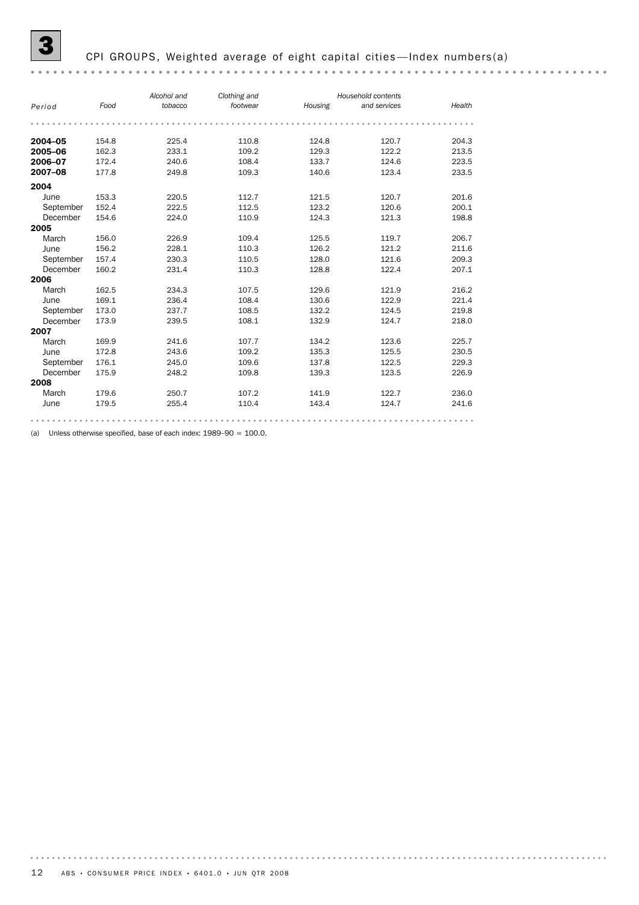#### CPI GROUPS, Weighted average of eight capital cities-Index numbers(a)

#### *Alcohol and Clothing and Household contents Period Food tobacco Housing and services footwear Health* **2004–05** 154.8 225.4 110.8 124.8 120.7 204.3 2005–06 162.3 233.1 109.2 129.3 122.2 213.5<br>2005–06 162.3 233.1 109.2 129.3 122.2 213.5 **2006–07** 172.4 240.6 108.4 133.7 124.6 223.5 **2007–08** 177.8 249.8 109.3 140.6 123.4 233.5 2004 --<br>
June 153.3 220.5 112.7 121.5 120.7 201.6<br>
September 152.4 222.5 112.5 123.2 120.6 200.1 e - .<br>
June 153.3 220.5 112.7 121.5 120.7 201.6<br>
September 152.4 222.5 112.5 123.2 120.6 200.1 December 154.6 224.0 110.9 124.3 121.3 198.8 2005 March 156.0 226.9 109.4 125.5 119.7 206.7 September 157.4 230.3 110.5 128.0 121.6 209.3 June 156.2 228.1 110.3 126.2 121.2 211.6 December 160.2 231.4 110.3 128.8 122.4 207.1 2006 March 162.5 234.3 107.5 129.6 121.9 216.2 June 169.1 236.4 108.4 130.6 122.9 221.4 September 173.0 237.7 108.5 132.2 124.5 219.8 December 173.9 239.5 108.1 132.9 124.7 218.0 2007 March 169.9 241.6 107.7 134.2 123.6 225.7 June 172.8 243.6 109.2 135.3 125.5 230.5 September 176.1 245.0 109.6 137.8 122.5 229.3 December 175.9 248.2 109.8 139.3 123.5 226.9 **2008**<br>March March 179.6 250.7 107.2 141.9 122.7 236.0 June 179.5 255.4 110.4 143.4 124.7 241.6

(a) Unless otherwise specified, base of each index: 1989–90 = 100.0.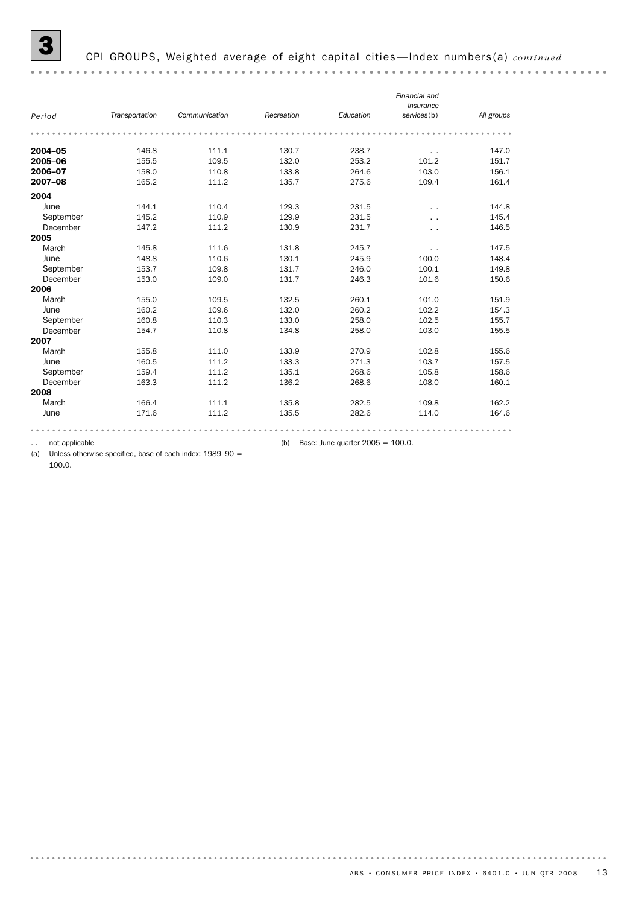3 CPI GROUPS, Weighted average of eight capital cities —Index numbers(a) *continued* 

*Financial and insurance Period Transportation Communication Recreation Education services*(b) *All groups* **2004–05** 146.8 111.1 130.7 238.7 . 147.0 **2005–06** 155.5 109.5 132.0 253.2 101.2 151.7 **2006–07** 158.0 110.8 133.8 264.6 103.0 156.1 **2007–08** 165.2 111.2 135.7 275.6 109.4 161.4 2004 June 144.1 110.4 129.3 231.5 . . 144.8 September 145.2 110.9 129.9 231.5 . 145.4 December 147.2 111.2 130.9 231.7 . 146.5 2005 March 145.8 111.6 131.8 245.7 . . 147.5 June 148.8 110.6 130.1 245.9 100.0 148.4 September 153.7 109.8 131.7 246.0 100.1 149.8 December 153.0 109.0 131.7 246.3 101.6 150.6 2006 March 155.0 109.5 132.5 260.1 101.0 151.9 June 160.2 109.6 132.0 260.2 102.2 154.3 September 160.8 110.3 133.0 258.0 102.5 155.7 156.7 154.7 110.8 134.8 258.0 103.0 155.5 December 154.7 110.8 134.8 258.0 103.0 155.5 2007 March 155.8 111.0 133.9 270.9 102.8 155.6 June 160.5 111.2 133.3 271.3 103.7 157.5 September 159.4 111.2 135.1 268.6 105.8 158.6 December 163.3 111.2 136.2 268.6 108.0 160.1 2008 March 166.4 111.1 135.8 282.5 109.8 162.2 June 171.6 111.2 135.5 282.6 114.0 164.6

.. not applicable  $($ ) Base: June quarter 2005 = 100.0.

(a) Unless otherwise specified, base of each index: 1989–90 = 100.0.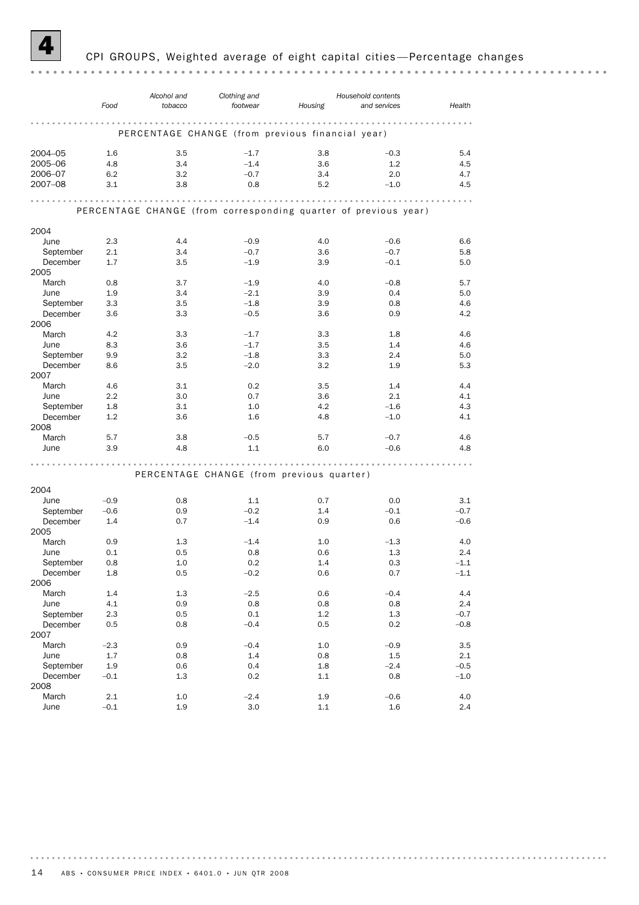

#### 4 CPI GROUPS, Weighted average of eight capital cities —Percentage changes

|           | Food    | Alcohol and<br>tobacco                                          | Clothing and<br>footwear | Housing | Household contents<br>and services | Health |
|-----------|---------|-----------------------------------------------------------------|--------------------------|---------|------------------------------------|--------|
|           |         |                                                                 |                          |         |                                    |        |
|           |         | PERCENTAGE CHANGE (from previous financial year)                |                          |         |                                    |        |
| 2004-05   | 1.6     | 3.5                                                             | $-1.7$                   | 3.8     | $-0.3$                             | 5.4    |
| 2005-06   | 4.8     | 3.4                                                             | $-1.4$                   | 3.6     | 1.2                                | 4.5    |
| 2006-07   | 6.2     | 3.2                                                             | $-0.7$                   | 3.4     | 2.0                                | 4.7    |
| 2007-08   | 3.1     | 3.8                                                             | 0.8                      | 5.2     | $-1.0$                             | 4.5    |
|           |         |                                                                 | .                        | .       | .                                  |        |
|           |         | PERCENTAGE CHANGE (from corresponding quarter of previous year) |                          |         |                                    |        |
| 2004      |         |                                                                 |                          |         |                                    |        |
| June      | 2.3     | 4.4                                                             | $-0.9$                   | 4.0     | $-0.6$                             | 6.6    |
| September | 2.1     | 3.4                                                             | $-0.7$                   | 3.6     | $-0.7$                             | 5.8    |
| December  | 1.7     | 3.5                                                             | $-1.9$                   | 3.9     | $-0.1$                             | 5.0    |
| 2005      |         |                                                                 |                          |         |                                    |        |
| March     | 0.8     | 3.7                                                             | $-1.9$                   | 4.0     | $-0.8$                             | 5.7    |
| June      | 1.9     | 3.4                                                             | $-2.1$                   | 3.9     | 0.4                                | 5.0    |
| September | 3.3     | 3.5                                                             | $-1.8$                   | 3.9     | 0.8                                | 4.6    |
| December  |         |                                                                 |                          |         |                                    | 4.2    |
|           | 3.6     | 3.3                                                             | $-0.5$                   | 3.6     | 0.9                                |        |
| 2006      |         |                                                                 |                          |         |                                    |        |
| March     | 4.2     | 3.3                                                             | $-1.7$                   | 3.3     | 1.8                                | 4.6    |
| June      | 8.3     | 3.6                                                             | $-1.7$                   | 3.5     | 1.4                                | 4.6    |
| September | 9.9     | 3.2                                                             | $-1.8$                   | 3.3     | 2.4                                | 5.0    |
| December  | 8.6     | 3.5                                                             | $-2.0$                   | 3.2     | 1.9                                | 5.3    |
| 2007      |         |                                                                 |                          |         |                                    |        |
| March     | 4.6     | 3.1                                                             | 0.2                      | 3.5     | 1.4                                | 4.4    |
| June      | 2.2     | 3.0                                                             | 0.7                      | 3.6     | 2.1                                | 4.1    |
| September | 1.8     | 3.1                                                             | 1.0                      | 4.2     | $-1.6$                             | 4.3    |
| December  | 1.2     | 3.6                                                             | 1.6                      | 4.8     | $-1.0$                             | 4.1    |
| 2008      |         |                                                                 |                          |         |                                    |        |
| March     | 5.7     | 3.8                                                             | $-0.5$                   | 5.7     | $-0.7$                             | 4.6    |
| June      | 3.9     | 4.8                                                             | 1.1                      | 6.0     | $-0.6$                             | 4.8    |
|           |         |                                                                 |                          |         |                                    |        |
|           |         |                                                                 |                          |         |                                    |        |
|           |         | PERCENTAGE CHANGE (from previous quarter)                       |                          |         |                                    |        |
| 2004      |         |                                                                 |                          |         |                                    |        |
| June      | $-0.9$  | 0.8                                                             | 1.1                      | 0.7     | 0.0                                | 3.1    |
| September | $-0.6$  | 0.9                                                             | $-0.2$                   | 1.4     | $-0.1$                             | $-0.7$ |
| December  | 1.4     | 0.7                                                             | $-1.4$                   | 0.9     | 0.6                                | $-0.6$ |
| 2005      |         |                                                                 |                          |         |                                    |        |
| March     | 0.9     | 1.3                                                             | $-1.4$                   | 1.0     | $-1.3$                             | 4.0    |
| June      | 0.1     | 0.5                                                             | 0.8                      | 0.6     | 1.3                                | 2.4    |
| September | 0.8     | 1.0                                                             | 0.2                      | 1.4     | 0.3                                | $-1.1$ |
| December  | $1.8\,$ | 0.5                                                             | $-0.2$                   | 0.6     | 0.7                                | $-1.1$ |
| 2006      |         |                                                                 |                          |         |                                    |        |
| March     | 1.4     | 1.3                                                             | $-2.5$                   | 0.6     | $-0.4$                             | 4.4    |
| June      | 4.1     | 0.9                                                             | 0.8                      | 0.8     | 0.8                                | 2.4    |
| September | 2.3     | 0.5                                                             | 0.1                      | 1.2     | 1.3                                | $-0.7$ |
|           |         |                                                                 |                          |         |                                    |        |
| December  | 0.5     | 0.8                                                             | $-0.4$                   | 0.5     | 0.2                                | $-0.8$ |
| 2007      |         |                                                                 |                          |         |                                    |        |
| March     | $-2.3$  | 0.9                                                             | $-0.4$                   | 1.0     | $-0.9$                             | 3.5    |
| June      | 1.7     | 0.8                                                             | 1.4                      | 0.8     | $1.5\,$                            | 2.1    |
| September | $1.9\,$ | 0.6                                                             | 0.4                      | $1.8\,$ | $-2.4$                             | $-0.5$ |
| December  | $-0.1$  | 1.3                                                             | 0.2                      | $1.1\,$ | 0.8                                | $-1.0$ |
| 2008      |         |                                                                 |                          |         |                                    |        |
| March     | $2.1\,$ | 1.0                                                             | $-2.4$                   | 1.9     | $-0.6$                             | 4.0    |
| June      | $-0.1$  | 1.9                                                             | 3.0                      | $1.1\,$ | $1.6\,$                            | 2.4    |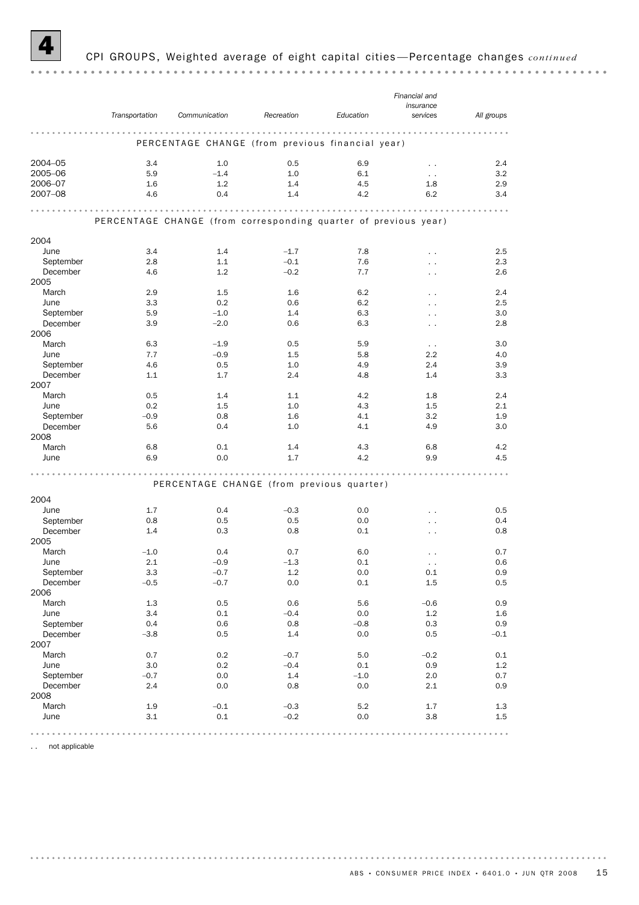

#### 4 CPI GROUPS, Weighted average of eight capital cities —Percentage changes *continued*

|           |                |                                                                 |            |           | Financial and        |            |
|-----------|----------------|-----------------------------------------------------------------|------------|-----------|----------------------|------------|
|           |                |                                                                 |            |           | insurance            |            |
|           | Transportation | Communication                                                   | Recreation | Education | services             | All groups |
|           |                |                                                                 |            | .         | .                    |            |
|           |                | PERCENTAGE CHANGE (from previous financial year)                |            |           |                      |            |
| 2004-05   | 3.4            | 1.0                                                             | 0.5        | 6.9       | $\ddot{\phantom{0}}$ | 2.4        |
| 2005-06   | 5.9            | $-1.4$                                                          | 1.0        | 6.1       | $\sim$ $\sim$        | 3.2        |
| 2006-07   | 1.6            | 1.2                                                             | 1.4        | 4.5       | 1.8                  | 2.9        |
| 2007-08   | 4.6            | 0.4                                                             | 1.4        | 4.2       | 6.2                  | 3.4        |
|           |                |                                                                 | .          | .         | .                    | $-0.0$     |
|           |                | PERCENTAGE CHANGE (from corresponding quarter of previous year) |            |           |                      |            |
| 2004      |                |                                                                 |            |           |                      |            |
| June      | 3.4            | 1.4                                                             | $-1.7$     | 7.8       | $\ddot{\phantom{0}}$ | 2.5        |
| September | 2.8            | 1.1                                                             | $-0.1$     | 7.6       | . .                  | 2.3        |
| December  | 4.6            | 1.2                                                             | $-0.2$     | 7.7       |                      | 2.6        |
| 2005      |                |                                                                 |            |           | . .                  |            |
| March     | 2.9            | 1.5                                                             | 1.6        | 6.2       |                      | 2.4        |
| June      | 3.3            | 0.2                                                             | 0.6        | 6.2       | $\ddot{\phantom{0}}$ | 2.5        |
|           |                |                                                                 |            |           | $\ddot{\phantom{0}}$ |            |
| September | 5.9            | $-1.0$                                                          | 1.4        | 6.3       | $\ddot{\phantom{0}}$ | 3.0        |
| December  | 3.9            | $-2.0$                                                          | 0.6        | 6.3       | $\ddotsc$            | 2.8        |
| 2006      |                |                                                                 |            |           |                      |            |
| March     | 6.3            | $-1.9$                                                          | 0.5        | 5.9       | $\sim$ $\sim$        | 3.0        |
| June      | 7.7            | $-0.9$                                                          | 1.5        | 5.8       | $2.2\,$              | 4.0        |
| September | 4.6            | 0.5                                                             | 1.0        | 4.9       | 2.4                  | 3.9        |
| December  | 1.1            | 1.7                                                             | 2.4        | 4.8       | 1.4                  | 3.3        |
| 2007      |                |                                                                 |            |           |                      |            |
| March     | 0.5            | 1.4                                                             | 1.1        | 4.2       | 1.8                  | 2.4        |
| June      | 0.2            | 1.5                                                             | 1.0        | 4.3       | 1.5                  | 2.1        |
| September | $-0.9$         | 0.8                                                             | 1.6        | 4.1       | 3.2                  | 1.9        |
| December  | 5.6            | 0.4                                                             | 1.0        | 4.1       | 4.9                  | 3.0        |
| 2008      |                |                                                                 |            |           |                      |            |
| March     | 6.8            | 0.1                                                             | 1.4        | 4.3       | 6.8                  | 4.2        |
| June      | 6.9            | 0.0                                                             | 1.7        | 4.2       | 9.9                  | 4.5        |
|           |                |                                                                 |            |           |                      |            |
|           |                | PERCENTAGE CHANGE (from previous quarter)                       |            |           |                      |            |
| 2004      |                |                                                                 |            |           |                      |            |
| June      | 1.7            | 0.4                                                             | $-0.3$     | 0.0       | $\ddot{\phantom{0}}$ | 0.5        |
| September | 0.8            | 0.5                                                             | 0.5        | 0.0       | . .                  | 0.4        |
| December  | 1.4            | 0.3                                                             | 0.8        | 0.1       | . .                  | 0.8        |
| 2005      |                |                                                                 |            |           |                      |            |
| March     | $-1.0$         | 0.4                                                             | 0.7        | 6.0       | $\ddot{\phantom{1}}$ | 0.7        |
| June      | 2.1            | $-0.9$                                                          | $-1.3$     | 0.1       | . .                  | 0.6        |
| September | 3.3            | $-0.7$                                                          | $1.2\,$    | $0.0\,$   | $0.1\,$              | 0.9        |
| December  | $-0.5$         | $-0.7$                                                          | 0.0        | 0.1       | 1.5                  | 0.5        |
| 2006      |                |                                                                 |            |           |                      |            |
| March     | $1.3\,$        | 0.5                                                             | 0.6        | 5.6       | $-0.6$               | 0.9        |
|           | 3.4            | 0.1                                                             | $-0.4$     | 0.0       |                      |            |
| June      |                |                                                                 |            |           | 1.2                  | 1.6        |
| September | 0.4            | 0.6                                                             | 0.8        | $-0.8$    | 0.3                  | 0.9        |
| December  | $-3.8$         | 0.5                                                             | 1.4        | 0.0       | 0.5                  | $-0.1$     |
| 2007      |                |                                                                 |            |           |                      |            |
| March     | 0.7            | 0.2                                                             | $-0.7$     | 5.0       | $-0.2$               | 0.1        |
| June      | 3.0            | 0.2                                                             | $-0.4$     | 0.1       | 0.9                  | 1.2        |
| September | $-0.7$         | 0.0                                                             | 1.4        | $-1.0$    | 2.0                  | 0.7        |
| December  | 2.4            | 0.0                                                             | 0.8        | 0.0       | 2.1                  | 0.9        |
| 2008      |                |                                                                 |            |           |                      |            |
| March     | 1.9            | $-0.1$                                                          | $-0.3$     | 5.2       | 1.7                  | 1.3        |
| June      | 3.1            | 0.1                                                             | $-0.2$     | 0.0       | 3.8                  | 1.5        |
|           |                |                                                                 |            | .         | $-0$ $-0$ $-0$ $-0$  |            |
|           |                |                                                                 |            |           |                      |            |

.. not applicable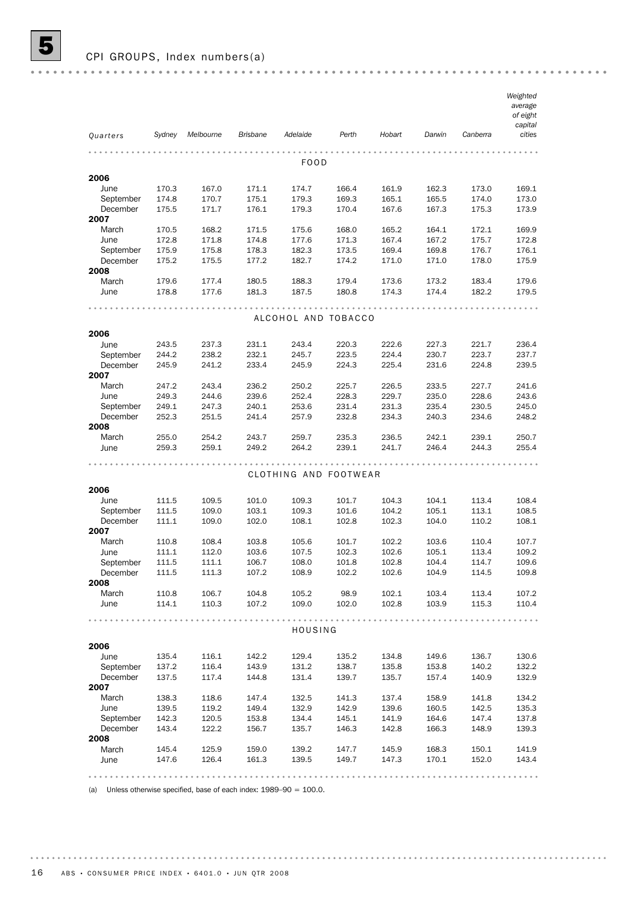|               |                |                |                 | Adelaide              | Perth          | Hobart         |                |                | Weighted<br>average<br>of eight<br>capital<br>cities |
|---------------|----------------|----------------|-----------------|-----------------------|----------------|----------------|----------------|----------------|------------------------------------------------------|
| Quarters      | Sydney         | Melbourne      | <b>Brisbane</b> |                       |                |                | Darwin         | Canberra       |                                                      |
|               |                |                |                 | FOOD                  |                |                |                |                |                                                      |
| 2006          |                |                |                 |                       |                |                |                |                |                                                      |
| June          | 170.3          | 167.0          | 171.1           | 174.7                 | 166.4          | 161.9          | 162.3          | 173.0          | 169.1                                                |
| September     | 174.8          | 170.7          | 175.1           | 179.3                 | 169.3          | 165.1          | 165.5          | 174.0          | 173.0                                                |
| December      | 175.5          | 171.7          | 176.1           | 179.3                 | 170.4          | 167.6          | 167.3          | 175.3          | 173.9                                                |
| 2007<br>March | 170.5          | 168.2          | 171.5           | 175.6                 | 168.0          | 165.2          | 164.1          | 172.1          | 169.9                                                |
| June          | 172.8          | 171.8          | 174.8           | 177.6                 | 171.3          | 167.4          | 167.2          | 175.7          | 172.8                                                |
| September     | 175.9          | 175.8          | 178.3           | 182.3                 | 173.5          | 169.4          | 169.8          | 176.7          | 176.1                                                |
| December      | 175.2          | 175.5          | 177.2           | 182.7                 | 174.2          | 171.0          | 171.0          | 178.0          | 175.9                                                |
| 2008          |                |                |                 |                       |                |                |                |                |                                                      |
| March         | 179.6          | 177.4          | 180.5           | 188.3                 | 179.4          | 173.6          | 173.2          | 183.4          | 179.6                                                |
| June          | 178.8          | 177.6          | 181.3           | 187.5                 | 180.8          | 174.3          | 174.4          | 182.2          | 179.5                                                |
|               |                |                |                 |                       |                |                |                |                |                                                      |
|               |                |                |                 | ALCOHOL AND TOBACCO   |                |                |                |                |                                                      |
|               |                |                |                 |                       |                |                |                |                |                                                      |
| 2006<br>June  | 243.5          |                |                 |                       |                |                |                |                | 236.4                                                |
| September     | 244.2          | 237.3<br>238.2 | 231.1<br>232.1  | 243.4<br>245.7        | 220.3<br>223.5 | 222.6<br>224.4 | 227.3<br>230.7 | 221.7<br>223.7 | 237.7                                                |
| December      | 245.9          | 241.2          | 233.4           | 245.9                 | 224.3          | 225.4          | 231.6          | 224.8          | 239.5                                                |
| 2007          |                |                |                 |                       |                |                |                |                |                                                      |
| March         | 247.2          | 243.4          | 236.2           | 250.2                 | 225.7          | 226.5          | 233.5          | 227.7          | 241.6                                                |
| June          | 249.3          | 244.6          | 239.6           | 252.4                 | 228.3          | 229.7          | 235.0          | 228.6          | 243.6                                                |
| September     | 249.1          | 247.3          | 240.1           | 253.6                 | 231.4          | 231.3          | 235.4          | 230.5          | 245.0                                                |
| December      | 252.3          | 251.5          | 241.4           | 257.9                 | 232.8          | 234.3          | 240.3          | 234.6          | 248.2                                                |
| 2008          |                |                |                 |                       |                |                |                |                |                                                      |
| March         | 255.0          | 254.2          | 243.7           | 259.7                 | 235.3          | 236.5          | 242.1          | 239.1          | 250.7                                                |
| June          | 259.3          | 259.1          | 249.2           | 264.2                 | 239.1          | 241.7          | 246.4          | 244.3          | 255.4                                                |
|               |                |                |                 |                       |                |                |                |                |                                                      |
| 2006          |                |                |                 | CLOTHING AND FOOTWEAR |                |                |                |                |                                                      |
| June          | 111.5          | 109.5          | 101.0           | 109.3                 | 101.7          | 104.3          | 104.1          | 113.4          | 108.4                                                |
| September     | 111.5          | 109.0          | 103.1           | 109.3                 | 101.6          | 104.2          | 105.1          | 113.1          | 108.5                                                |
| December      | 111.1          | 109.0          | 102.0           | 108.1                 | 102.8          | 102.3          | 104.0          | 110.2          | 108.1                                                |
| 2007          |                |                |                 |                       |                |                |                |                |                                                      |
| March         | 110.8          | 108.4          | 103.8           | 105.6                 | 101.7          | 102.2          | 103.6          | 110.4          | 107.7                                                |
| June          | 111.1          | 112.0          | 103.6           | 107.5                 | 102.3          | 102.6          | 105.1          | 113.4          | 109.2                                                |
| September     | 111.5          | 111.1          | 106.7           | 108.0                 | 101.8          | 102.8          | 104.4          | 114.7          | 109.6                                                |
| December      | 111.5          | 111.3          | 107.2           | 108.9                 | 102.2          | 102.6          | 104.9          | 114.5          | 109.8                                                |
| 2008          |                |                |                 |                       |                |                |                |                |                                                      |
| March<br>June | 110.8<br>114.1 | 106.7<br>110.3 | 104.8<br>107.2  | 105.2<br>109.0        | 98.9<br>102.0  | 102.1<br>102.8 | 103.4<br>103.9 | 113.4<br>115.3 | 107.2<br>110.4                                       |
|               |                |                |                 |                       |                |                |                |                |                                                      |
|               |                |                |                 | HOUSING               |                |                |                |                |                                                      |
| 2006          |                |                |                 |                       |                |                |                |                |                                                      |
| June          | 135.4          | 116.1          | 142.2           | 129.4                 | 135.2          | 134.8          | 149.6          | 136.7          | 130.6                                                |
| September     | 137.2          | 116.4          | 143.9           | 131.2                 | 138.7          | 135.8          | 153.8          | 140.2          | 132.2                                                |
| December      | 137.5          | 117.4          | 144.8           | 131.4                 | 139.7          | 135.7          | 157.4          | 140.9          | 132.9                                                |
| 2007          |                |                |                 |                       |                |                |                |                |                                                      |
| March         | 138.3          | 118.6          | 147.4           | 132.5                 | 141.3          | 137.4          | 158.9          | 141.8          | 134.2                                                |
| June          | 139.5          | 119.2          | 149.4           | 132.9                 | 142.9          | 139.6          | 160.5          | 142.5          | 135.3                                                |
| September     | 142.3          | 120.5          | 153.8           | 134.4                 | 145.1          | 141.9          | 164.6          | 147.4          | 137.8                                                |
| December      | 143.4          | 122.2          | 156.7           | 135.7                 | 146.3          | 142.8          | 166.3          | 148.9          | 139.3                                                |
| 2008          |                |                |                 |                       | 147.7          | 145.9          | 168.3          | 150.1          | 141.9                                                |
|               |                |                |                 |                       |                |                |                |                |                                                      |
| March<br>June | 145.4<br>147.6 | 125.9<br>126.4 | 159.0<br>161.3  | 139.2<br>139.5        | 149.7          | 147.3          | 170.1          | 152.0          | 143.4                                                |

(a) Unless otherwise specified, base of each index:  $1989-90 = 100.0$ .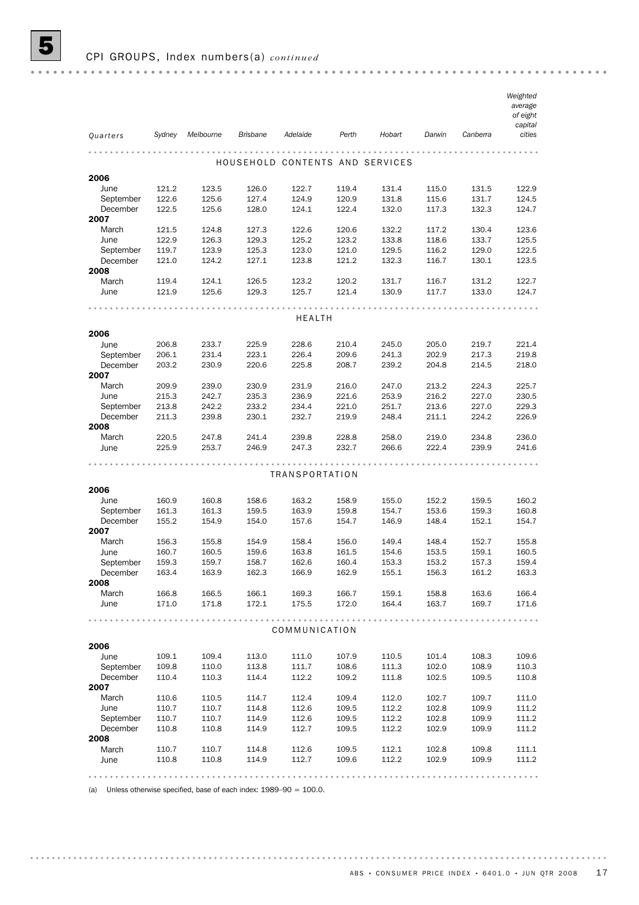|                       |                |                |                 |                |                |                                 |                |                | Weighted<br>average |
|-----------------------|----------------|----------------|-----------------|----------------|----------------|---------------------------------|----------------|----------------|---------------------|
|                       |                |                |                 |                |                |                                 |                |                | of eight<br>capital |
| Quarters              | Sydney         | Melbourne      | <b>Brisbane</b> | Adelaide       | Perth          | Hobart                          | Darwin         | Canberra       | cities              |
|                       |                |                |                 |                |                |                                 |                |                |                     |
|                       |                |                |                 |                |                | HOUSEHOLD CONTENTS AND SERVICES |                |                |                     |
| 2006                  |                |                |                 |                |                |                                 |                |                |                     |
| June                  | 121.2          | 123.5          | 126.0           | 122.7          | 119.4          | 131.4                           | 115.0          | 131.5          | 122.9               |
| September             | 122.6          | 125.6          | 127.4           | 124.9          | 120.9          | 131.8                           | 115.6          | 131.7          | 124.5               |
| December              | 122.5          | 125.6          | 128.0           | 124.1          | 122.4          | 132.0                           | 117.3          | 132.3          | 124.7               |
| 2007<br>March         | 121.5          | 124.8          | 127.3           | 122.6          | 120.6          | 132.2                           | 117.2          | 130.4          | 123.6               |
| June                  | 122.9          | 126.3          | 129.3           | 125.2          | 123.2          | 133.8                           | 118.6          | 133.7          | 125.5               |
| September             | 119.7          | 123.9          | 125.3           | 123.0          | 121.0          | 129.5                           | 116.2          | 129.0          | 122.5               |
| December              | 121.0          | 124.2          | 127.1           | 123.8          | 121.2          | 132.3                           | 116.7          | 130.1          | 123.5               |
| 2008                  |                |                |                 |                |                |                                 |                |                |                     |
| March                 | 119.4          | 124.1          | 126.5           | 123.2          | 120.2          | 131.7                           | 116.7          | 131.2          | 122.7               |
| June                  | 121.9          | 125.6          | 129.3           | 125.7          | 121.4          | 130.9                           | 117.7          | 133.0          | 124.7               |
|                       |                |                |                 | <b>HEALTH</b>  |                |                                 |                |                |                     |
|                       |                |                |                 |                |                |                                 |                |                |                     |
| 2006                  |                |                |                 |                |                |                                 |                |                |                     |
| June                  | 206.8          | 233.7          | 225.9           | 228.6          | 210.4          | 245.0                           | 205.0          | 219.7          | 221.4               |
| September<br>December | 206.1<br>203.2 | 231.4<br>230.9 | 223.1<br>220.6  | 226.4<br>225.8 | 209.6<br>208.7 | 241.3<br>239.2                  | 202.9<br>204.8 | 217.3<br>214.5 | 219.8<br>218.0      |
| 2007                  |                |                |                 |                |                |                                 |                |                |                     |
| March                 | 209.9          | 239.0          | 230.9           | 231.9          | 216.0          | 247.0                           | 213.2          | 224.3          | 225.7               |
| June                  | 215.3          | 242.7          | 235.3           | 236.9          | 221.6          | 253.9                           | 216.2          | 227.0          | 230.5               |
| September             | 213.8          | 242.2          | 233.2           | 234.4          | 221.0          | 251.7                           | 213.6          | 227.0          | 229.3               |
| December              | 211.3          | 239.8          | 230.1           | 232.7          | 219.9          | 248.4                           | 211.1          | 224.2          | 226.9               |
| 2008                  |                |                |                 |                |                |                                 |                |                |                     |
| March                 | 220.5          | 247.8          | 241.4           | 239.8          | 228.8          | 258.0                           | 219.0          | 234.8          | 236.0               |
| June                  | 225.9          | 253.7          | 246.9           | 247.3          | 232.7          | 266.6                           | 222.4          | 239.9          | 241.6               |
|                       |                |                |                 | TRANSPORTATION |                |                                 |                |                |                     |
| 2006                  |                |                |                 |                |                |                                 |                |                |                     |
| June                  | 160.9          | 160.8          | 158.6           | 163.2          | 158.9          | 155.0                           | 152.2          | 159.5          | 160.2               |
| September             | 161.3          | 161.3          | 159.5           | 163.9          | 159.8          | 154.7                           | 153.6          | 159.3          | 160.8               |
| December              | 155.2          | 154.9          | 154.0           | 157.6          | 154.7          | 146.9                           | 148.4          | 152.1          | 154.7               |
| 2007                  |                |                |                 |                |                |                                 |                |                |                     |
| March                 | 156.3          | 155.8          | 154.9           | 158.4          | 156.0          | 149.4                           | 148.4          | 152.7          | 155.8               |
| June                  | 160.7          | 160.5          | 159.6           | 163.8          | 161.5          | 154.6                           | 153.5          | 159.1          | 160.5               |
| September             | 159.3          | 159.7          | 158.7           | 162.6          | 160.4          | 153.3                           | 153.2          | 157.3          | 159.4               |
| December              | 163.4          | 163.9          | 162.3           | 166.9          | 162.9          | 155.1                           | 156.3          | 161.2          | 163.3               |
| 2008                  |                |                |                 |                |                |                                 |                |                |                     |
| March                 | 166.8          | 166.5          | 166.1           | 169.3          | 166.7          | 159.1                           | 158.8          | 163.6          | 166.4               |
| June                  | 171.0          | 171.8          | 172.1           | 175.5          | 172.0          | 164.4                           | 163.7          | 169.7          | 171.6               |
|                       |                |                |                 | COMMUNICATION  |                |                                 |                |                |                     |
| 2006                  |                |                |                 |                |                |                                 |                |                |                     |
| June                  | 109.1          | 109.4          | 113.0           | 111.0          | 107.9          | 110.5                           | 101.4          | 108.3          | 109.6               |
| September             | 109.8          | 110.0          | 113.8           | 111.7          | 108.6          | 111.3                           | 102.0          | 108.9          | 110.3               |
| December              | 110.4          | 110.3          | 114.4           | 112.2          | 109.2          | 111.8                           | 102.5          | 109.5          | 110.8               |
| 2007                  |                |                |                 |                |                |                                 |                |                |                     |
| March                 | 110.6          | 110.5          | 114.7           | 112.4          | 109.4          | 112.0                           | 102.7          | 109.7          | 111.0               |
| June                  | 110.7          | 110.7          | 114.8           | 112.6          | 109.5          | 112.2                           | 102.8          | 109.9          | 111.2               |
| September<br>December | 110.7          | 110.7          | 114.9           | 112.6          | 109.5          | 112.2                           | 102.8          | 109.9          | 111.2               |
| 2008                  | 110.8          | 110.8          | 114.9           | 112.7          | 109.5          | 112.2                           | 102.9          | 109.9          | 111.2               |
| March                 | 110.7          | 110.7          | 114.8           | 112.6          | 109.5          | 112.1                           | 102.8          | 109.8          | 111.1               |
| June                  | 110.8          | 110.8          | 114.9           | 112.7          | 109.6          | 112.2                           | 102.9          | 109.9          | 111.2               |
|                       |                |                |                 |                |                |                                 |                |                |                     |
|                       |                |                |                 |                |                |                                 |                |                |                     |

(a) Unless otherwise specified, base of each index:  $1989-90 = 100.0$ .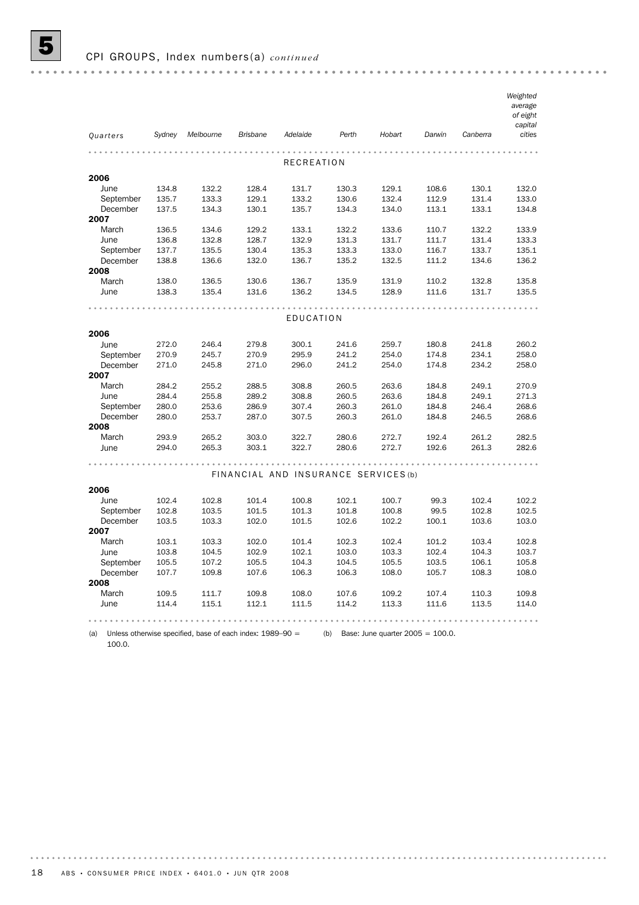|                       |                |                |                 |                                      |                |                |                |                | Weighted<br>average<br>of eight<br>capital |
|-----------------------|----------------|----------------|-----------------|--------------------------------------|----------------|----------------|----------------|----------------|--------------------------------------------|
| Quarters              | Sydney         | Melbourne      | <b>Brisbane</b> | Adelaide                             | Perth          | Hobart         | Darwin         | Canberra       | cities                                     |
|                       |                |                |                 |                                      |                |                |                |                |                                            |
|                       |                |                |                 | <b>RECREATION</b>                    |                |                |                |                |                                            |
| 2006                  |                |                |                 |                                      |                |                |                |                |                                            |
| June                  | 134.8          | 132.2          | 128.4           | 131.7                                | 130.3          | 129.1          | 108.6          | 130.1          | 132.0                                      |
| September<br>December | 135.7<br>137.5 | 133.3          | 129.1           | 133.2                                | 130.6          | 132.4          | 112.9<br>113.1 | 131.4          | 133.0                                      |
| 2007                  |                | 134.3          | 130.1           | 135.7                                | 134.3          | 134.0          |                | 133.1          | 134.8                                      |
| March                 | 136.5          | 134.6          | 129.2           | 133.1                                | 132.2          | 133.6          | 110.7          | 132.2          | 133.9                                      |
| June                  | 136.8          | 132.8          | 128.7           | 132.9                                | 131.3          | 131.7          | 111.7          | 131.4          | 133.3                                      |
| September             | 137.7          | 135.5          | 130.4           | 135.3                                | 133.3          | 133.0          | 116.7          | 133.7          | 135.1                                      |
| December              | 138.8          | 136.6          | 132.0           | 136.7                                | 135.2          | 132.5          | 111.2          | 134.6          | 136.2                                      |
| 2008                  |                |                |                 |                                      |                |                |                |                |                                            |
| March                 | 138.0          | 136.5          | 130.6           | 136.7                                | 135.9          | 131.9          | 110.2          | 132.8          | 135.8                                      |
| June                  | 138.3          | 135.4          | 131.6           | 136.2                                | 134.5          | 128.9          | 111.6          | 131.7          | 135.5                                      |
|                       |                |                |                 |                                      |                |                |                |                |                                            |
|                       |                |                |                 | EDUCATION                            |                |                |                |                |                                            |
| 2006                  |                |                |                 |                                      |                |                |                |                |                                            |
| June                  | 272.0          | 246.4          | 279.8           | 300.1                                | 241.6          | 259.7          | 180.8          | 241.8          | 260.2                                      |
| September             | 270.9          | 245.7          | 270.9           | 295.9                                | 241.2          | 254.0          | 174.8          | 234.1          | 258.0                                      |
| December              | 271.0          | 245.8          | 271.0           | 296.0                                | 241.2          | 254.0          | 174.8          | 234.2          | 258.0                                      |
| 2007                  |                |                |                 |                                      |                |                |                |                |                                            |
| March                 | 284.2          | 255.2          | 288.5           | 308.8                                | 260.5          | 263.6          | 184.8          | 249.1          | 270.9                                      |
| June                  | 284.4          | 255.8          | 289.2           | 308.8                                | 260.5          | 263.6          | 184.8          | 249.1          | 271.3                                      |
| September             | 280.0          | 253.6          | 286.9           | 307.4                                | 260.3          | 261.0          | 184.8          | 246.4          | 268.6                                      |
| December              | 280.0          | 253.7          | 287.0           | 307.5                                | 260.3          | 261.0          | 184.8          | 246.5          | 268.6                                      |
| 2008                  |                |                |                 |                                      |                |                |                |                |                                            |
| March                 | 293.9          | 265.2          | 303.0           | 322.7                                | 280.6          | 272.7          | 192.4          | 261.2          | 282.5                                      |
| June                  | 294.0          | 265.3          | 303.1           | 322.7                                | 280.6          | 272.7          | 192.6          | 261.3          | 282.6                                      |
|                       |                |                |                 |                                      |                |                |                |                |                                            |
|                       |                |                |                 | FINANCIAL AND INSURANCE SERVICES (b) |                |                |                |                |                                            |
| 2006                  |                |                |                 |                                      |                |                |                |                |                                            |
| June                  | 102.4          | 102.8          | 101.4           | 100.8                                | 102.1          | 100.7          | 99.3           | 102.4          | 102.2                                      |
| September             | 102.8          | 103.5          | 101.5           | 101.3                                | 101.8          | 100.8          | 99.5           | 102.8          | 102.5                                      |
| December              | 103.5          | 103.3          | 102.0           | 101.5                                | 102.6          | 102.2          | 100.1          | 103.6          | 103.0                                      |
| 2007                  |                |                |                 |                                      |                |                |                |                |                                            |
| March                 | 103.1          | 103.3          | 102.0           | 101.4                                | 102.3          | 102.4          | 101.2          | 103.4          | 102.8                                      |
| June                  | 103.8          | 104.5          | 102.9           | 102.1                                | 103.0          | 103.3          | 102.4          | 104.3          | 103.7                                      |
| September             | 105.5          | 107.2          | 105.5           | 104.3                                | 104.5          | 105.5          | 103.5          | 106.1          | 105.8                                      |
| December              | 107.7          | 109.8          | 107.6           | 106.3                                | 106.3          | 108.0          | 105.7          | 108.3          | 108.0                                      |
| 2008<br>March         |                |                |                 |                                      |                |                |                |                |                                            |
|                       | 109.5<br>114.4 | 111.7<br>115.1 | 109.8<br>112.1  | 108.0<br>111.5                       | 107.6<br>114.2 | 109.2<br>113.3 | 107.4<br>111.6 | 110.3<br>113.5 | 109.8<br>114.0                             |
| June                  |                |                |                 |                                      |                |                |                |                |                                            |
|                       |                |                |                 |                                      |                |                |                |                |                                            |

(a) Unless otherwise specified, base of each index:  $1989-90 =$  (b) Base: June quarter  $2005 = 100.0$ .

100.0.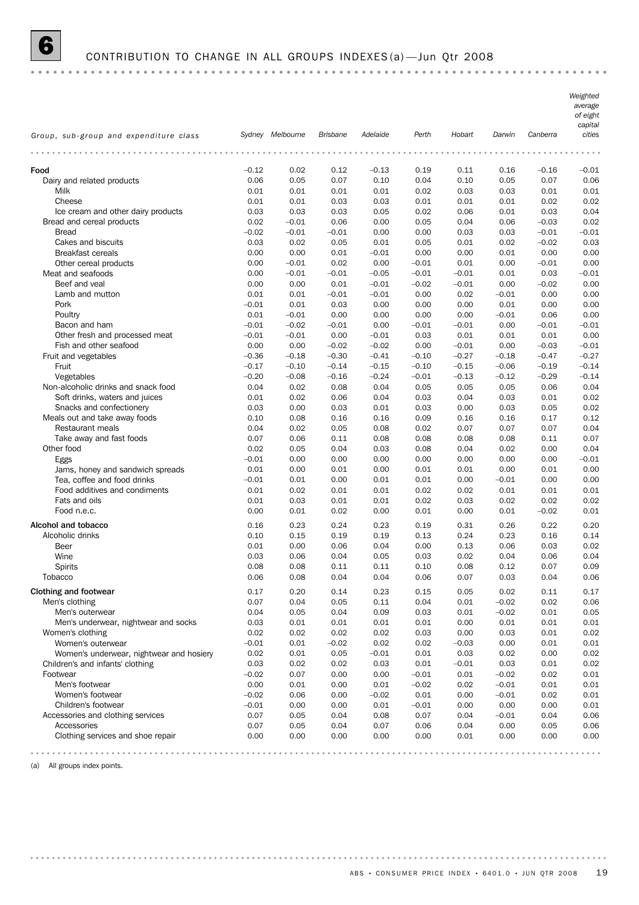#### 6 CONTRIBUTION TO CHANGE IN ALL GROUPS INDEXES (a) —Jun Qtr 2008

*Weighted average of eight capital Group, sub-group and expenditure class Sydney Melbourne Brisbane Adelaide Perth Hobart Darwin Canberra cities* Food –0.12 0.02 0.12 –0.13 0.19 0.11 0.16 –0.16 –0.01 Dairy and related products 0.06 0.05 0.07 0.10 0.04 0.10 0.05 0.07 0.06 Milk 0.01 0.01 0.01 0.01 0.02 0.03 0.03 0.01 0.01 Cheese 0.01 0.01 0.03 0.03 0.01 0.01 0.01 0.02 0.02 Ice cream and other dairy products 0.03 0.03 0.03 0.05 0.02 0.06 0.01 0.03 0.04 Bread and cereal products 0.02 –0.01 0.06 0.00 0.05 0.04 0.06 –0.03 0.02 Bread –0.02 –0.01 –0.01 0.00 0.00 0.03 0.03 –0.01 –0.01 Cakes and biscuits 0.03 0.02 0.05 0.01 0.05 0.01 0.02 –0.02 0.03 Breakfast cereals 0.00 0.00 0.01 –0.01 0.00 0.00 0.01 0.00 0.00 Other cereal products 0.00 –0.01 0.02 0.00 –0.01 0.01 0.00 –0.01 0.00 Meat and seafoods 0.00 –0.01 –0.01 –0.05 –0.01 –0.01 0.01 0.03 –0.01 Beef and veal **beef** and veal **beef** and veal **beef** and veal **beef** and veal **beef** and veal **beef** and veal **beef** and veal **beef** and veal **beef** and veal **beef** and veal **beef** and veal **beef** and veal **beef** and veal Lamb and mutton  $0.01$   $0.01$   $0.01$   $0.01$   $0.01$   $0.01$   $0.00$   $0.02$   $0.01$   $0.00$   $0.00$ Pork –0.01 0.01 0.03 0.00 0.00 0.00 0.01 0.00 0.00 Poultry 0.01 –0.01 0.00 0.00 0.00 0.00 –0.01 0.06 0.00 Bacon and ham –0.01 –0.01 –0.02 –0.01 0.00 –0.01 –0.01 0.00 –0.01 –0.01 –0.01 Other fresh and processed meat  $-0.01$   $-0.01$  0.00  $-0.01$  0.03 0.01 0.01 0.00 0.01 Fish and other seafood 0.00 0.00 –0.02 –0.02 0.00 –0.01 0.00 –0.03 –0.01 Fruit and vegetables –0.36 –0.18 –0.30 –0.41 –0.10 –0.27 –0.18 –0.47 –0.27 Fruit –0.17 –0.10 –0.14 –0.15 –0.10 –0.15 –0.06 –0.19 –0.14 Vegetables –0.20 –0.08 –0.16 –0.24 –0.01 –0.13 –0.12 –0.29 –0.14 Non-alcoholic drinks and snack food 0.04 0.02 0.08 0.04 0.05 0.05 0.05 0.06 0.04 Soft drinks, waters and juices 0.01 0.02 0.06 0.04 0.03 0.04 0.03 0.01 0.02 Snacks and confectionery 0.03 0.00 0.03 0.01 0.03 0.00 0.03 0.05 0.02 Meals out and take away foods 0.10 0.08 0.16 0.16 0.09 0.16 0.16 0.17 0.12 Restaurant meals 0.04 0.02 0.05 0.08 0.02 0.07 0.07 0.07 0.04 Take away and fast foods 0.07 0.06 0.11 0.08 0.08 0.08 0.08 0.11 0.07 Other food 0.02 0.05 0.04 0.03 0.08 0.04 0.02 0.00 0.04 Eggs –0.01 0.00 0.00 0.00 0.00 0.00 0.00 0.00 –0.01 Jams, honey and sandwich spreads 0.01 0.00 0.01 0.00 0.01 0.01 0.00 0.01 0.00 Tea, coffee and food drinks  $-0.01$   $0.01$   $0.00$   $0.01$   $0.01$   $0.01$   $0.00$   $-0.01$   $0.00$   $0.00$ Food additives and condiments 0.01 0.02 0.01 0.01 0.02 0.02 0.01 0.01 0.01 Fats and oils 0.01 0.03 0.01 0.01 0.02 0.03 0.02 0.02 0.02 Food n.e.c. 0.00 0.01 0.02 0.00 0.01 0.00 0.01 –0.02 0.01 Alcohol and tobacco 0.16 0.23 0.24 0.23 0.19 0.31 0.26 0.22 0.20 Alcoholic drinks 0.10 0.15 0.19 0.19 0.13 0.24 0.23 0.16 0.14 Beer 0.01 0.00 0.06 0.04 0.00 0.13 0.06 0.03 0.02 Wine 0.03 0.06 0.04 0.05 0.03 0.02 0.04 0.06 0.04 Spirits 0.08 0.08 0.11 0.11 0.10 0.08 0.12 0.07 0.09 Tobacco 0.06 0.08 0.04 0.04 0.06 0.07 0.03 0.04 0.06 Clothing and footwear 0.17 0.20 0.14 0.23 0.15 0.05 0.02 0.11 0.17 Men's clothing 0.07 0.04 0.05 0.11 0.04 0.01 –0.02 0.02 0.06 Men's outerwear 0.04 0.05 0.04 0.09 0.03 0.01 –0.02 0.01 0.05 Men's underwear, nightwear and socks 0.03 0.01 0.01 0.01 0.01 0.00 0.01 0.01 0.01 Women's clothing 0.02 0.02 0.02 0.02 0.03 0.00 0.03 0.01 0.02 Women's outerwear –0.01 0.01 –0.02 0.02 0.02 –0.03 0.00 0.01 0.01 Women's underwear, nightwear and hosiery  $0.02$   $0.01$   $0.05$   $-0.01$   $0.01$   $0.03$   $0.02$   $0.00$   $0.02$ Children's and infants' clothing 0.03 0.02 0.02 0.03 0.01 –0.01 0.03 0.01 0.02 Footwear –0.02 0.07 0.00 0.00 –0.01 0.01 –0.02 0.02 0.01 Men's footwear 0.00 0.01 0.00 0.01 –0.02 0.02 –0.01 0.01 0.01 Women's footwear –0.02 0.06 0.00 –0.02 0.01 0.00 –0.01 0.02 0.01 Children's footwear **and the Children's footwear**  $-0.01$  0.00 0.00 0.00 0.00 0.00 0.00 0.01 0.00 0.00 Accessories and clothing services 0.07 0.05 0.04 0.08 0.07 0.04 –0.01 0.04 0.06 Accessories 0.07 0.05 0.04 0.07 0.06 0.04 0.00 0.05 0.06 Clothing services and shoe repair 0.00 0.00 0.00 0.00 0.00 0.01 0.00 0.00 0.00

(a) All groups index points.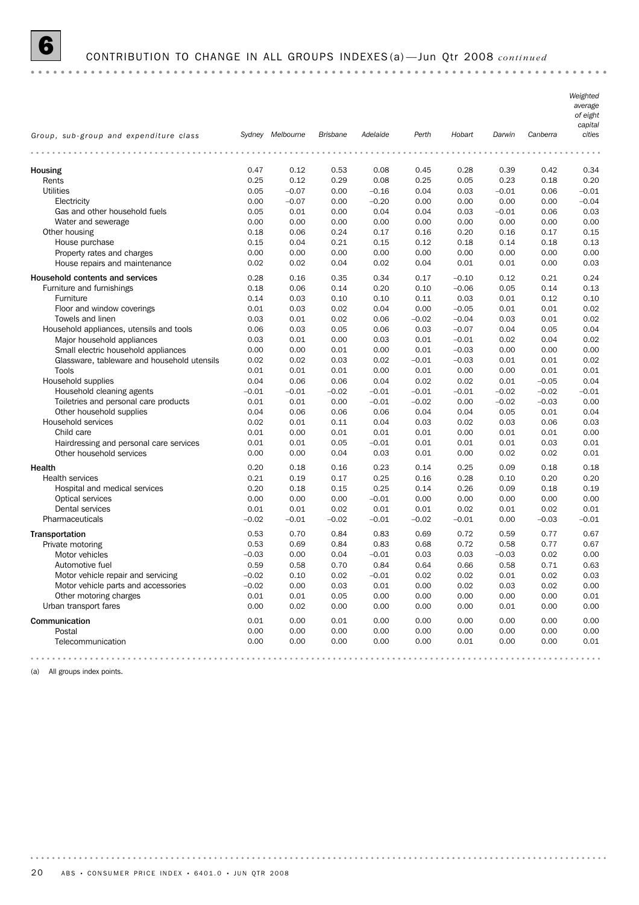# 6 CONTRIBUTION TO CHANGE IN ALL GROUPS INDEXES (a) —Jun Qtr 2008 *continued*

|                                                               |              |                  |                 |              |              |                    |              |              | Weighted<br>average<br>of eight<br>capital |
|---------------------------------------------------------------|--------------|------------------|-----------------|--------------|--------------|--------------------|--------------|--------------|--------------------------------------------|
| Group, sub-group and expenditure class                        |              | Sydney Melbourne | <b>Brisbane</b> | Adelaide     | Perth        | Hobart             | Darwin       | Canberra     | cities                                     |
|                                                               |              |                  |                 |              |              |                    |              |              |                                            |
| Housing                                                       | 0.47         | 0.12             | 0.53            | 0.08         | 0.45         | 0.28               | 0.39         | 0.42         | 0.34                                       |
| Rents                                                         | 0.25         | 0.12             | 0.29            | 0.08         | 0.25         | 0.05               | 0.23         | 0.18         | 0.20                                       |
| <b>Utilities</b>                                              | 0.05         | $-0.07$          | 0.00            | $-0.16$      | 0.04         | 0.03               | $-0.01$      | 0.06         | $-0.01$                                    |
| Electricity                                                   | 0.00         | $-0.07$          | 0.00            | $-0.20$      | 0.00         | 0.00               | 0.00         | 0.00         | $-0.04$                                    |
| Gas and other household fuels                                 | 0.05         | 0.01             | 0.00            | 0.04         | 0.04         | 0.03               | $-0.01$      | 0.06         | 0.03                                       |
| Water and sewerage                                            | 0.00         | 0.00             | 0.00            | 0.00         | 0.00         | 0.00               | 0.00         | 0.00         | 0.00                                       |
| Other housing                                                 | 0.18         | 0.06             | 0.24            | 0.17         | 0.16         | 0.20               | 0.16         | 0.17         | 0.15                                       |
| House purchase                                                | 0.15<br>0.00 | 0.04<br>0.00     | 0.21<br>0.00    | 0.15<br>0.00 | 0.12<br>0.00 | 0.18<br>0.00       | 0.14<br>0.00 | 0.18<br>0.00 | 0.13<br>0.00                               |
| Property rates and charges<br>House repairs and maintenance   | 0.02         | 0.02             | 0.04            | 0.02         | 0.04         | 0.01               | 0.01         | 0.00         | 0.03                                       |
|                                                               |              |                  |                 |              |              |                    |              |              |                                            |
| Household contents and services<br>Furniture and furnishings  | 0.28<br>0.18 | 0.16<br>0.06     | 0.35<br>0.14    | 0.34<br>0.20 | 0.17<br>0.10 | $-0.10$<br>$-0.06$ | 0.12<br>0.05 | 0.21<br>0.14 | 0.24<br>0.13                               |
| Furniture                                                     | 0.14         | 0.03             | 0.10            | 0.10         | 0.11         | 0.03               | 0.01         | 0.12         | 0.10                                       |
| Floor and window coverings                                    | 0.01         | 0.03             | 0.02            | 0.04         | 0.00         | $-0.05$            | 0.01         | 0.01         | 0.02                                       |
| Towels and linen                                              | 0.03         | 0.01             | 0.02            | 0.06         | $-0.02$      | $-0.04$            | 0.03         | 0.01         | 0.02                                       |
| Household appliances, utensils and tools                      | 0.06         | 0.03             | 0.05            | 0.06         | 0.03         | $-0.07$            | 0.04         | 0.05         | 0.04                                       |
| Major household appliances                                    | 0.03         | 0.01             | 0.00            | 0.03         | 0.01         | $-0.01$            | 0.02         | 0.04         | 0.02                                       |
| Small electric household appliances                           | 0.00         | 0.00             | 0.01            | 0.00         | 0.01         | $-0.03$            | 0.00         | 0.00         | 0.00                                       |
| Glassware, tableware and household utensils                   | 0.02         | 0.02             | 0.03            | 0.02         | $-0.01$      | $-0.03$            | 0.01         | 0.01         | 0.02                                       |
| Tools                                                         | 0.01         | 0.01             | 0.01            | 0.00         | 0.01         | 0.00               | 0.00         | 0.01         | 0.01                                       |
| Household supplies                                            | 0.04         | 0.06             | 0.06            | 0.04         | 0.02         | 0.02               | 0.01         | $-0.05$      | 0.04                                       |
| Household cleaning agents                                     | $-0.01$      | $-0.01$          | $-0.02$         | $-0.01$      | $-0.01$      | $-0.01$            | $-0.02$      | $-0.02$      | $-0.01$                                    |
| Toiletries and personal care products                         | 0.01         | 0.01             | 0.00            | $-0.01$      | $-0.02$      | 0.00               | $-0.02$      | $-0.03$      | 0.00                                       |
| Other household supplies                                      | 0.04         | 0.06             | 0.06            | 0.06         | 0.04         | 0.04               | 0.05         | 0.01         | 0.04                                       |
| Household services                                            | 0.02         | 0.01             | 0.11            | 0.04         | 0.03         | 0.02               | 0.03         | 0.06         | 0.03                                       |
| Child care                                                    | 0.01         | 0.00             | 0.01            | 0.01         | 0.01         | 0.00               | 0.01         | 0.01         | 0.00                                       |
| Hairdressing and personal care services                       | 0.01         | 0.01             | 0.05            | $-0.01$      | 0.01         | 0.01               | 0.01         | 0.03         | 0.01                                       |
| Other household services                                      | 0.00         | 0.00             | 0.04            | 0.03         | 0.01         | 0.00               | 0.02         | 0.02         | 0.01                                       |
| Health                                                        | 0.20         | 0.18             | 0.16            | 0.23         | 0.14         | 0.25               | 0.09         | 0.18         | 0.18                                       |
| <b>Health services</b>                                        | 0.21         | 0.19             | 0.17            | 0.25         | 0.16         | 0.28               | 0.10         | 0.20         | 0.20                                       |
| Hospital and medical services                                 | 0.20         | 0.18             | 0.15            | 0.25         | 0.14         | 0.26               | 0.09         | 0.18         | 0.19                                       |
| Optical services                                              | 0.00         | 0.00             | 0.00            | $-0.01$      | 0.00         | 0.00               | 0.00         | 0.00         | 0.00                                       |
| Dental services                                               | 0.01         | 0.01             | 0.02            | 0.01         | 0.01         | 0.02               | 0.01         | 0.02         | 0.01                                       |
| Pharmaceuticals                                               | $-0.02$      | $-0.01$          | $-0.02$         | $-0.01$      | $-0.02$      | $-0.01$            | 0.00         | $-0.03$      | $-0.01$                                    |
| Transportation                                                | 0.53         | 0.70             | 0.84            | 0.83         | 0.69         | 0.72               | 0.59         | 0.77         | 0.67                                       |
| Private motoring                                              | 0.53         | 0.69             | 0.84            | 0.83         | 0.68         | 0.72               | 0.58         | 0.77         | 0.67                                       |
| Motor vehicles                                                | $-0.03$      | 0.00             | 0.04            | $-0.01$      | 0.03         | 0.03               | $-0.03$      | 0.02         | 0.00                                       |
| Automotive fuel                                               | 0.59         | 0.58             | 0.70            | 0.84         | 0.64         | 0.66               | 0.58         | 0.71         | 0.63                                       |
| Motor vehicle repair and servicing                            | -0.02        | 0.10             | 0.02            | $-0.01$      | 0.02         | 0.02               | 0.01         | 0.02         | 0.03                                       |
| Motor vehicle parts and accessories<br>Other motoring charges | $-0.02$      | 0.00             | 0.03            | 0.01         | 0.00         | 0.02               | 0.03         | 0.02         | 0.00                                       |
| Urban transport fares                                         | 0.01         | 0.01             | 0.05            | 0.00         | 0.00         | 0.00               | 0.00         | 0.00         | 0.01                                       |
|                                                               | 0.00         | 0.02             | 0.00            | 0.00         | 0.00         | 0.00               | 0.01         | 0.00         | 0.00                                       |
| Communication                                                 | 0.01         | 0.00             | 0.01            | 0.00         | 0.00         | 0.00               | 0.00         | 0.00         | 0.00                                       |
| Postal                                                        | 0.00         | 0.00             | 0.00            | 0.00         | 0.00         | 0.00               | 0.00         | 0.00         | 0.00                                       |
| Telecommunication                                             | 0.00         | 0.00             | 0.00            | 0.00         | 0.00         | 0.01               | 0.00         | 0.00         | 0.01                                       |
|                                                               |              |                  |                 |              |              |                    |              |              |                                            |

(a) All groups index points.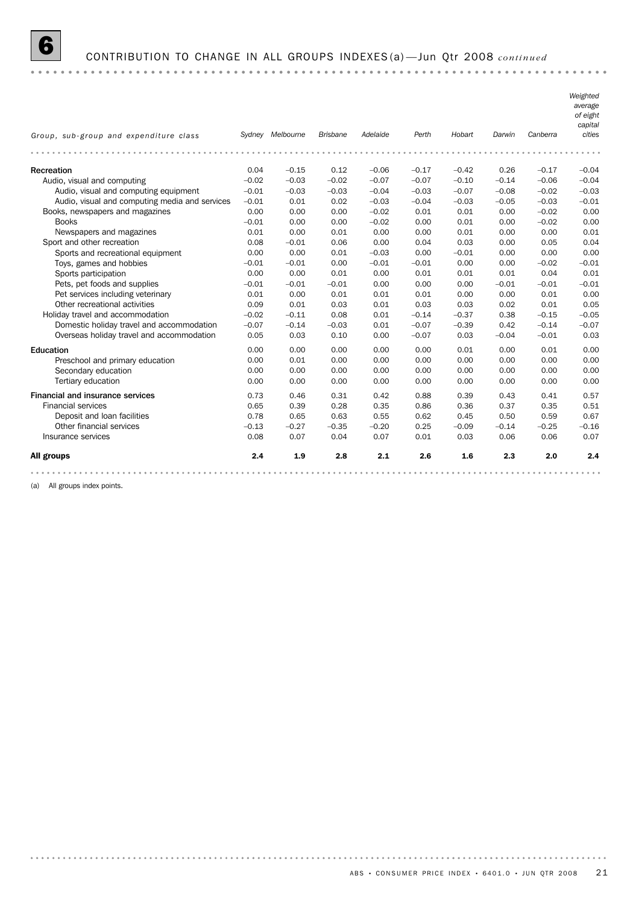

#### 6 CONTRIBUTION TO CHANGE IN ALL GROUPS INDEXES (a) —Jun Qtr 2008 *continued*

*Weighted average of eight capital Group, sub-group and expenditure class Sydney Melbourne Brisbane Adelaide Perth Hobart Darwin Canberra cities* Recreation 0.04 –0.15 0.12 –0.06 –0.17 –0.42 0.26 –0.17 –0.04 Audio, visual and computing –0.02 –0.03 –0.02 –0.07 –0.07 –0.10 –0.14 –0.06 –0.04 Audio, visual and computing equipment –0.01 –0.03 –0.03 –0.04 –0.03 –0.07 –0.08 –0.02 –0.03 Audio, visual and computing media and services –0.01 0.01 0.02 –0.03 –0.04 –0.03 –0.05 –0.03 –0.01 Books, newspapers and magazines 0.00 0.00 0.00 –0.02 0.01 0.01 0.00 –0.02 0.00 Books –0.01 0.00 0.00 –0.02 0.00 0.01 0.00 –0.02 0.00 Newspapers and magazines 0.01 0.00 0.01 0.00 0.00 0.01 0.00 0.00 0.01 Sport and other recreation 0.08 –0.01 0.06 0.00 0.04 0.03 0.00 0.05 0.04 Sports and recreational equipment  $0.00$   $0.00$   $0.01$   $-0.03$   $0.00$   $-0.01$   $0.00$   $0.00$   $0.00$ Toys, games and hobbies –0.01 –0.01 0.00 –0.01 –0.01 0.00 0.00 –0.02 –0.01 Sports participation 0.00 0.00 0.01 0.00 0.01 0.01 0.01 0.04 0.01 Pets, pet foods and supplies  $-0.01$   $-0.01$   $-0.01$   $-0.01$  0.00 0.00  $-0.01$   $-0.01$   $-0.01$ Pet services including veterinary 0.01 0.00 0.01 0.01 0.01 0.00 0.00 0.01 0.00 Other recreational activities 0.09 0.01 0.03 0.01 0.03 0.03 0.02 0.01 0.05 Holiday travel and accommodation –0.02 –0.11 0.08 0.01 –0.14 –0.37 0.38 –0.15 –0.05 Domestic holiday travel and accommodation –0.07 –0.14 –0.03 0.01 –0.07 –0.39 0.42 –0.14 –0.07 Overseas holiday travel and accommodation 0.05 0.03 0.10 0.00 –0.07 0.03 –0.04 –0.01 0.03 Education 0.00 0.00 0.00 0.00 0.00 0.01 0.00 0.01 0.00 Preschool and primary education 0.00 0.01 0.00 0.00 0.00 0.00 0.00 0.00 0.00 Secondary education 0.00 0.00 0.00 0.00 0.00 0.00 0.00 0.00 0.00 Tertiary education 0.00 0.00 0.00 0.00 0.00 0.00 0.00 0.00 0.00 Financial and insurance services <br>Financial services 6.57 0.65 0.73 0.46 0.31 0.42 0.88 0.39 0.43 0.41 0.57<br>1.51 0.51 0.51 0.57 0.51 0.51 0.51 Financial services 0.65 0.39 0.28 0.35 0.86 0.36 0.37 0.35 0.51 Deposit and loan facilities 0.78 0.65 0.63 0.55 0.62 0.45 0.50 0.59 0.67 Other financial services –0.13 –0.27 –0.35 –0.20 0.25 –0.09 –0.14 –0.25 –0.16 Insurance services 0.08 0.07 0.04 0.07 0.01 0.03 0.06 0.06 0.07 All groups 2.4 1.9 2.8 2.1 2.6 1.6 2.3 2.0 2.4 

(a) All groups index points.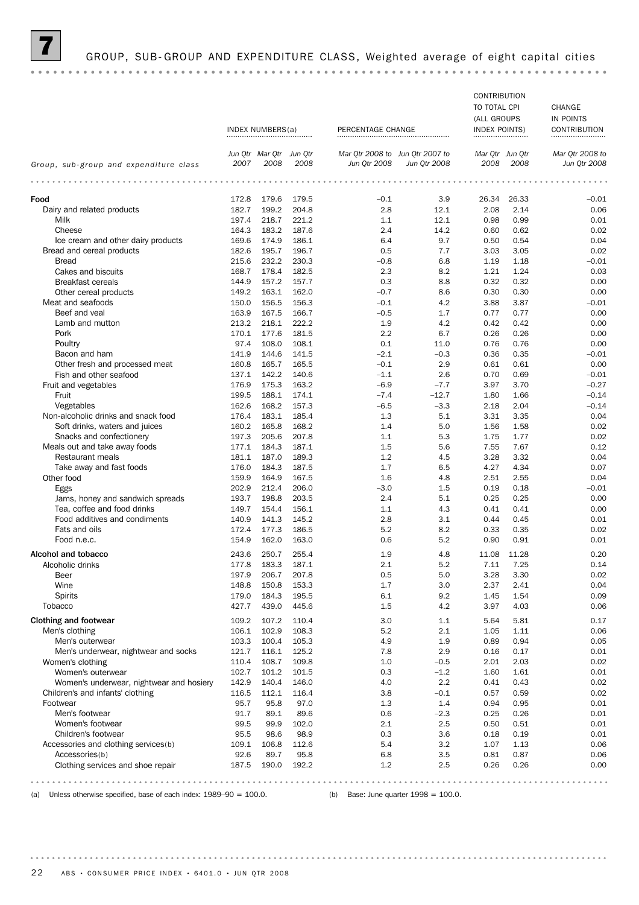

|                                                          |                |                         |                |                                 |                   | CONTRIBUTION         |              |                     |  |  |
|----------------------------------------------------------|----------------|-------------------------|----------------|---------------------------------|-------------------|----------------------|--------------|---------------------|--|--|
|                                                          |                |                         |                |                                 |                   | TO TOTAL CPI         |              | CHANGE              |  |  |
|                                                          |                |                         |                |                                 |                   | (ALL GROUPS          |              | IN POINTS           |  |  |
|                                                          |                | INDEX NUMBERS(a)        |                | PERCENTAGE CHANGE               |                   | <b>INDEX POINTS)</b> |              | <b>CONTRIBUTION</b> |  |  |
|                                                          |                | Jun Otr Mar Otr Jun Otr |                | Mar Qtr 2008 to Jun Qtr 2007 to |                   | Mar Otr Jun Otr      |              | Mar Otr 2008 to     |  |  |
| Group, sub-group and expenditure class                   | 2007           | 2008                    | 2008           | Jun Qtr 2008                    | Jun Qtr 2008      | 2008                 | 2008         | Jun Qtr 2008        |  |  |
|                                                          |                | .                       |                |                                 |                   | .                    |              |                     |  |  |
| Food                                                     | 172.8          | 179.6                   | 179.5          | $-0.1$                          | 3.9               | 26.34                | 26.33        | $-0.01$             |  |  |
| Dairy and related products                               | 182.7          | 199.2                   | 204.8          | 2.8                             | 12.1              | 2.08                 | 2.14         | 0.06                |  |  |
| Milk                                                     | 197.4          | 218.7                   | 221.2          | 1.1                             | 12.1              | 0.98                 | 0.99         | 0.01                |  |  |
| Cheese                                                   | 164.3          | 183.2                   | 187.6          | 2.4                             | 14.2              | 0.60                 | 0.62         | 0.02                |  |  |
| Ice cream and other dairy products                       | 169.6          | 174.9                   | 186.1          | 6.4                             | 9.7               | 0.50                 | 0.54         | 0.04                |  |  |
| Bread and cereal products                                | 182.6          | 195.7                   | 196.7          | 0.5                             | 7.7               | 3.03                 | 3.05         | 0.02                |  |  |
| <b>Bread</b>                                             | 215.6          | 232.2                   | 230.3          | $-0.8$                          | 6.8               | 1.19                 | 1.18         | $-0.01$             |  |  |
| Cakes and biscuits                                       | 168.7          | 178.4                   | 182.5          | 2.3                             | 8.2               | 1.21                 | 1.24         | 0.03                |  |  |
| <b>Breakfast cereals</b>                                 | 144.9          | 157.2                   | 157.7          | 0.3                             | 8.8               | 0.32                 | 0.32         | 0.00                |  |  |
| Other cereal products                                    | 149.2          | 163.1                   | 162.0          | $-0.7$                          | 8.6               | 0.30                 | 0.30         | 0.00                |  |  |
| Meat and seafoods                                        | 150.0          | 156.5                   | 156.3          | $-0.1$                          | 4.2               | 3.88                 | 3.87         | $-0.01$             |  |  |
| Beef and veal                                            | 163.9          | 167.5                   | 166.7          | $-0.5$                          | 1.7               | 0.77                 | 0.77         | 0.00                |  |  |
| Lamb and mutton                                          | 213.2          | 218.1                   | 222.2          | 1.9                             | 4.2               | 0.42                 | 0.42         | 0.00                |  |  |
| Pork                                                     | 170.1          | 177.6                   | 181.5          | 2.2                             | 6.7               | 0.26                 | 0.26         | 0.00                |  |  |
| Poultry                                                  | 97.4           | 108.0                   | 108.1          | 0.1                             | 11.0              | 0.76                 | 0.76         | 0.00                |  |  |
| Bacon and ham                                            | 141.9          | 144.6                   | 141.5          | $-2.1$                          | $-0.3$            | 0.36                 | 0.35         | $-0.01$             |  |  |
| Other fresh and processed meat<br>Fish and other seafood | 160.8          | 165.7                   | 165.5          | $-0.1$                          | 2.9               | 0.61                 | 0.61         | 0.00                |  |  |
|                                                          | 137.1          | 142.2                   | 140.6          | $-1.1$                          | 2.6               | 0.70                 | 0.69         | $-0.01$             |  |  |
| Fruit and vegetables                                     | 176.9<br>199.5 | 175.3<br>188.1          | 163.2<br>174.1 | $-6.9$<br>$-7.4$                | $-7.7$<br>$-12.7$ | 3.97<br>1.80         | 3.70<br>1.66 | $-0.27$<br>$-0.14$  |  |  |
| Fruit<br>Vegetables                                      | 162.6          | 168.2                   | 157.3          | $-6.5$                          | $-3.3$            | 2.18                 | 2.04         | $-0.14$             |  |  |
| Non-alcoholic drinks and snack food                      | 176.4          | 183.1                   | 185.4          | 1.3                             | 5.1               | 3.31                 | 3.35         | 0.04                |  |  |
| Soft drinks, waters and juices                           | 160.2          | 165.8                   | 168.2          | 1.4                             | 5.0               | 1.56                 | 1.58         | 0.02                |  |  |
| Snacks and confectionery                                 | 197.3          | 205.6                   | 207.8          | 1.1                             | 5.3               | 1.75                 | 1.77         | 0.02                |  |  |
| Meals out and take away foods                            | 177.1          | 184.3                   | 187.1          | 1.5                             | 5.6               | 7.55                 | 7.67         | 0.12                |  |  |
| Restaurant meals                                         | 181.1          | 187.0                   | 189.3          | 1.2                             | 4.5               | 3.28                 | 3.32         | 0.04                |  |  |
| Take away and fast foods                                 | 176.0          | 184.3                   | 187.5          | 1.7                             | 6.5               | 4.27                 | 4.34         | 0.07                |  |  |
| Other food                                               | 159.9          | 164.9                   | 167.5          | 1.6                             | 4.8               | 2.51                 | 2.55         | 0.04                |  |  |
| Eggs                                                     | 202.9          | 212.4                   | 206.0          | $-3.0$                          | 1.5               | 0.19                 | 0.18         | $-0.01$             |  |  |
| Jams, honey and sandwich spreads                         | 193.7          | 198.8                   | 203.5          | 2.4                             | 5.1               | 0.25                 | 0.25         | 0.00                |  |  |
| Tea, coffee and food drinks                              | 149.7          | 154.4                   | 156.1          | 1.1                             | 4.3               | 0.41                 | 0.41         | 0.00                |  |  |
| Food additives and condiments                            | 140.9          | 141.3                   | 145.2          | 2.8                             | 3.1               | 0.44                 | 0.45         | 0.01                |  |  |
| Fats and oils                                            | 172.4          | 177.3                   | 186.5          | 5.2                             | 8.2               | 0.33                 | 0.35         | 0.02                |  |  |
| Food n.e.c.                                              | 154.9          | 162.0                   | 163.0          | 0.6                             | 5.2               | 0.90                 | 0.91         | 0.01                |  |  |
| Alcohol and tobacco                                      | 243.6          | 250.7                   | 255.4          | 1.9                             | 4.8               | 11.08                | 11.28        | 0.20                |  |  |
| Alcoholic drinks                                         | 177.8          | 183.3                   | 187.1          | 2.1                             | 5.2               | 7.11                 | 7.25         | 0.14                |  |  |
| Beer                                                     | 197.9          | 206.7                   | 207.8          | 0.5                             | 5.0               | 3.28                 | 3.30         | 0.02                |  |  |
| Wine                                                     | 148.8          | 150.8                   | 153.3          | 1.7                             | 3.0               | 2.37                 | 2.41         | 0.04                |  |  |
| <b>Spirits</b>                                           | 179.0          | 184.3                   | 195.5          | 6.1                             | 9.2               | 1.45                 | 1.54         | 0.09                |  |  |
| <b>Tobacco</b>                                           | 427.7          | 439.0                   | 445.6          | 1.5                             | 4.2               | 3.97                 | 4.03         | 0.06                |  |  |
| <b>Clothing and footwear</b>                             | 109.2          | 107.2                   | 110.4          | 3.0                             | 1.1               | 5.64                 | 5.81         | 0.17                |  |  |
| Men's clothing                                           | 106.1          | 102.9                   | 108.3          | 5.2                             | 2.1               | 1.05                 | 1.11         | 0.06                |  |  |
| Men's outerwear                                          | 103.3          | 100.4                   | 105.3          | 4.9                             | 1.9               | 0.89                 | 0.94         | 0.05                |  |  |
| Men's underwear, nightwear and socks                     | 121.7          | 116.1                   | 125.2          | 7.8                             | 2.9               | 0.16                 | 0.17         | 0.01                |  |  |
| Women's clothing                                         | 110.4          | 108.7                   | 109.8          | 1.0                             | $-0.5$            | 2.01                 | 2.03         | 0.02                |  |  |
| Women's outerwear                                        | 102.7          | 101.2                   | 101.5          | 0.3                             | $-1.2$            | 1.60                 | 1.61         | 0.01                |  |  |
| Women's underwear, nightwear and hosiery                 | 142.9          | 140.4                   | 146.0          | 4.0                             | 2.2               | 0.41                 | 0.43         | 0.02                |  |  |
| Children's and infants' clothing                         | 116.5          | 112.1                   | 116.4          | 3.8                             | $-0.1$            | 0.57                 | 0.59         | 0.02                |  |  |
| Footwear                                                 | 95.7           | 95.8                    | 97.0           | 1.3                             | 1.4               | 0.94                 | 0.95         | 0.01                |  |  |
| Men's footwear                                           | 91.7           | 89.1                    | 89.6           | 0.6                             | $-2.3$            | 0.25                 | 0.26         | 0.01                |  |  |
| Women's footwear                                         | 99.5           | 99.9                    | 102.0          | 2.1                             | 2.5               | 0.50                 | 0.51         | 0.01                |  |  |
| Children's footwear                                      | 95.5           | 98.6                    | 98.9           | 0.3                             | 3.6               | 0.18                 | 0.19         | 0.01                |  |  |
| Accessories and clothing services(b)                     | 109.1          | 106.8                   | 112.6          | 5.4                             | 3.2               | 1.07                 | 1.13         | 0.06                |  |  |
| Accessories(b)                                           | 92.6           | 89.7                    | 95.8           | 6.8                             | 3.5               | 0.81                 | 0.87         | 0.06                |  |  |
| Clothing services and shoe repair                        | 187.5          | 190.0                   | 192.2          | 1.2                             | 2.5               | 0.26                 | 0.26         | 0.00                |  |  |
|                                                          |                |                         |                |                                 |                   |                      |              |                     |  |  |

(a) Unless otherwise specified, base of each index: 1989–90 = 100.0. (b) Base: June quarter 1998 = 100.0.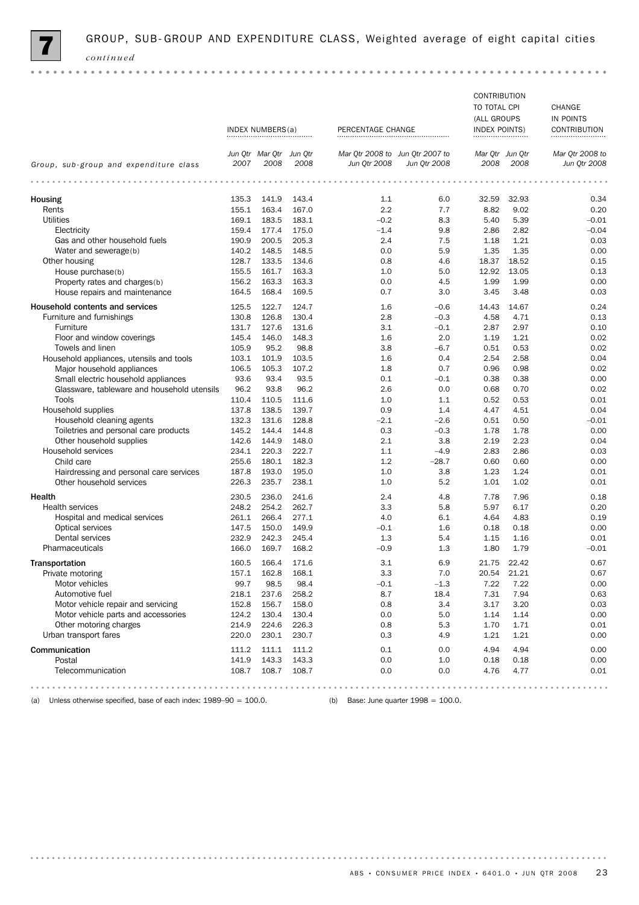

 $\alpha$  .  $\alpha$ 

|                                                                         | INDEX NUMBERS(a) |                                 | PERCENTAGE CHANGE |                                                 | CONTRIBUTION<br>TO TOTAL CPI<br>(ALL GROUPS<br><b>INDEX POINTS)</b> |                         | CHANGE<br>IN POINTS<br>CONTRIBUTION |                                 |
|-------------------------------------------------------------------------|------------------|---------------------------------|-------------------|-------------------------------------------------|---------------------------------------------------------------------|-------------------------|-------------------------------------|---------------------------------|
| Group, sub-group and expenditure class                                  | 2007             | Jun Qtr Mar Qtr Jun Qtr<br>2008 | 2008              | Mar Qtr 2008 to Jun Qtr 2007 to<br>Jun Qtr 2008 | Jun Qtr 2008                                                        | Mar Qtr Jun Qtr<br>2008 | 2008                                | Mar Otr 2008 to<br>Jun Qtr 2008 |
|                                                                         |                  | .                               |                   |                                                 |                                                                     |                         |                                     |                                 |
| Housing                                                                 | 135.3            | 141.9                           | 143.4             | 1.1                                             | 6.0                                                                 | 32.59                   | 32.93                               | 0.34                            |
| Rents                                                                   | 155.1            | 163.4                           | 167.0             | 2.2                                             | 7.7                                                                 | 8.82                    | 9.02                                | 0.20                            |
| <b>Utilities</b>                                                        | 169.1            | 183.5                           | 183.1             | $-0.2$                                          | 8.3                                                                 | 5.40                    | 5.39                                | $-0.01$                         |
| Electricity                                                             | 159.4            | 177.4                           | 175.0             | $-1.4$                                          | 9.8                                                                 | 2.86                    | 2.82                                | $-0.04$                         |
| Gas and other household fuels                                           | 190.9            | 200.5                           | 205.3             | 2.4                                             | 7.5                                                                 | 1.18                    | 1.21                                | 0.03                            |
| Water and sewerage(b)                                                   | 140.2            | 148.5                           | 148.5             | 0.0                                             | 5.9                                                                 | 1.35                    | 1.35                                | 0.00                            |
| Other housing                                                           | 128.7            | 133.5                           | 134.6             | 0.8                                             | 4.6                                                                 | 18.37                   | 18.52                               | 0.15                            |
| House purchase(b)                                                       | 155.5            | 161.7                           | 163.3             | 1.0                                             | 5.0                                                                 | 12.92                   | 13.05                               | 0.13                            |
| Property rates and charges(b)                                           | 156.2            | 163.3                           | 163.3             | 0.0                                             | 4.5                                                                 | 1.99                    | 1.99                                | 0.00                            |
| House repairs and maintenance                                           | 164.5            | 168.4                           | 169.5             | 0.7                                             | 3.0                                                                 | 3.45                    | 3.48                                | 0.03                            |
| Household contents and services                                         | 125.5            | 122.7                           | 124.7             | 1.6                                             | $-0.6$                                                              | 14.43                   | 14.67                               | 0.24                            |
| Furniture and furnishings                                               | 130.8            | 126.8                           | 130.4             | 2.8                                             | $-0.3$                                                              | 4.58                    | 4.71                                | 0.13                            |
| Furniture                                                               | 131.7            | 127.6                           | 131.6             | 3.1                                             | $-0.1$                                                              | 2.87                    | 2.97                                | 0.10                            |
| Floor and window coverings                                              | 145.4            | 146.0                           | 148.3             | 1.6                                             | 2.0                                                                 | 1.19                    | 1.21                                | 0.02                            |
| Towels and linen                                                        | 105.9            | 95.2                            | 98.8              | 3.8                                             | $-6.7$                                                              | 0.51                    | 0.53                                | 0.02                            |
| Household appliances, utensils and tools                                | 103.1            | 101.9                           | 103.5             | 1.6                                             | 0.4                                                                 | 2.54                    | 2.58                                | 0.04                            |
| Major household appliances                                              | 106.5            | 105.3                           | 107.2             | 1.8                                             | 0.7                                                                 | 0.96                    | 0.98                                | 0.02                            |
| Small electric household appliances                                     | 93.6             | 93.4                            | 93.5              | 0.1                                             | $-0.1$                                                              | 0.38                    | 0.38                                | 0.00                            |
| Glassware, tableware and household utensils                             | 96.2             | 93.8                            | 96.2              | 2.6                                             | 0.0                                                                 | 0.68                    | 0.70                                | 0.02                            |
| Tools                                                                   | 110.4            | 110.5                           | 111.6             | 1.0                                             | 1.1                                                                 | 0.52                    | 0.53                                | 0.01                            |
| Household supplies                                                      | 137.8            | 138.5                           | 139.7             | 0.9                                             | 1.4                                                                 | 4.47                    | 4.51                                | 0.04                            |
| Household cleaning agents                                               | 132.3            | 131.6                           | 128.8             | $-2.1$                                          | $-2.6$                                                              | 0.51                    | 0.50                                | $-0.01$                         |
| Toiletries and personal care products                                   | 145.2            | 144.4                           | 144.8             | 0.3                                             | $-0.3$                                                              | 1.78                    | 1.78                                | 0.00                            |
| Other household supplies                                                | 142.6            | 144.9                           | 148.0             | 2.1                                             | 3.8                                                                 | 2.19                    | 2.23                                | 0.04                            |
| Household services                                                      | 234.1            | 220.3                           | 222.7             | 1.1                                             | $-4.9$                                                              | 2.83                    | 2.86                                | 0.03                            |
| Child care                                                              | 255.6            | 180.1                           | 182.3             | 1.2                                             | $-28.7$                                                             | 0.60                    | 0.60                                | 0.00                            |
| Hairdressing and personal care services                                 | 187.8            | 193.0                           | 195.0             | 1.0                                             | 3.8                                                                 | 1.23                    | 1.24                                | 0.01                            |
| Other household services                                                | 226.3            | 235.7                           | 238.1             | 1.0                                             | 5.2                                                                 | 1.01                    | 1.02                                | 0.01                            |
| Health                                                                  | 230.5            | 236.0                           | 241.6             | 2.4                                             | 4.8                                                                 | 7.78                    | 7.96                                | 0.18                            |
| <b>Health services</b>                                                  | 248.2            | 254.2                           | 262.7             | 3.3                                             | 5.8                                                                 | 5.97                    | 6.17                                | 0.20                            |
| Hospital and medical services                                           | 261.1            | 266.4                           | 277.1             | 4.0                                             | 6.1                                                                 | 4.64                    | 4.83                                | 0.19                            |
| Optical services                                                        | 147.5            | 150.0                           | 149.9             | $-0.1$                                          | 1.6                                                                 | 0.18                    | 0.18                                | 0.00                            |
| Dental services                                                         | 232.9            | 242.3                           | 245.4             | 1.3                                             | 5.4                                                                 | 1.15                    | 1.16                                | 0.01                            |
| Pharmaceuticals                                                         | 166.0            | 169.7                           | 168.2             | $-0.9$                                          | 1.3                                                                 | 1.80                    | 1.79                                | $-0.01$                         |
|                                                                         |                  |                                 |                   |                                                 |                                                                     |                         |                                     |                                 |
| Transportation                                                          | 160.5            | 166.4                           | 171.6             | 3.1                                             | 6.9                                                                 | 21.75                   | 22.42                               | 0.67                            |
| Private motoring                                                        | 157.1            | 162.8                           | 168.1             | 3.3                                             | 7.0                                                                 | 20.54                   | 21.21                               | 0.67                            |
| Motor vehicles                                                          | 99.7             | 98.5                            | 98.4              | $-0.1$                                          | $-1.3$                                                              | 7.22                    | 7.22                                | 0.00                            |
| Automotive fuel                                                         | 218.1            | 237.6                           | 258.2             | 8.7                                             | 18.4                                                                | 7.31                    | 7.94                                | 0.63                            |
| Motor vehicle repair and servicing                                      | 152.8            | 156.7                           | 158.0             | 0.8                                             | 3.4                                                                 | 3.17                    | 3.20                                | 0.03                            |
| Motor vehicle parts and accessories                                     | 124.2            | 130.4                           | 130.4             | 0.0                                             | 5.0                                                                 | 1.14                    | 1.14                                | 0.00                            |
| Other motoring charges                                                  | 214.9            | 224.6                           | 226.3             | 0.8                                             | 5.3                                                                 | 1.70                    | 1.71                                | 0.01                            |
| Urban transport fares                                                   | 220.0            | 230.1                           | 230.7             | 0.3                                             | 4.9                                                                 | 1.21                    | 1.21                                | 0.00                            |
| Communication                                                           | 111.2            | 111.1                           | 111.2             | 0.1                                             | 0.0                                                                 | 4.94                    | 4.94                                | 0.00                            |
| Postal                                                                  | 141.9            | 143.3                           | 143.3             | 0.0                                             | 1.0                                                                 | 0.18                    | 0.18                                | 0.00                            |
| Telecommunication                                                       | 108.7            | 108.7                           | 108.7             | 0.0                                             | 0.0                                                                 | 4.76                    | 4.77                                | 0.01                            |
| (a) Unless otherwise specified, base of each index: $1989-90 = 100.0$ . |                  |                                 |                   | (b) Base: June quarter $1998 = 100.0$ .         |                                                                     |                         |                                     |                                 |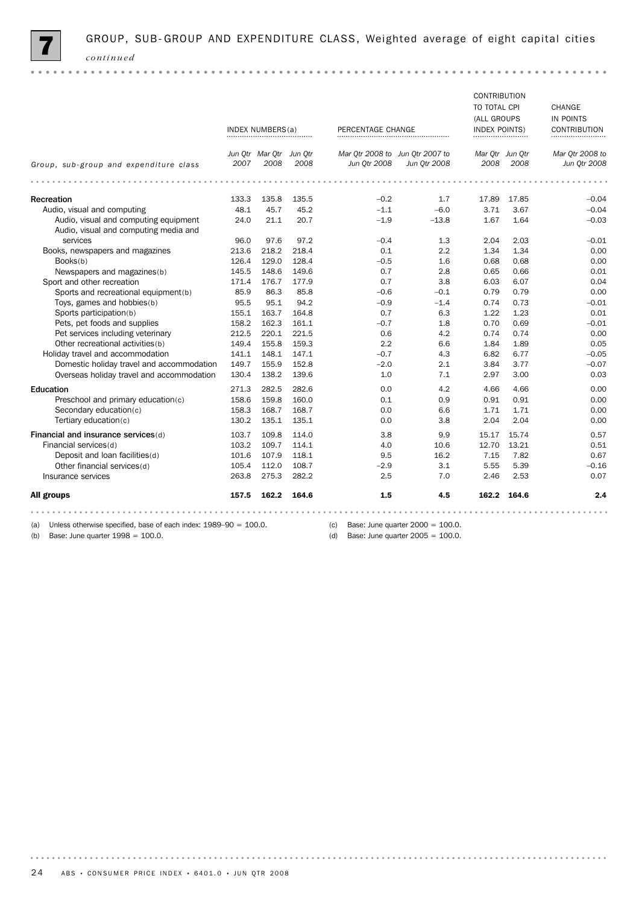

|                                                                                |       |                                 |       |                                                 |                                     | <b>CONTRIBUTION</b><br>TO TOTAL CPI<br>(ALL GROUPS |             | CHANGE<br>IN POINTS             |
|--------------------------------------------------------------------------------|-------|---------------------------------|-------|-------------------------------------------------|-------------------------------------|----------------------------------------------------|-------------|---------------------------------|
|                                                                                |       | INDEX NUMBERS(a)                |       | PERCENTAGE CHANGE                               |                                     | <b>INDEX POINTS)</b><br>                           |             | CONTRIBUTION                    |
| Group, sub-group and expenditure class                                         | 2007  | Jun Otr Mar Otr Jun Otr<br>2008 | 2008  | Mar Otr 2008 to Jun Otr 2007 to<br>Jun 0tr 2008 | Jun Otr 2008                        | Mar Otr Jun Otr<br>2008                            | 2008        | Mar Otr 2008 to<br>Jun Otr 2008 |
|                                                                                |       | .                               |       |                                                 |                                     |                                                    |             |                                 |
| Recreation                                                                     | 133.3 | 135.8                           | 135.5 | $-0.2$                                          | 1.7                                 | 17.89                                              | 17.85       | $-0.04$                         |
| Audio, visual and computing                                                    | 48.1  | 45.7                            | 45.2  | $-1.1$                                          | $-6.0$                              | 3.71                                               | 3.67        | $-0.04$                         |
| Audio, visual and computing equipment<br>Audio, visual and computing media and | 24.0  | 21.1                            | 20.7  | $-1.9$                                          | $-13.8$                             | 1.67                                               | 1.64        | $-0.03$                         |
| services                                                                       | 96.0  | 97.6                            | 97.2  | $-0.4$                                          | 1.3                                 | 2.04                                               | 2.03        | $-0.01$                         |
| Books, newspapers and magazines                                                | 213.6 | 218.2                           | 218.4 | 0.1                                             | 2.2                                 | 1.34                                               | 1.34        | 0.00                            |
| Books(b)                                                                       | 126.4 | 129.0                           | 128.4 | $-0.5$                                          | 1.6                                 | 0.68                                               | 0.68        | 0.00                            |
| Newspapers and magazines(b)                                                    | 145.5 | 148.6                           | 149.6 | 0.7                                             | 2.8                                 | 0.65                                               | 0.66        | 0.01                            |
| Sport and other recreation                                                     | 171.4 | 176.7                           | 177.9 | 0.7                                             | 3.8                                 | 6.03                                               | 6.07        | 0.04                            |
| Sports and recreational equipment(b)                                           | 85.9  | 86.3                            | 85.8  | $-0.6$                                          | $-0.1$                              | 0.79                                               | 0.79        | 0.00                            |
| Toys, games and hobbies(b)                                                     | 95.5  | 95.1                            | 94.2  | $-0.9$                                          | $-1.4$                              | 0.74                                               | 0.73        | $-0.01$                         |
| Sports participation(b)                                                        | 155.1 | 163.7                           | 164.8 | 0.7                                             | 6.3                                 | 1.22                                               | 1.23        | 0.01                            |
| Pets, pet foods and supplies                                                   | 158.2 | 162.3                           | 161.1 | $-0.7$                                          | 1.8                                 | 0.70                                               | 0.69        | $-0.01$                         |
| Pet services including veterinary                                              | 212.5 | 220.1                           | 221.5 | 0.6                                             | 4.2                                 | 0.74                                               | 0.74        | 0.00                            |
| Other recreational activities (b)                                              | 149.4 | 155.8                           | 159.3 | 2.2                                             | 6.6                                 | 1.84                                               | 1.89        | 0.05                            |
| Holiday travel and accommodation                                               | 141.1 | 148.1                           | 147.1 | $-0.7$                                          | 4.3                                 | 6.82                                               | 6.77        | $-0.05$                         |
| Domestic holiday travel and accommodation                                      | 149.7 | 155.9                           | 152.8 | $-2.0$                                          | 2.1                                 | 3.84                                               | 3.77        | $-0.07$                         |
| Overseas holiday travel and accommodation                                      | 130.4 | 138.2                           | 139.6 | 1.0                                             | 7.1                                 | 2.97                                               | 3.00        | 0.03                            |
| Education                                                                      | 271.3 | 282.5                           | 282.6 | 0.0                                             | 4.2                                 | 4.66                                               | 4.66        | 0.00                            |
| Preschool and primary education(c)                                             | 158.6 | 159.8                           | 160.0 | 0.1                                             | 0.9                                 | 0.91                                               | 0.91        | 0.00                            |
| Secondary education(c)                                                         | 158.3 | 168.7                           | 168.7 | 0.0                                             | 6.6                                 | 1.71                                               | 1.71        | 0.00                            |
| Tertiary education(c)                                                          | 130.2 | 135.1                           | 135.1 | 0.0                                             | 3.8                                 | 2.04                                               | 2.04        | 0.00                            |
| Financial and insurance services(d)                                            | 103.7 | 109.8                           | 114.0 | 3.8                                             | 9.9                                 | 15.17                                              | 15.74       | 0.57                            |
| Financial services(d)                                                          | 103.2 | 109.7                           | 114.1 | 4.0                                             | 10.6                                | 12.70                                              | 13.21       | 0.51                            |
| Deposit and loan facilities(d)                                                 | 101.6 | 107.9                           | 118.1 | 9.5                                             | 16.2                                | 7.15                                               | 7.82        | 0.67                            |
| Other financial services(d)                                                    | 105.4 | 112.0                           | 108.7 | $-2.9$                                          | 3.1                                 | 5.55                                               | 5.39        | $-0.16$                         |
| Insurance services                                                             | 263.8 | 275.3                           | 282.2 | 2.5                                             | 7.0                                 | 2.46                                               | 2.53        | 0.07                            |
| All groups                                                                     | 157.5 | 162.2                           | 164.6 | 1.5                                             | 4.5                                 |                                                    | 162.2 164.6 | 2.4                             |
| Unless otherwise specified, base of each index: $1989-90 = 100.0$ .<br>(a)     |       |                                 |       | (c)                                             | Base: June quarter $2000 = 100.0$ . |                                                    |             |                                 |
|                                                                                |       |                                 |       |                                                 |                                     |                                                    |             |                                 |

(a) Unless otherwise specified, base of each index: 1989–90 = 100.0. (b) Base: June quarter  $1998 = 100.0$ .

(d) Base: June quarter  $2005 = 100.0$ .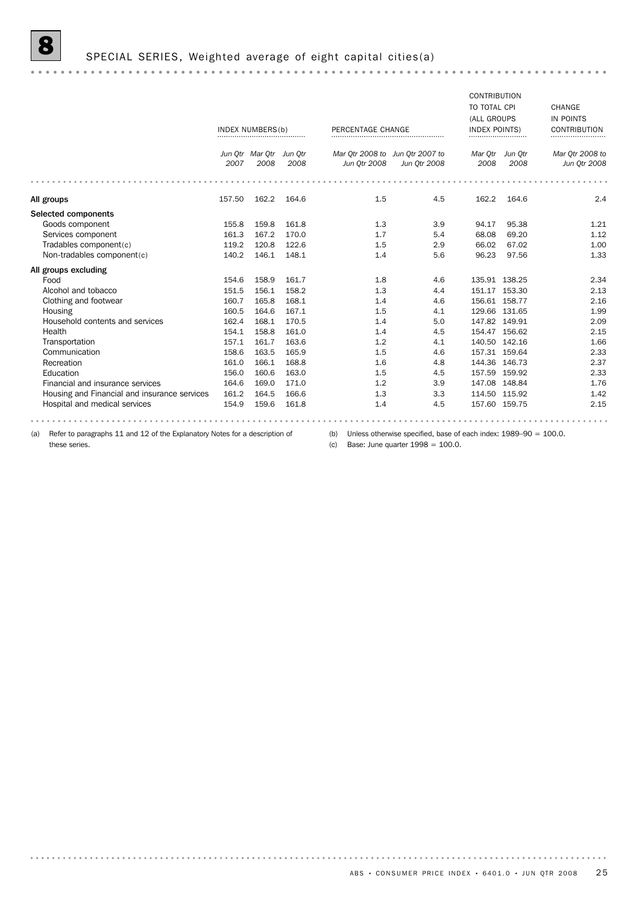# S SPECIAL SERIES, Weighted average of eight capital cities(a)

|                                                                                    |        |                                 |       |                                                 |                                                                     | <b>CONTRIBUTION</b>      |                 |                                 |  |
|------------------------------------------------------------------------------------|--------|---------------------------------|-------|-------------------------------------------------|---------------------------------------------------------------------|--------------------------|-----------------|---------------------------------|--|
|                                                                                    |        |                                 |       |                                                 |                                                                     | TO TOTAL CPI             |                 | CHANGE                          |  |
|                                                                                    |        |                                 |       |                                                 |                                                                     | (ALL GROUPS              |                 | IN POINTS                       |  |
|                                                                                    |        | INDEX NUMBERS(b)                |       | PERCENTAGE CHANGE                               |                                                                     | <b>INDEX POINTS)</b><br> |                 | <b>CONTRIBUTION</b>             |  |
|                                                                                    | 2007   | Jun Qtr Mar Qtr Jun Qtr<br>2008 | 2008  | Mar Qtr 2008 to Jun Qtr 2007 to<br>Jun Otr 2008 | Jun 0tr 2008                                                        | Mar Qtr<br>2008          | Jun Otr<br>2008 | Mar Qtr 2008 to<br>Jun Qtr 2008 |  |
|                                                                                    |        |                                 |       |                                                 |                                                                     |                          |                 |                                 |  |
| All groups                                                                         | 157.50 | 162.2                           | 164.6 | 1.5                                             | 4.5                                                                 | 162.2                    | 164.6           | 2.4                             |  |
| Selected components                                                                |        |                                 |       |                                                 |                                                                     |                          |                 |                                 |  |
| Goods component                                                                    | 155.8  | 159.8                           | 161.8 | 1.3                                             | 3.9                                                                 | 94.17                    | 95.38           | 1.21                            |  |
| Services component                                                                 | 161.3  | 167.2                           | 170.0 | 1.7                                             | 5.4                                                                 | 68.08                    | 69.20           | 1.12                            |  |
| Tradables component(c)                                                             | 119.2  | 120.8                           | 122.6 | 1.5                                             | 2.9                                                                 | 66.02                    | 67.02           | 1.00                            |  |
| Non-tradables component(c)                                                         | 140.2  | 146.1                           | 148.1 | 1.4                                             | 5.6                                                                 | 96.23                    | 97.56           | 1.33                            |  |
| All groups excluding                                                               |        |                                 |       |                                                 |                                                                     |                          |                 |                                 |  |
| Food                                                                               | 154.6  | 158.9                           | 161.7 | 1.8                                             | 4.6                                                                 |                          | 135.91 138.25   | 2.34                            |  |
| Alcohol and tobacco                                                                | 151.5  | 156.1                           | 158.2 | 1.3                                             | 4.4                                                                 |                          | 151.17 153.30   | 2.13                            |  |
| Clothing and footwear                                                              | 160.7  | 165.8                           | 168.1 | 1.4                                             | 4.6                                                                 |                          | 156.61 158.77   | 2.16                            |  |
| Housing                                                                            | 160.5  | 164.6                           | 167.1 | 1.5                                             | 4.1                                                                 |                          | 129.66 131.65   | 1.99                            |  |
| Household contents and services                                                    | 162.4  | 168.1                           | 170.5 | 1.4                                             | 5.0                                                                 |                          | 147.82 149.91   | 2.09                            |  |
| Health                                                                             | 154.1  | 158.8                           | 161.0 | 1.4                                             | 4.5                                                                 |                          | 154.47 156.62   | 2.15                            |  |
| Transportation                                                                     | 157.1  | 161.7                           | 163.6 | 1.2                                             | 4.1                                                                 |                          | 140.50 142.16   | 1.66                            |  |
| Communication                                                                      | 158.6  | 163.5                           | 165.9 | 1.5                                             | 4.6                                                                 |                          | 157.31 159.64   | 2.33                            |  |
| Recreation                                                                         | 161.0  | 166.1                           | 168.8 | 1.6                                             | 4.8                                                                 |                          | 144.36 146.73   | 2.37                            |  |
| Education                                                                          | 156.0  | 160.6                           | 163.0 | 1.5                                             | 4.5                                                                 |                          | 157.59 159.92   | 2.33                            |  |
| Financial and insurance services                                                   | 164.6  | 169.0                           | 171.0 | 1.2                                             | 3.9                                                                 |                          | 147.08 148.84   | 1.76                            |  |
| Housing and Financial and insurance services                                       | 161.2  | 164.5                           | 166.6 | 1.3                                             | 3.3                                                                 |                          | 114.50 115.92   | 1.42                            |  |
| Hospital and medical services                                                      | 154.9  | 159.6                           | 161.8 | 1.4                                             | 4.5                                                                 |                          | 157.60 159.75   | 2.15                            |  |
|                                                                                    |        |                                 |       |                                                 |                                                                     |                          |                 |                                 |  |
| Refer to paragraphs 11 and 12 of the Explanatory Notes for a description of<br>(a) |        |                                 |       | (b)                                             | Unless otherwise specified, base of each index: $1989-90 = 100.0$ . |                          |                 |                                 |  |

these series.

(c) Base: June quarter  $1998 = 100.0$ .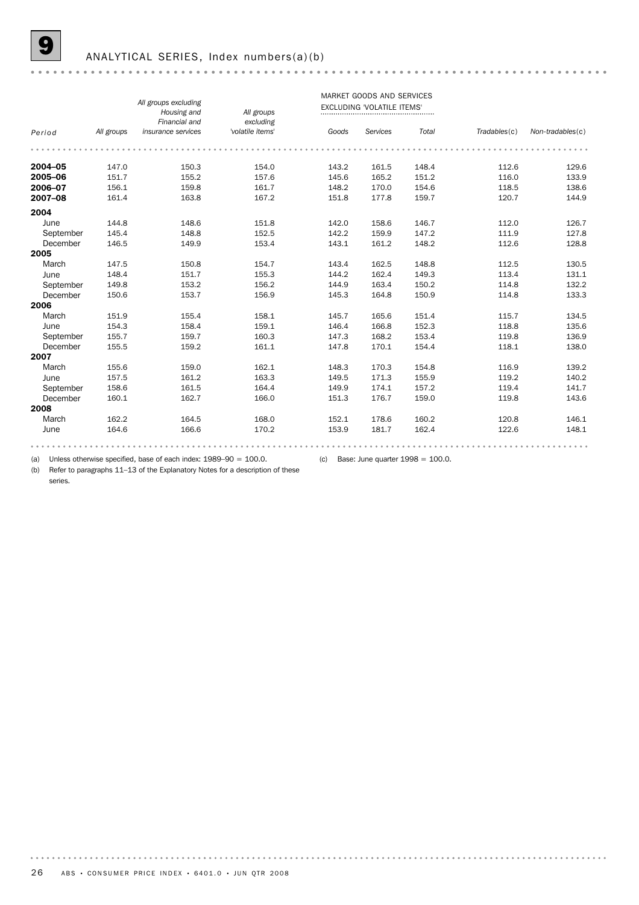#### ANALYTICAL SERIES, Index numbers(a)(b)

|           |            |                                     | MARKET GOODS AND SERVICES     |       |                                   |       |              |                  |  |  |  |
|-----------|------------|-------------------------------------|-------------------------------|-------|-----------------------------------|-------|--------------|------------------|--|--|--|
|           |            | All groups excluding<br>Housing and | All groups                    |       | <b>EXCLUDING 'VOLATILE ITEMS'</b> |       |              |                  |  |  |  |
| Period    | All groups | Financial and<br>insurance services | excluding<br>'volatile items' | Goods | Services                          | Total | Tradebles(c) | Non-tradables(c) |  |  |  |
|           |            |                                     |                               |       |                                   |       |              |                  |  |  |  |
| 2004-05   | 147.0      | 150.3                               | 154.0                         | 143.2 | 161.5                             | 148.4 | 112.6        | 129.6            |  |  |  |
| 2005-06   | 151.7      | 155.2                               | 157.6                         | 145.6 | 165.2                             | 151.2 | 116.0        | 133.9            |  |  |  |
| 2006-07   | 156.1      | 159.8                               | 161.7                         | 148.2 | 170.0                             | 154.6 | 118.5        | 138.6            |  |  |  |
| 2007-08   | 161.4      | 163.8                               | 167.2                         | 151.8 | 177.8                             | 159.7 | 120.7        | 144.9            |  |  |  |
| 2004      |            |                                     |                               |       |                                   |       |              |                  |  |  |  |
| June      | 144.8      | 148.6                               | 151.8                         | 142.0 | 158.6                             | 146.7 | 112.0        | 126.7            |  |  |  |
| September | 145.4      | 148.8                               | 152.5                         | 142.2 | 159.9                             | 147.2 | 111.9        | 127.8            |  |  |  |
| December  | 146.5      | 149.9                               | 153.4                         | 143.1 | 161.2                             | 148.2 | 112.6        | 128.8            |  |  |  |
| 2005      |            |                                     |                               |       |                                   |       |              |                  |  |  |  |
| March     | 147.5      | 150.8                               | 154.7                         | 143.4 | 162.5                             | 148.8 | 112.5        | 130.5            |  |  |  |
| June      | 148.4      | 151.7                               | 155.3                         | 144.2 | 162.4                             | 149.3 | 113.4        | 131.1            |  |  |  |
| September | 149.8      | 153.2                               | 156.2                         | 144.9 | 163.4                             | 150.2 | 114.8        | 132.2            |  |  |  |
| December  | 150.6      | 153.7                               | 156.9                         | 145.3 | 164.8                             | 150.9 | 114.8        | 133.3            |  |  |  |
| 2006      |            |                                     |                               |       |                                   |       |              |                  |  |  |  |
| March     | 151.9      | 155.4                               | 158.1                         | 145.7 | 165.6                             | 151.4 | 115.7        | 134.5            |  |  |  |
| June      | 154.3      | 158.4                               | 159.1                         | 146.4 | 166.8                             | 152.3 | 118.8        | 135.6            |  |  |  |
| September | 155.7      | 159.7                               | 160.3                         | 147.3 | 168.2                             | 153.4 | 119.8        | 136.9            |  |  |  |
| December  | 155.5      | 159.2                               | 161.1                         | 147.8 | 170.1                             | 154.4 | 118.1        | 138.0            |  |  |  |
| 2007      |            |                                     |                               |       |                                   |       |              |                  |  |  |  |
| March     | 155.6      | 159.0                               | 162.1                         | 148.3 | 170.3                             | 154.8 | 116.9        | 139.2            |  |  |  |
| June      | 157.5      | 161.2                               | 163.3                         | 149.5 | 171.3                             | 155.9 | 119.2        | 140.2            |  |  |  |
| September | 158.6      | 161.5                               | 164.4                         | 149.9 | 174.1                             | 157.2 | 119.4        | 141.7            |  |  |  |
| December  | 160.1      | 162.7                               | 166.0                         | 151.3 | 176.7                             | 159.0 | 119.8        | 143.6            |  |  |  |
| 2008      |            |                                     |                               |       |                                   |       |              |                  |  |  |  |
| March     | 162.2      | 164.5                               | 168.0                         | 152.1 | 178.6                             | 160.2 | 120.8        | 146.1            |  |  |  |
| June      | 164.6      | 166.6                               | 170.2                         | 153.9 | 181.7                             | 162.4 | 122.6        | 148.1            |  |  |  |
|           |            |                                     |                               |       |                                   |       |              |                  |  |  |  |

(a) Unless otherwise specified, base of each index: 1989–90 = 100.0. (c) Base: June quarter 1998 = 100.0.

(b) Refer to paragraphs 11–13 of the Explanatory Notes for a description of these series.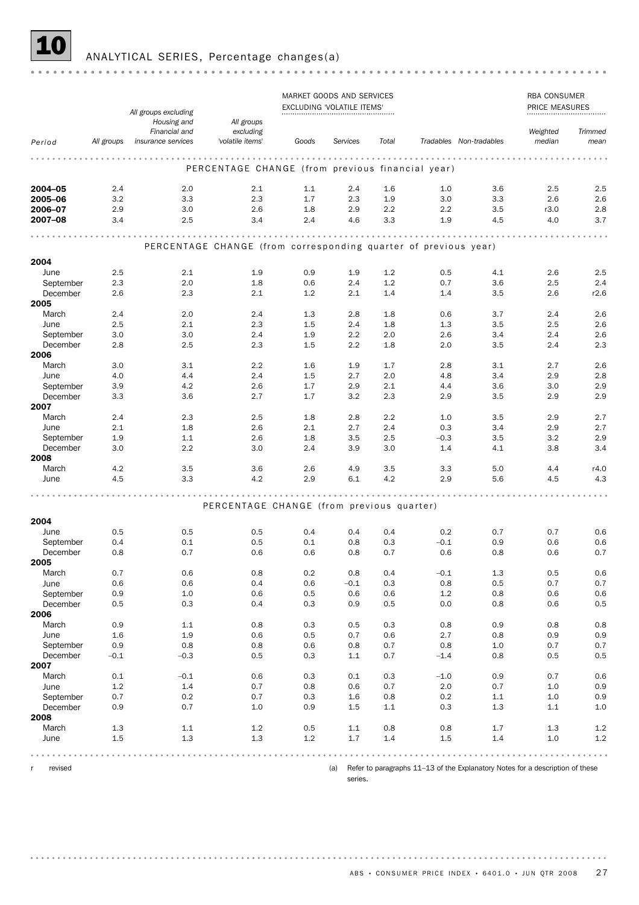

## 10 ANALYTICAL SERIES, Percentage changes(a)

|                       |            |                                                      |                                                                 |            | MARKET GOODS AND SERVICES<br>EXCLUDING 'VOLATILE ITEMS' | RBA CONSUMER<br><b>PRICE MEASURES</b> |                   |                         |            |                |
|-----------------------|------------|------------------------------------------------------|-----------------------------------------------------------------|------------|---------------------------------------------------------|---------------------------------------|-------------------|-------------------------|------------|----------------|
|                       |            | All groups excluding<br>Housing and<br>Financial and | All groups<br>excluding                                         |            |                                                         |                                       |                   |                         | Weighted   | <b>Trimmed</b> |
| Period                | All groups | insurance services                                   | 'volatile items'                                                | Goods      | Services                                                | Total                                 |                   | Tradables Non-tradables | median     | mean           |
|                       |            |                                                      |                                                                 |            |                                                         |                                       |                   |                         |            |                |
|                       |            |                                                      | PERCENTAGE CHANGE (from previous financial year)                |            |                                                         |                                       |                   |                         |            |                |
| 2004-05               | 2.4        | 2.0                                                  | 2.1                                                             | 1.1        | 2.4                                                     | 1.6                                   | 1.0               | 3.6                     | 2.5        | 2.5            |
| 2005-06               | 3.2        | 3.3                                                  | 2.3                                                             | 1.7        | 2.3                                                     | 1.9                                   | 3.0               | 3.3                     | 2.6        | 2.6            |
| 2006-07               | 2.9        | 3.0                                                  | 2.6                                                             | 1.8        | 2.9                                                     | 2.2                                   | 2.2               | 3.5                     | r3.0       | 2.8            |
| 2007-08               | 3.4        | 2.5                                                  | 3.4                                                             | 2.4        | 4.6                                                     | 3.3                                   | 1.9               | 4.5                     | 4.0        | 3.7            |
|                       |            |                                                      |                                                                 |            |                                                         |                                       |                   |                         |            |                |
|                       |            |                                                      | PERCENTAGE CHANGE (from corresponding quarter of previous year) |            |                                                         |                                       |                   |                         |            |                |
| 2004                  |            |                                                      |                                                                 |            |                                                         |                                       |                   |                         |            |                |
| June                  | 2.5        | 2.1                                                  | 1.9                                                             | 0.9        | 1.9                                                     | 1.2                                   | 0.5               | 4.1                     | 2.6        | 2.5            |
| September             | 2.3        | 2.0                                                  | 1.8                                                             | 0.6        | 2.4                                                     | 1.2                                   | 0.7               | 3.6                     | 2.5        | 2.4            |
| December              | 2.6        | 2.3                                                  | 2.1                                                             | 1.2        | 2.1                                                     | 1.4                                   | 1.4               | 3.5                     | 2.6        | r2.6           |
| 2005<br>March         | 2.4        | 2.0                                                  | 2.4                                                             | 1.3        | 2.8                                                     | 1.8                                   | 0.6               | 3.7                     | 2.4        | 2.6            |
| June                  | 2.5        | 2.1                                                  | 2.3                                                             | 1.5        | 2.4                                                     | 1.8                                   | 1.3               | 3.5                     | 2.5        | 2.6            |
| September             | 3.0        | 3.0                                                  | 2.4                                                             | 1.9        | 2.2                                                     | 2.0                                   | 2.6               | 3.4                     | 2.4        | 2.6            |
| December              | 2.8        | 2.5                                                  | 2.3                                                             | 1.5        | 2.2                                                     | 1.8                                   | 2.0               | 3.5                     | 2.4        | 2.3            |
| 2006                  |            |                                                      |                                                                 |            |                                                         |                                       |                   |                         |            |                |
| March                 | 3.0        | 3.1                                                  | 2.2                                                             | 1.6        | 1.9                                                     | 1.7                                   | 2.8               | 3.1                     | 2.7        | 2.6            |
| June                  | 4.0        | 4.4                                                  | 2.4                                                             | 1.5        | 2.7                                                     | 2.0                                   | 4.8               | 3.4                     | 2.9        | 2.8            |
| September<br>December | 3.9<br>3.3 | 4.2<br>3.6                                           | 2.6<br>2.7                                                      | 1.7<br>1.7 | 2.9<br>3.2                                              | 2.1<br>2.3                            | 4.4<br>2.9        | 3.6<br>3.5              | 3.0<br>2.9 | 2.9<br>2.9     |
| 2007                  |            |                                                      |                                                                 |            |                                                         |                                       |                   |                         |            |                |
| March                 | 2.4        | 2.3                                                  | 2.5                                                             | 1.8        | 2.8                                                     | 2.2                                   | 1.0               | 3.5                     | 2.9        | 2.7            |
| June                  | 2.1        | 1.8                                                  | 2.6                                                             | 2.1        | 2.7                                                     | 2.4                                   | 0.3               | 3.4                     | 2.9        | 2.7            |
| September             | 1.9        | 1.1                                                  | 2.6                                                             | 1.8        | 3.5                                                     | 2.5                                   | $-0.3$            | 3.5                     | 3.2        | 2.9            |
| December              | 3.0        | 2.2                                                  | 3.0                                                             | 2.4        | 3.9                                                     | 3.0                                   | 1.4               | 4.1                     | 3.8        | 3.4            |
| 2008<br>March         | 4.2        | 3.5                                                  | 3.6                                                             | 2.6        | 4.9                                                     | 3.5                                   | 3.3               | 5.0                     | 4.4        | r4.0           |
| June                  | 4.5        | 3.3                                                  | 4.2                                                             | 2.9        | 6.1                                                     | 4.2                                   | 2.9               | 5.6                     | 4.5        | 4.3            |
|                       |            |                                                      |                                                                 |            |                                                         |                                       |                   |                         |            |                |
|                       |            |                                                      | PERCENTAGE CHANGE (from previous quarter)                       |            |                                                         |                                       |                   |                         |            |                |
|                       |            |                                                      |                                                                 |            |                                                         |                                       |                   |                         |            |                |
| 2004                  |            |                                                      |                                                                 |            |                                                         |                                       |                   |                         |            |                |
| June<br>September     | 0.5<br>0.4 | 0.5<br>0.1                                           | 0.5<br>0.5                                                      | 0.4<br>0.1 | 0.4<br>0.8                                              | 0.4<br>0.3                            | 0.2<br>$-0.1$     | 0.7<br>0.9              | 0.7<br>0.6 | 0.6<br>0.6     |
| December              | 0.8        | 0.7                                                  | 0.6                                                             | 0.6        | 0.8                                                     | 0.7                                   | 0.6               | 0.8                     | 0.6        | 0.7            |
| 2005                  |            |                                                      |                                                                 |            |                                                         |                                       |                   |                         |            |                |
| March                 | 0.7        | 0.6                                                  | 0.8                                                             | 0.2        | 0.8                                                     | 0.4                                   | $-0.1$            | 1.3                     | 0.5        | 0.6            |
| June                  | 0.6        | 0.6                                                  | 0.4                                                             | 0.6        | $-0.1$                                                  | 0.3                                   | 0.8               | 0.5                     | 0.7        | 0.7            |
| September             | 0.9        | $1.0\,$                                              | 0.6                                                             | 0.5        | 0.6                                                     | 0.6                                   | $1.2\,$           | 0.8                     | 0.6        | 0.6            |
| December<br>2006      | 0.5        | 0.3                                                  | 0.4                                                             | $0.3\,$    | 0.9                                                     | 0.5                                   | 0.0               | 0.8                     | 0.6        | 0.5            |
| March                 | 0.9        | 1.1                                                  | 0.8                                                             | 0.3        | 0.5                                                     | 0.3                                   | 0.8               | 0.9                     | 0.8        | 0.8            |
| June                  | 1.6        | 1.9                                                  | 0.6                                                             | $0.5\,$    | 0.7                                                     | 0.6                                   | 2.7               | 0.8                     | 0.9        | 0.9            |
| September             | 0.9        | 0.8                                                  | 0.8                                                             | 0.6        | 0.8                                                     | 0.7                                   | 0.8               | 1.0                     | 0.7        | 0.7            |
| December              | $-0.1$     | $-0.3$                                               | 0.5                                                             | 0.3        | $1.1\,$                                                 | 0.7                                   | $-1.4$            | 0.8                     | 0.5        | 0.5            |
| 2007                  |            |                                                      |                                                                 |            |                                                         |                                       |                   |                         |            |                |
| March<br>June         | 0.1<br>1.2 | $-0.1$<br>$1.4\,$                                    | 0.6<br>0.7                                                      | 0.3<br>0.8 | 0.1<br>0.6                                              | 0.3<br>0.7                            | $-1.0$<br>$2.0\,$ | 0.9<br>0.7              | 0.7<br>1.0 | 0.6<br>0.9     |
| September             | 0.7        | 0.2                                                  | 0.7                                                             | 0.3        | 1.6                                                     | 0.8                                   | $0.2\,$           | 1.1                     | 1.0        | 0.9            |
| December              | 0.9        | 0.7                                                  | 1.0                                                             | 0.9        | 1.5                                                     | 1.1                                   | 0.3               | 1.3                     | 1.1        | $1.0$          |
| 2008                  |            |                                                      |                                                                 |            |                                                         |                                       |                   |                         |            |                |
| March                 | 1.3        | $1.1\,$                                              | $1.2\,$                                                         | 0.5        | 1.1                                                     | 0.8                                   | 0.8               | 1.7                     | 1.3        | 1.2            |
| June                  | 1.5        | 1.3                                                  | 1.3                                                             | $1.2\,$    | 1.7                                                     | 1.4                                   | 1.5               | 1.4                     | 1.0        | $1.2\,$        |
|                       |            |                                                      |                                                                 |            |                                                         |                                       |                   |                         |            |                |

r revised

<sup>(</sup>a) Refer to paragraphs 11–13 of the Explanatory Notes for a description of these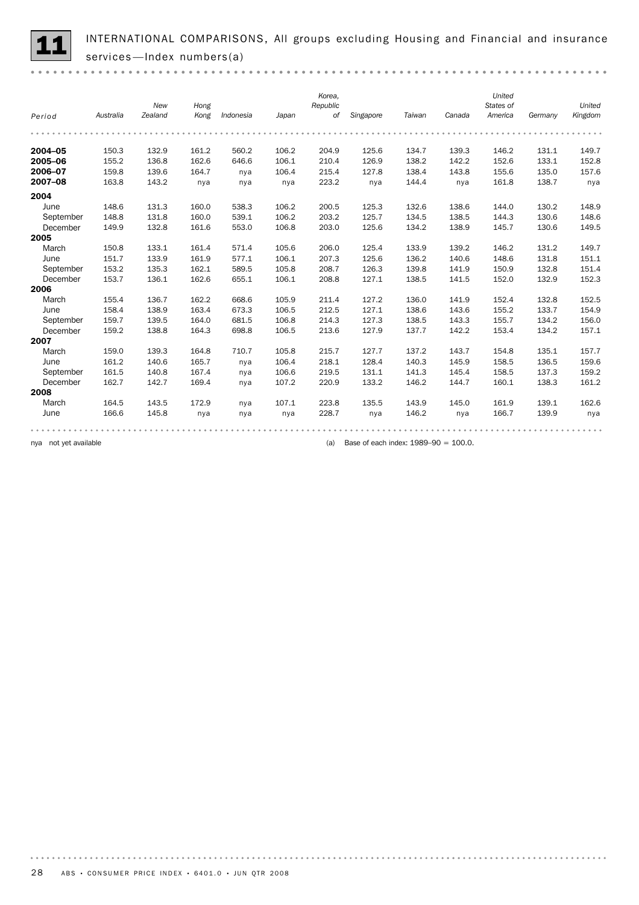INTERNATIONAL COMPARISONS, All groups excluding Housing and Financial and insurance<br>services—Index numbers(a)

*Korea, United States of United New Hong Republic Kong Period Australia Zealand Indonesia Japan of Singapore Taiwan Canada America Germany Kingdom* 2004–05 150.3 132.9 161.2 560.2 106.2 204.9 125.6 134.7 139.3 146.2 131.1 149.7 **2005–06** 155.2 136.8 162.6 646.6 106.1 210.4 126.9 138.2 142.2 152.6 133.1 152.8 2006–07 159.8 139.6 164.7 nya 106.4 215.4 127.8 138.4 143.8 155.6 135.0 157.6 **2007–08** 163.8 143.2 nya nya 223.2 nya 144.4 nya 161.8 138.7 nya 2004 June 148.6 131.3 160.0 538.3 106.2 200.5 125.3 132.6 138.6 144.0 130.2 148.9 September 148.8 131.8 160.0 539.1 106.2 203.2 125.7 134.5 138.5 144.3 130.6 148.6 December 149.9 132.8 161.6 553.0 106.8 203.0 125.6 134.2 138.9 145.7 130.6 149.5 2005 March 150.8 133.1 161.4 571.4 105.6 206.0 125.4 133.9 139.2 146.2 131.2 149.7 June 151.7 133.9 161.9 577.1 106.1 207.3 125.6 136.2 140.6 148.6 131.8 151.1 September 153.2 135.3 162.1 589.5 105.8 208.7 126.3 139.8 141.9 150.9 132.8 151.4 December 153.7 136.1 162.6 655.1 106.1 208.8 127.1 138.5 141.5 152.0 132.9 152.3 2006 March 155.4 136.7 162.2 668.6 105.9 211.4 127.2 136.0 141.9 152.4 132.8 152.5 June 158.4 138.9 163.4 673.3 106.5 212.5 127.1 138.6 143.6 155.2 133.7 154.9 September 159.7 139.5 164.0 681.5 106.8 214.3 127.3 138.5 143.3 155.7 134.2 156.0 December 159.2 138.8 164.3 698.8 106.5 213.6 127.9 137.7 142.2 153.4 134.2 157.1 2007 March 159.0 139.3 164.8 710.7 105.8 215.7 127.7 137.2 143.7 154.8 135.1 157.7 June 161.2 140.6 165.7 nya 106.4 218.1 128.4 140.3 145.9 158.5 136.5 159.6 September 161.5 140.8 167.4 nya 106.6 219.5 131.1 141.3 145.4 158.5 137.3 159.2 December 162.7 142.7 169.4 nya 107.2 220.9 133.2 146.2 144.7 160.1 138.3 161.2 2008 March 164.5 143.5 172.9 nya 107.1 223.8 135.5 143.9 145.0 161.9 139.1 162.6

June 166.6 145.8 nya nya nya 228.7 nya 146.2 nya 166.7 139.9 nya

. . . . . . . . .

nya not yet available **(a)** Base of each index: 1989–90 = 100.0.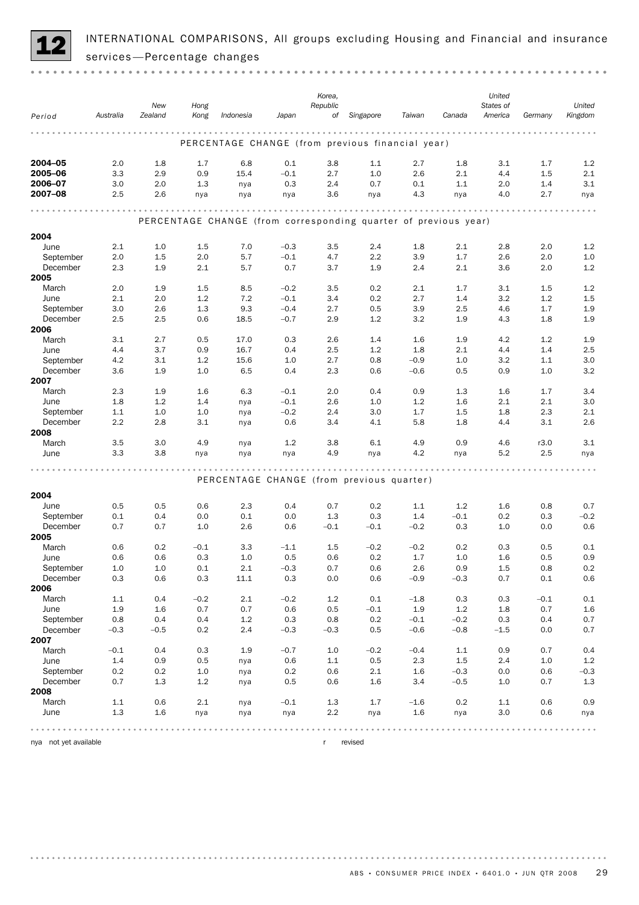

INTERNATIONAL COMPARISONS, All groups excluding Housing and Financial and insurance services —Percentage changes

|                       |           | New                                                                       | Hong    |                                                                 |            | Korea,<br>Republic |           |            |         | United<br>States of |            | United  |
|-----------------------|-----------|---------------------------------------------------------------------------|---------|-----------------------------------------------------------------|------------|--------------------|-----------|------------|---------|---------------------|------------|---------|
| Period                | Australia | Zealand                                                                   | Kong    | Indonesia                                                       | Japan      | of                 | Singapore | Taiwan     | Canada  | America             | Germany    | Kingdom |
|                       |           |                                                                           |         |                                                                 |            |                    |           |            |         |                     |            |         |
|                       |           |                                                                           |         | PERCENTAGE CHANGE (from previous financial year)                |            |                    |           |            |         |                     |            |         |
| 2004-05               | 2.0       | 1.8                                                                       | 1.7     | 6.8                                                             | 0.1        | 3.8                | 1.1       | 2.7        | 1.8     | 3.1                 | 1.7        | 1.2     |
| 2005-06               | 3.3       | 2.9                                                                       | 0.9     | 15.4                                                            | $-0.1$     | 2.7                | 1.0       | 2.6        | 2.1     | 4.4                 | 1.5        | 2.1     |
| 2006-07               | 3.0       | 2.0                                                                       | 1.3     | nya                                                             | 0.3        | 2.4                | 0.7       | 0.1        | 1.1     | 2.0                 | 1.4        | 3.1     |
| 2007-08               | 2.5       | 2.6                                                                       | nya     | nya                                                             | nya        | 3.6                | nya       | 4.3        | nya     | 4.0                 | 2.7        | nya     |
|                       |           |                                                                           |         |                                                                 |            |                    |           |            |         |                     |            |         |
|                       |           |                                                                           |         | PERCENTAGE CHANGE (from corresponding quarter of previous year) |            |                    |           |            |         |                     |            |         |
| 2004                  |           |                                                                           |         |                                                                 |            |                    |           |            |         |                     |            |         |
| June                  | 2.1       | 1.0                                                                       | 1.5     | 7.0                                                             | $-0.3$     | 3.5                | 2.4       | 1.8        | 2.1     | 2.8                 | 2.0        | 1.2     |
| September             | 2.0       | 1.5                                                                       | 2.0     | 5.7                                                             | $-0.1$     | 4.7                | 2.2       | 3.9        | 1.7     | 2.6                 | 2.0        | 1.0     |
| December              | 2.3       | 1.9                                                                       | 2.1     | 5.7                                                             | 0.7        | 3.7                | 1.9       | 2.4        | 2.1     | 3.6                 | 2.0        | 1.2     |
| 2005                  |           |                                                                           |         |                                                                 |            |                    |           |            |         |                     |            |         |
| March                 | 2.0       | 1.9                                                                       | 1.5     | 8.5                                                             | $-0.2$     | 3.5                | 0.2       | 2.1        | 1.7     | 3.1                 | 1.5        | 1.2     |
| June                  | 2.1       | 2.0                                                                       | 1.2     | 7.2                                                             | $-0.1$     | 3.4                | 0.2       | 2.7        | 1.4     | 3.2                 | 1.2        | 1.5     |
| September             | 3.0       | 2.6                                                                       | 1.3     | 9.3                                                             | $-0.4$     | 2.7                | 0.5       | 3.9        | 2.5     | 4.6                 | 1.7        | 1.9     |
| December              | 2.5       | 2.5                                                                       | 0.6     | 18.5                                                            | $-0.7$     | 2.9                | 1.2       | 3.2        | 1.9     | 4.3                 | 1.8        | 1.9     |
| 2006                  |           |                                                                           |         |                                                                 |            |                    |           |            |         |                     |            |         |
| March                 | 3.1       | 2.7                                                                       | 0.5     | 17.0                                                            | 0.3        | 2.6                | 1.4       | 1.6        | 1.9     | 4.2                 | 1.2        | 1.9     |
| June                  | 4.4       | 3.7                                                                       | 0.9     | 16.7                                                            | 0.4        | 2.5                | 1.2       | 1.8        | 2.1     | 4.4                 | 1.4        | 2.5     |
| September<br>December | 4.2       | 3.1                                                                       | 1.2     | 15.6                                                            | 1.0        | 2.7                | 0.8       | $-0.9$     | 1.0     | 3.2                 | 1.1        | 3.0     |
| 2007                  | 3.6       | 1.9                                                                       | 1.0     | 6.5                                                             | 0.4        | 2.3                | 0.6       | $-0.6$     | 0.5     | 0.9                 | 1.0        | 3.2     |
| March                 | 2.3       | 1.9                                                                       | 1.6     | 6.3                                                             | $-0.1$     | 2.0                | 0.4       | 0.9        | 1.3     | 1.6                 | 1.7        | 3.4     |
| June                  | 1.8       | 1.2                                                                       | 1.4     | nya                                                             | $-0.1$     | 2.6                | 1.0       | 1.2        | 1.6     | 2.1                 | 2.1        | 3.0     |
| September             | 1.1       | 1.0                                                                       | 1.0     | nya                                                             | $-0.2$     | 2.4                | 3.0       | 1.7        | 1.5     | 1.8                 | 2.3        | 2.1     |
| December              | 2.2       | 2.8                                                                       | 3.1     | nya                                                             | 0.6        | 3.4                | 4.1       | 5.8        | 1.8     | 4.4                 | 3.1        | 2.6     |
| 2008                  |           |                                                                           |         |                                                                 |            |                    |           |            |         |                     |            |         |
| March                 | 3.5       | 3.0                                                                       | 4.9     | nya                                                             | 1.2        | 3.8                | 6.1       | 4.9        | 0.9     | 4.6                 | r3.0       | 3.1     |
| June                  | 3.3       | 3.8                                                                       | nya     | nya                                                             | nya        | 4.9                | nya       | 4.2        | nya     | 5.2                 | 2.5        | nya     |
|                       |           |                                                                           |         |                                                                 |            |                    |           |            |         |                     |            |         |
|                       |           |                                                                           |         | PERCENTAGE CHANGE (from previous quarter)                       |            |                    |           |            |         |                     |            |         |
|                       |           |                                                                           |         |                                                                 |            |                    |           |            |         |                     |            |         |
| 2004<br>June          | 0.5       | 0.5                                                                       | 0.6     | 2.3                                                             |            | 0.7                | 0.2       |            | 1.2     |                     |            | 0.7     |
| September             | 0.1       | 0.4                                                                       | 0.0     | 0.1                                                             | 0.4<br>0.0 | 1.3                | 0.3       | 1.1<br>1.4 | $-0.1$  | 1.6<br>0.2          | 0.8<br>0.3 | $-0.2$  |
| December              | 0.7       | 0.7                                                                       | 1.0     | 2.6                                                             | 0.6        | $-0.1$             | $-0.1$    | $-0.2$     | 0.3     | 1.0                 | 0.0        | 0.6     |
| 2005                  |           |                                                                           |         |                                                                 |            |                    |           |            |         |                     |            |         |
| March                 | 0.6       | 0.2                                                                       | $-0.1$  | 3.3                                                             | $-1.1$     | 1.5                | $-0.2$    | $-0.2$     | 0.2     | 0.3                 | 0.5        | 0.1     |
| June                  | 0.6       | 0.6                                                                       | 0.3     | 1.0                                                             | 0.5        | 0.6                | 0.2       | 1.7        | 1.0     | 1.6                 | 0.5        | 0.9     |
| September             | 1.0       | 1.0                                                                       | 0.1     | 2.1                                                             | $-0.3$     | 0.7                | 0.6       | 2.6        | 0.9     | 1.5                 | 0.8        | 0.2     |
| December              | 0.3       | 0.6                                                                       | 0.3     | 11.1                                                            | $0.3\,$    | 0.0                | 0.6       | $-0.9$     | $-0.3$  | 0.7                 | 0.1        | 0.6     |
| 2006                  |           |                                                                           |         |                                                                 |            |                    |           |            |         |                     |            |         |
| March                 | $1.1\,$   | 0.4                                                                       | $-0.2$  | 2.1                                                             | $-0.2$     | 1.2                | 0.1       | $-1.8$     | 0.3     | 0.3                 | $-0.1$     | $0.1\,$ |
| June                  | 1.9       | 1.6                                                                       | 0.7     | 0.7                                                             | 0.6        | 0.5                | $-0.1$    | 1.9        | 1.2     | 1.8                 | 0.7        | $1.6\,$ |
| September             | 0.8       | 0.4                                                                       | 0.4     | 1.2                                                             | 0.3        | 0.8                | 0.2       | $-0.1$     | $-0.2$  | 0.3                 | 0.4        | 0.7     |
| December              | $-0.3$    | $-0.5$                                                                    | 0.2     | 2.4                                                             | $-0.3$     | $-0.3$             | 0.5       | $-0.6$     | $-0.8$  | $-1.5$              | 0.0        | 0.7     |
| 2007<br>March         | $-0.1$    | 0.4                                                                       | $0.3\,$ | 1.9                                                             | $-0.7$     | 1.0                | $-0.2$    | $-0.4$     | $1.1\,$ | 0.9                 | 0.7        | 0.4     |
| June                  | 1.4       | 0.9                                                                       | 0.5     | nya                                                             | 0.6        | 1.1                | 0.5       | 2.3        | 1.5     | 2.4                 | $1.0$      | $1.2\,$ |
| September             | 0.2       | 0.2                                                                       | $1.0\,$ | nya                                                             | $0.2\,$    | 0.6                | 2.1       | 1.6        | $-0.3$  | 0.0                 | 0.6        | $-0.3$  |
| December              | 0.7       | 1.3                                                                       | $1.2\,$ | nya                                                             | 0.5        | 0.6                | 1.6       | 3.4        | $-0.5$  | 1.0                 | 0.7        | $1.3\,$ |
| 2008                  |           |                                                                           |         |                                                                 |            |                    |           |            |         |                     |            |         |
| March                 | $1.1\,$   | 0.6                                                                       | 2.1     | nya                                                             | $-0.1$     | $1.3\,$            | 1.7       | $-1.6$     | 0.2     | 1.1                 | 0.6        | 0.9     |
| June                  | 1.3       | 1.6                                                                       | nya     | nya                                                             | nya        | 2.2                | nya       | 1.6        | nya     | 3.0                 | 0.6        | nya     |
|                       |           | $\begin{array}{cccccccccccccc} 0 & 0 & 0 & 0 & 0 & 0 & 0 & 0 \end{array}$ |         |                                                                 |            |                    |           |            |         |                     |            | .       |

nya not yet available r revised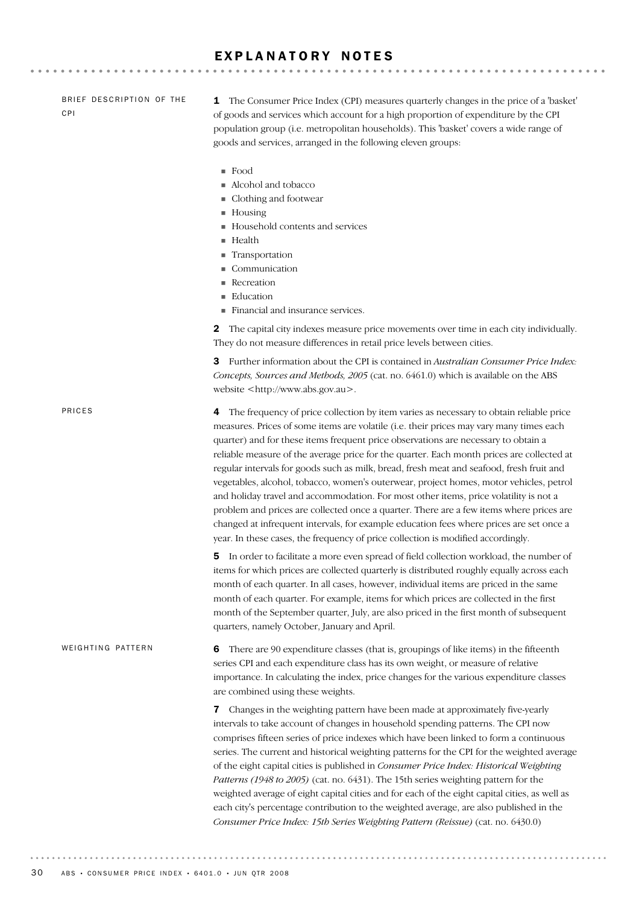#### EXPLANATORY NOTES

BRIEF DESCRIPTION OF THE CPI

1 The Consumer Price Index (CPI) measures quarterly changes in the price of a 'basket' of goods and services which account for a high proportion of expenditure by the CPI population group (i.e. metropolitan households). This 'basket' covers a wide range of goods and services, arranged in the following eleven groups:

- ! Food
- ! Alcohol and tobacco
- ! Clothing and footwear
- Housing
- ! Household contents and services
- **E** Health
- **Transportation**
- **Communication**
- **Recreation**
- **Education**
- ! Financial and insurance services.

2 The capital city indexes measure price movements over time in each city individually. They do not measure differences in retail price levels between cities.

3 Further information about the CPI is contained in *Australian Consumer Price Index: Concepts, Sources and Methods, 2005* (cat. no. 6461.0) which is available on the ABS website <http://www.abs.gov.au>.

6 There are 90 expenditure classes (that is, groupings of like items) in the fifteenth series CPI and each expenditure class has its own weight, or measure of relative importance. In calculating the index, price changes for the various expenditure classes are combined using these weights. 7 Changes in the weighting pattern have been made at approximately five-yearly intervals to take account of changes in household spending patterns. The CPI now comprises fifteen series of price indexes which have been linked to form a continuous series. The current and historical weighting patterns for the CPI for the weighted average of the eight capital cities is published in *Consumer Price Index: Historical Weighting Patterns (1948 to 2005)* (cat. no. 6431). The 15th series weighting pattern for the weighted average of eight capital cities and for each of the eight capital cities, as well as each city's percentage contribution to the weighted average, are also published in the *Consumer Price Index: 15th Series Weighting Pattern (Reissue)* (cat. no. 6430.0) WEIGHTING PATTERN 4 The frequency of price collection by item varies as necessary to obtain reliable price measures. Prices of some items are volatile (i.e. their prices may vary many times each quarter) and for these items frequent price observations are necessary to obtain a reliable measure of the average price for the quarter. Each month prices are collected at regular intervals for goods such as milk, bread, fresh meat and seafood, fresh fruit and vegetables, alcohol, tobacco, women's outerwear, project homes, motor vehicles, petrol and holiday travel and accommodation. For most other items, price volatility is not a problem and prices are collected once a quarter. There are a few items where prices are changed at infrequent intervals, for example education fees where prices are set once a year. In these cases, the frequency of price collection is modified accordingly. 5 In order to facilitate a more even spread of field collection workload, the number of items for which prices are collected quarterly is distributed roughly equally across each month of each quarter. In all cases, however, individual items are priced in the same month of each quarter. For example, items for which prices are collected in the first month of the September quarter, July, are also priced in the first month of subsequent quarters, namely October, January and April. PRICES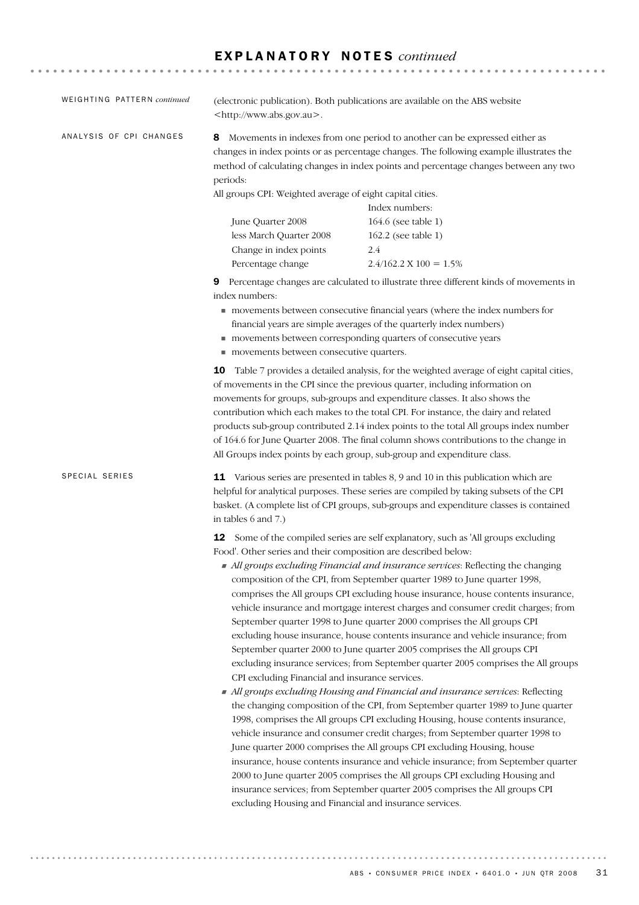### E X P L A N A T O R Y N O T E S *continued*

| WEIGHTING PATTERN continued | <http: www.abs.gov.au="">.</http:>                                                                                                                                                                                                                                                                                                                                                                                                                                                                                                                                                                                   | (electronic publication). Both publications are available on the ABS website                                                                                                                                                                                                                                                                                                                                                                                                                                                                                                                                                                                                                                                                                                                                                                                                                                                                                                                                                                                                                                                                                                                                                                                                                                                                                                                                                         |  |
|-----------------------------|----------------------------------------------------------------------------------------------------------------------------------------------------------------------------------------------------------------------------------------------------------------------------------------------------------------------------------------------------------------------------------------------------------------------------------------------------------------------------------------------------------------------------------------------------------------------------------------------------------------------|--------------------------------------------------------------------------------------------------------------------------------------------------------------------------------------------------------------------------------------------------------------------------------------------------------------------------------------------------------------------------------------------------------------------------------------------------------------------------------------------------------------------------------------------------------------------------------------------------------------------------------------------------------------------------------------------------------------------------------------------------------------------------------------------------------------------------------------------------------------------------------------------------------------------------------------------------------------------------------------------------------------------------------------------------------------------------------------------------------------------------------------------------------------------------------------------------------------------------------------------------------------------------------------------------------------------------------------------------------------------------------------------------------------------------------------|--|
| ANALYSIS OF CPI CHANGES     | 8<br>periods:<br>All groups CPI: Weighted average of eight capital cities.                                                                                                                                                                                                                                                                                                                                                                                                                                                                                                                                           | Movements in indexes from one period to another can be expressed either as<br>changes in index points or as percentage changes. The following example illustrates the<br>method of calculating changes in index points and percentage changes between any two<br>Index numbers:                                                                                                                                                                                                                                                                                                                                                                                                                                                                                                                                                                                                                                                                                                                                                                                                                                                                                                                                                                                                                                                                                                                                                      |  |
|                             | June Quarter 2008<br>less March Quarter 2008<br>Change in index points<br>Percentage change                                                                                                                                                                                                                                                                                                                                                                                                                                                                                                                          | 164.6 (see table 1)<br>162.2 (see table 1)<br>2.4<br>$2.4/162.2 \text{ X } 100 = 1.5\%$                                                                                                                                                                                                                                                                                                                                                                                                                                                                                                                                                                                                                                                                                                                                                                                                                                                                                                                                                                                                                                                                                                                                                                                                                                                                                                                                              |  |
|                             | 9 Percentage changes are calculated to illustrate three different kinds of movements in<br>index numbers:<br>movements between consecutive financial years (where the index numbers for<br>financial years are simple averages of the quarterly index numbers)<br>movements between corresponding quarters of consecutive years<br>movements between consecutive quarters.                                                                                                                                                                                                                                           |                                                                                                                                                                                                                                                                                                                                                                                                                                                                                                                                                                                                                                                                                                                                                                                                                                                                                                                                                                                                                                                                                                                                                                                                                                                                                                                                                                                                                                      |  |
|                             | <b>10</b> Table 7 provides a detailed analysis, for the weighted average of eight capital cities,<br>of movements in the CPI since the previous quarter, including information on<br>movements for groups, sub-groups and expenditure classes. It also shows the<br>contribution which each makes to the total CPI. For instance, the dairy and related<br>products sub-group contributed 2.14 index points to the total All groups index number<br>of 164.6 for June Quarter 2008. The final column shows contributions to the change in<br>All Groups index points by each group, sub-group and expenditure class. |                                                                                                                                                                                                                                                                                                                                                                                                                                                                                                                                                                                                                                                                                                                                                                                                                                                                                                                                                                                                                                                                                                                                                                                                                                                                                                                                                                                                                                      |  |
| SPECIAL SERIES              | 11 Various series are presented in tables 8, 9 and 10 in this publication which are<br>helpful for analytical purposes. These series are compiled by taking subsets of the CPI<br>basket. (A complete list of CPI groups, sub-groups and expenditure classes is contained<br>in tables 6 and 7.)                                                                                                                                                                                                                                                                                                                     |                                                                                                                                                                                                                                                                                                                                                                                                                                                                                                                                                                                                                                                                                                                                                                                                                                                                                                                                                                                                                                                                                                                                                                                                                                                                                                                                                                                                                                      |  |
|                             | 12<br>Food'. Other series and their composition are described below:<br>CPI excluding Financial and insurance services.<br>excluding Housing and Financial and insurance services.                                                                                                                                                                                                                                                                                                                                                                                                                                   | Some of the compiled series are self explanatory, such as 'All groups excluding<br>• All groups excluding Financial and insurance services: Reflecting the changing<br>composition of the CPI, from September quarter 1989 to June quarter 1998,<br>comprises the All groups CPI excluding house insurance, house contents insurance,<br>vehicle insurance and mortgage interest charges and consumer credit charges; from<br>September quarter 1998 to June quarter 2000 comprises the All groups CPI<br>excluding house insurance, house contents insurance and vehicle insurance; from<br>September quarter 2000 to June quarter 2005 comprises the All groups CPI<br>excluding insurance services; from September quarter 2005 comprises the All groups<br>All groups excluding Housing and Financial and insurance services: Reflecting<br>the changing composition of the CPI, from September quarter 1989 to June quarter<br>1998, comprises the All groups CPI excluding Housing, house contents insurance,<br>vehicle insurance and consumer credit charges; from September quarter 1998 to<br>June quarter 2000 comprises the All groups CPI excluding Housing, house<br>insurance, house contents insurance and vehicle insurance; from September quarter<br>2000 to June quarter 2005 comprises the All groups CPI excluding Housing and<br>insurance services; from September quarter 2005 comprises the All groups CPI |  |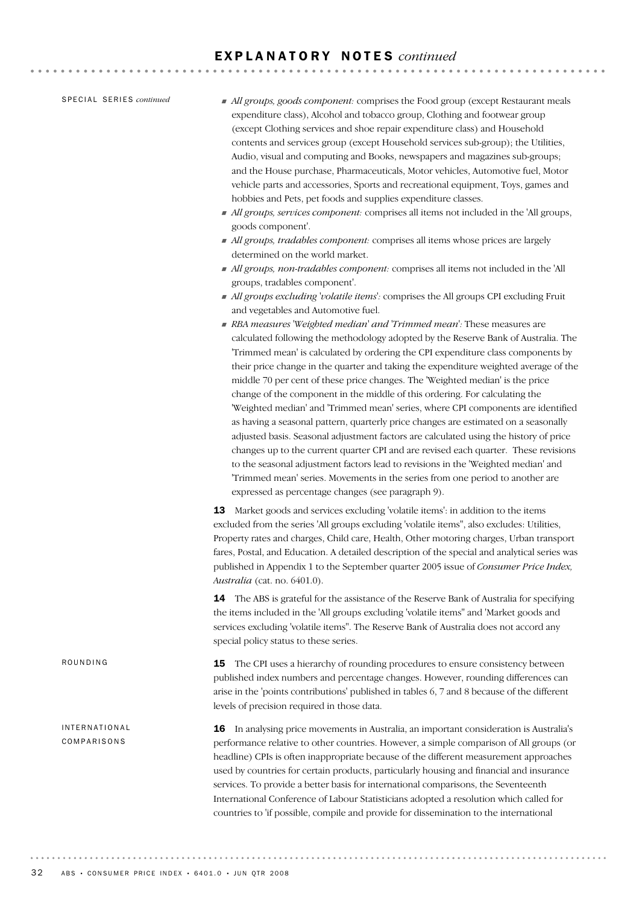#### E X P L A N A T O R Y N O T E S *continued*

SPECIAL SERIES *continued* 

- ! *All groups, goods component:* comprises the Food group (except Restaurant meals expenditure class), Alcohol and tobacco group, Clothing and footwear group (except Clothing services and shoe repair expenditure class) and Household contents and services group (except Household services sub-group); the Utilities, Audio, visual and computing and Books, newspapers and magazines sub-groups; and the House purchase, Pharmaceuticals, Motor vehicles, Automotive fuel, Motor vehicle parts and accessories, Sports and recreational equipment, Toys, games and hobbies and Pets, pet foods and supplies expenditure classes.
- ! *All groups, services component:* comprises all items not included in the 'All groups, goods component'.
- ! *All groups, tradables component:* comprises all items whose prices are largely determined on the world market.
- ! *All groups, non-tradables component:* comprises all items not included in the 'All groups, tradables component'.
- ! *All groups excluding 'volatile items':* comprises the All groups CPI excluding Fruit and vegetables and Automotive fuel.
- ! *RBA measures 'Weighted median' and 'Trimmed mean':* These measures are calculated following the methodology adopted by the Reserve Bank of Australia. The 'Trimmed mean' is calculated by ordering the CPI expenditure class components by their price change in the quarter and taking the expenditure weighted average of the middle 70 per cent of these price changes. The 'Weighted median' is the price change of the component in the middle of this ordering. For calculating the 'Weighted median' and 'Trimmed mean' series, where CPI components are identified as having a seasonal pattern, quarterly price changes are estimated on a seasonally adjusted basis. Seasonal adjustment factors are calculated using the history of price changes up to the current quarter CPI and are revised each quarter. These revisions to the seasonal adjustment factors lead to revisions in the 'Weighted median' and 'Trimmed mean' series. Movements in the series from one period to another are expressed as percentage changes (see paragraph 9).

13 Market goods and services excluding 'volatile items': in addition to the items excluded from the series 'All groups excluding 'volatile items'', also excludes: Utilities, Property rates and charges, Child care, Health, Other motoring charges, Urban transport fares, Postal, and Education. A detailed description of the special and analytical series was published in Appendix 1 to the September quarter 2005 issue of *Consumer Price Index, Australia* (cat. no. 6401.0).

14 The ABS is grateful for the assistance of the Reserve Bank of Australia for specifying the items included in the 'All groups excluding 'volatile items'' and 'Market goods and services excluding 'volatile items''. The Reserve Bank of Australia does not accord any special policy status to these series.

**15** The CPI uses a hierarchy of rounding procedures to ensure consistency between published index numbers and percentage changes. However, rounding differences can arise in the 'points contributions' published in tables 6, 7 and 8 because of the different levels of precision required in those data. ROUNDING

> 16 In analysing price movements in Australia, an important consideration is Australia's performance relative to other countries. However, a simple comparison of All groups (or headline) CPIs is often inappropriate because of the different measurement approaches used by countries for certain products, particularly housing and financial and insurance services. To provide a better basis for international comparisons, the Seventeenth International Conference of Labour Statisticians adopted a resolution which called for countries to 'if possible, compile and provide for dissemination to the international

INTERNATIONAL COMPARISONS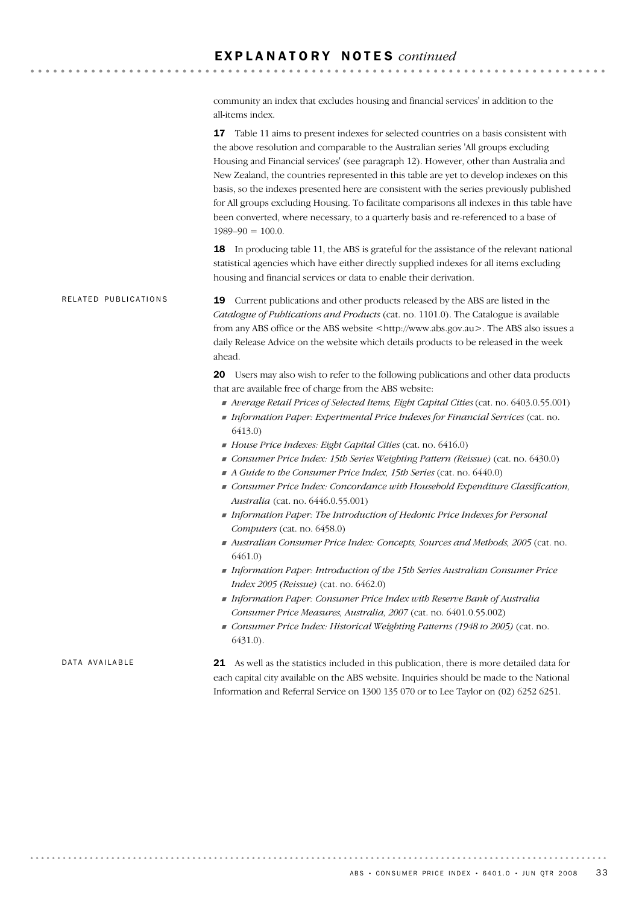community an index that excludes housing and financial services' in addition to the all-items index.

17 Table 11 aims to present indexes for selected countries on a basis consistent with the above resolution and comparable to the Australian series 'All groups excluding Housing and Financial services' (see paragraph 12). However, other than Australia and New Zealand, the countries represented in this table are yet to develop indexes on this basis, so the indexes presented here are consistent with the series previously published for All groups excluding Housing. To facilitate comparisons all indexes in this table have been converted, where necessary, to a quarterly basis and re-referenced to a base of  $1989-90 = 100.0$ .

18 In producing table 11, the ABS is grateful for the assistance of the relevant national statistical agencies which have either directly supplied indexes for all items excluding housing and financial services or data to enable their derivation.

19 Current publications and other products released by the ABS are listed in the *Catalogue of Publications and Products* (cat. no. 1101.0). The Catalogue is available from any ABS office or the ABS website <http://www.abs.gov.au>. The ABS also issues a daily Release Advice on the website which details products to be released in the week ahead. RELATED PUBLICATIONS

> 20 Users may also wish to refer to the following publications and other data products that are available free of charge from the ABS website:

- ! *Average Retail Prices of Selected Items, Eight Capital Cities* (cat. no. 6403.0.55.001)
- ! *Information Paper: Experimental Price Indexes for Financial Services* (cat. no. 6413.0)
- ! *House Price Indexes: Eight Capital Cities* (cat. no. 6416.0)
- ! *Consumer Price Index: 15th Series Weighting Pattern (Reissue)* (cat. no. 6430.0)
- ! *A Guide to the Consumer Price Index, 15th Series* (cat. no. 6440.0)
- ! *Consumer Price Index: Concordance with Household Expenditure Classification, Australia* (cat. no. 6446.0.55.001)
- ! *Information Paper: The Introduction of Hedonic Price Indexes for Personal Computers* (cat. no. 6458.0)
- ! *Australian Consumer Price Index: Concepts, Sources and Methods, 2005* (cat. no. 6461.0)
- ! *Information Paper: Introduction of the 15th Series Australian Consumer Price Index 2005 (Reissue)* (cat. no. 6462.0)
- ! *Information Paper: Consumer Price Index with Reserve Bank of Australia Consumer Price Measures, Australia, 2007* (cat. no. 6401.0.55.002)
- ! *Consumer Price Index: Historical Weighting Patterns (1948 to 2005)* (cat. no. 6431.0).

DATA AVAILARLE

21 As well as the statistics included in this publication, there is more detailed data for each capital city available on the ABS website. Inquiries should be made to the National Information and Referral Service on 1300 135 070 or to Lee Taylor on (02) 6252 6251.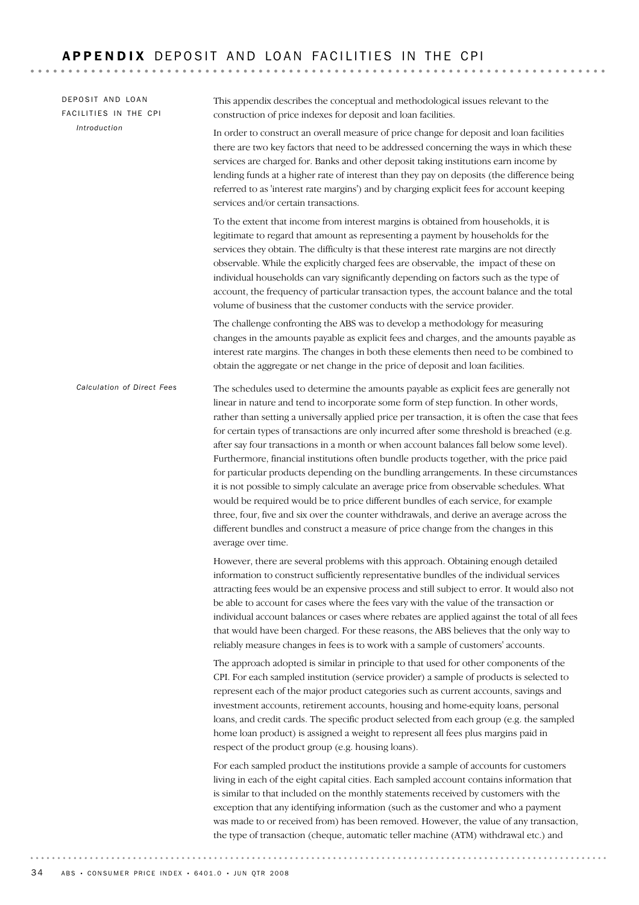The schedules used to determine the amounts payable as explicit fees are generally not linear in nature and tend to incorporate some form of step function. In other words, rather than setting a universally applied price per transaction, it is often the case that fees for certain types of transactions are only incurred after some threshold is breached (e.g. after say four transactions in a month or when account balances fall below some level). Furthermore, financial institutions often bundle products together, with the price paid for particular products depending on the bundling arrangements. In these circumstances it is not possible to simply calculate an average price from observable schedules. What would be required would be to price different bundles of each service, for example three, four, five and six over the counter withdrawals, and derive an average across the different bundles and construct a measure of price change from the changes in this average over time. However, there are several problems with this approach. Obtaining enough detailed information to construct sufficiently representative bundles of the individual services attracting fees would be an expensive process and still subject to error. It would also not be able to account for cases where the fees vary with the value of the transaction or individual account balances or cases where rebates are applied against the total of all fees that would have been charged. For these reasons, the ABS believes that the only way to reliably measure changes in fees is to work with a sample of customers' accounts. The approach adopted is similar in principle to that used for other components of the CPI. For each sampled institution (service provider) a sample of products is selected to represent each of the major product categories such as current accounts, savings and investment accounts, retirement accounts, housing and home-equity loans, personal loans, and credit cards. The specific product selected from each group (e.g. the sampled home loan product) is assigned a weight to represent all fees plus margins paid in respect of the product group (e.g. housing loans). For each sampled product the institutions provide a sample of accounts for customers living in each of the eight capital cities. Each sampled account contains information that is similar to that included on the monthly statements received by customers with the exception that any identifying information (such as the customer and who a payment was made to or received from) has been removed. However, the value of any transaction, the type of transaction (cheque, automatic teller machine (ATM) withdrawal etc.) and *Calculation of Direct Fees* This appendix describes the conceptual and methodological issues relevant to the construction of price indexes for deposit and loan facilities. In order to construct an overall measure of price change for deposit and loan facilities there are two key factors that need to be addressed concerning the ways in which these services are charged for. Banks and other deposit taking institutions earn income by lending funds at a higher rate of interest than they pay on deposits (the difference being referred to as 'interest rate margins') and by charging explicit fees for account keeping services and/or certain transactions. To the extent that income from interest margins is obtained from households, it is legitimate to regard that amount as representing a payment by households for the services they obtain. The difficulty is that these interest rate margins are not directly observable. While the explicitly charged fees are observable, the impact of these on individual households can vary significantly depending on factors such as the type of account, the frequency of particular transaction types, the account balance and the total volume of business that the customer conducts with the service provider. The challenge confronting the ABS was to develop a methodology for measuring changes in the amounts payable as explicit fees and charges, and the amounts payable as interest rate margins. The changes in both these elements then need to be combined to obtain the aggregate or net change in the price of deposit and loan facilities. DEPOSIT AND LOAN FACILITIES IN THE CPI *Introduction*

. . . . . . . . . . . . . . . .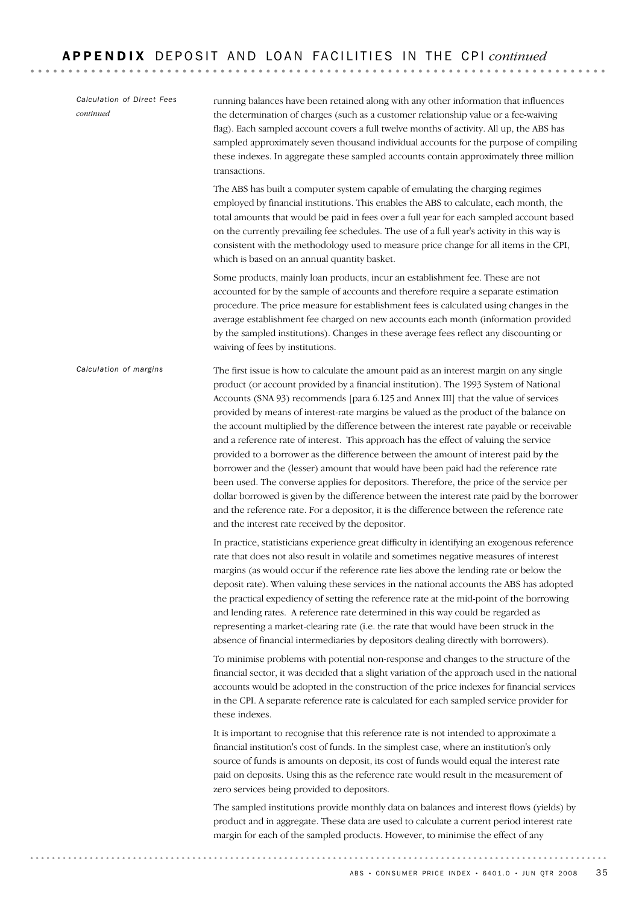The first issue is how to calculate the amount paid as an interest margin on any single product (or account provided by a financial institution). The 1993 System of National Accounts (SNA 93) recommends [para 6.125 and Annex III] that the value of services provided by means of interest-rate margins be valued as the product of the balance on the account multiplied by the difference between the interest rate payable or receivable and a reference rate of interest. This approach has the effect of valuing the service provided to a borrower as the difference between the amount of interest paid by the borrower and the (lesser) amount that would have been paid had the reference rate been used. The converse applies for depositors. Therefore, the price of the service per dollar borrowed is given by the difference between the interest rate paid by the borrower and the reference rate. For a depositor, it is the difference between the reference rate and the interest rate received by the depositor. In practice, statisticians experience great difficulty in identifying an exogenous reference rate that does not also result in volatile and sometimes negative measures of interest margins (as would occur if the reference rate lies above the lending rate or below the deposit rate). When valuing these services in the national accounts the ABS has adopted the practical expediency of setting the reference rate at the mid-point of the borrowing and lending rates. A reference rate determined in this way could be regarded as representing a market-clearing rate (i.e. the rate that would have been struck in the absence of financial intermediaries by depositors dealing directly with borrowers). To minimise problems with potential non-response and changes to the structure of the financial sector, it was decided that a slight variation of the approach used in the national accounts would be adopted in the construction of the price indexes for financial services in the CPI. A separate reference rate is calculated for each sampled service provider for these indexes. It is important to recognise that this reference rate is not intended to approximate a financial institution's cost of funds. In the simplest case, where an institution's only source of funds is amounts on deposit, its cost of funds would equal the interest rate paid on deposits. Using this as the reference rate would result in the measurement of zero services being provided to depositors. The sampled institutions provide monthly data on balances and interest flows (yields) by product and in aggregate. These data are used to calculate a current period interest rate margin for each of the sampled products. However, to minimise the effect of any *Calculation of margins* running balances have been retained along with any other information that influences the determination of charges (such as a customer relationship value or a fee-waiving flag). Each sampled account covers a full twelve months of activity. All up, the ABS has sampled approximately seven thousand individual accounts for the purpose of compiling these indexes. In aggregate these sampled accounts contain approximately three million transactions. The ABS has built a computer system capable of emulating the charging regimes employed by financial institutions. This enables the ABS to calculate, each month, the total amounts that would be paid in fees over a full year for each sampled account based on the currently prevailing fee schedules. The use of a full year's activity in this way is consistent with the methodology used to measure price change for all items in the CPI, which is based on an annual quantity basket. Some products, mainly loan products, incur an establishment fee. These are not accounted for by the sample of accounts and therefore require a separate estimation procedure. The price measure for establishment fees is calculated using changes in the average establishment fee charged on new accounts each month (information provided by the sampled institutions). Changes in these average fees reflect any discounting or waiving of fees by institutions. *Calculation of Direct Fees continued*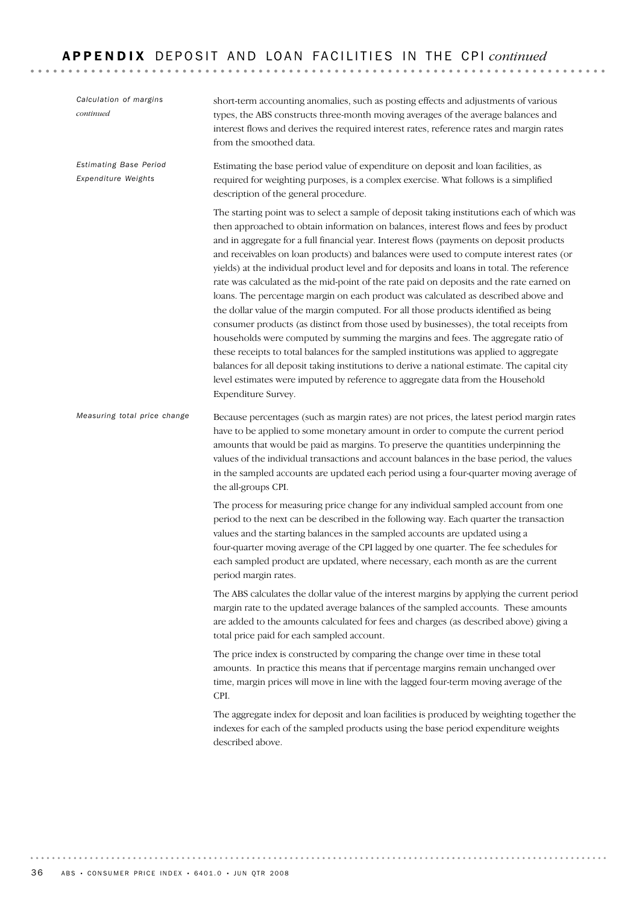| Calculation of margins<br>continued           | short-term accounting anomalies, such as posting effects and adjustments of various<br>types, the ABS constructs three-month moving averages of the average balances and<br>interest flows and derives the required interest rates, reference rates and margin rates<br>from the smoothed data.                                                                                                                                                                                                                                                                                                                                                                                                                                                                                                                                                                                                                                                                                                                                                                                                                                                                                                                                   |
|-----------------------------------------------|-----------------------------------------------------------------------------------------------------------------------------------------------------------------------------------------------------------------------------------------------------------------------------------------------------------------------------------------------------------------------------------------------------------------------------------------------------------------------------------------------------------------------------------------------------------------------------------------------------------------------------------------------------------------------------------------------------------------------------------------------------------------------------------------------------------------------------------------------------------------------------------------------------------------------------------------------------------------------------------------------------------------------------------------------------------------------------------------------------------------------------------------------------------------------------------------------------------------------------------|
| Estimating Base Period<br>Expenditure Weights | Estimating the base period value of expenditure on deposit and loan facilities, as<br>required for weighting purposes, is a complex exercise. What follows is a simplified<br>description of the general procedure.                                                                                                                                                                                                                                                                                                                                                                                                                                                                                                                                                                                                                                                                                                                                                                                                                                                                                                                                                                                                               |
|                                               | The starting point was to select a sample of deposit taking institutions each of which was<br>then approached to obtain information on balances, interest flows and fees by product<br>and in aggregate for a full financial year. Interest flows (payments on deposit products<br>and receivables on loan products) and balances were used to compute interest rates (or<br>yields) at the individual product level and for deposits and loans in total. The reference<br>rate was calculated as the mid-point of the rate paid on deposits and the rate earned on<br>loans. The percentage margin on each product was calculated as described above and<br>the dollar value of the margin computed. For all those products identified as being<br>consumer products (as distinct from those used by businesses), the total receipts from<br>households were computed by summing the margins and fees. The aggregate ratio of<br>these receipts to total balances for the sampled institutions was applied to aggregate<br>balances for all deposit taking institutions to derive a national estimate. The capital city<br>level estimates were imputed by reference to aggregate data from the Household<br>Expenditure Survey. |
| Measuring total price change                  | Because percentages (such as margin rates) are not prices, the latest period margin rates<br>have to be applied to some monetary amount in order to compute the current period<br>amounts that would be paid as margins. To preserve the quantities underpinning the<br>values of the individual transactions and account balances in the base period, the values<br>in the sampled accounts are updated each period using a four-quarter moving average of<br>the all-groups CPI.                                                                                                                                                                                                                                                                                                                                                                                                                                                                                                                                                                                                                                                                                                                                                |
|                                               | The process for measuring price change for any individual sampled account from one<br>period to the next can be described in the following way. Each quarter the transaction<br>values and the starting balances in the sampled accounts are updated using a<br>four-quarter moving average of the CPI lagged by one quarter. The fee schedules for<br>each sampled product are updated, where necessary, each month as are the current<br>period margin rates.                                                                                                                                                                                                                                                                                                                                                                                                                                                                                                                                                                                                                                                                                                                                                                   |
|                                               | The ABS calculates the dollar value of the interest margins by applying the current period<br>margin rate to the updated average balances of the sampled accounts. These amounts<br>are added to the amounts calculated for fees and charges (as described above) giving a<br>total price paid for each sampled account.                                                                                                                                                                                                                                                                                                                                                                                                                                                                                                                                                                                                                                                                                                                                                                                                                                                                                                          |
|                                               | The price index is constructed by comparing the change over time in these total<br>amounts. In practice this means that if percentage margins remain unchanged over<br>time, margin prices will move in line with the lagged four-term moving average of the<br>CPI.                                                                                                                                                                                                                                                                                                                                                                                                                                                                                                                                                                                                                                                                                                                                                                                                                                                                                                                                                              |
|                                               | The aggregate index for deposit and loan facilities is produced by weighting together the<br>indexes for each of the sampled products using the base period expenditure weights<br>described above.                                                                                                                                                                                                                                                                                                                                                                                                                                                                                                                                                                                                                                                                                                                                                                                                                                                                                                                                                                                                                               |